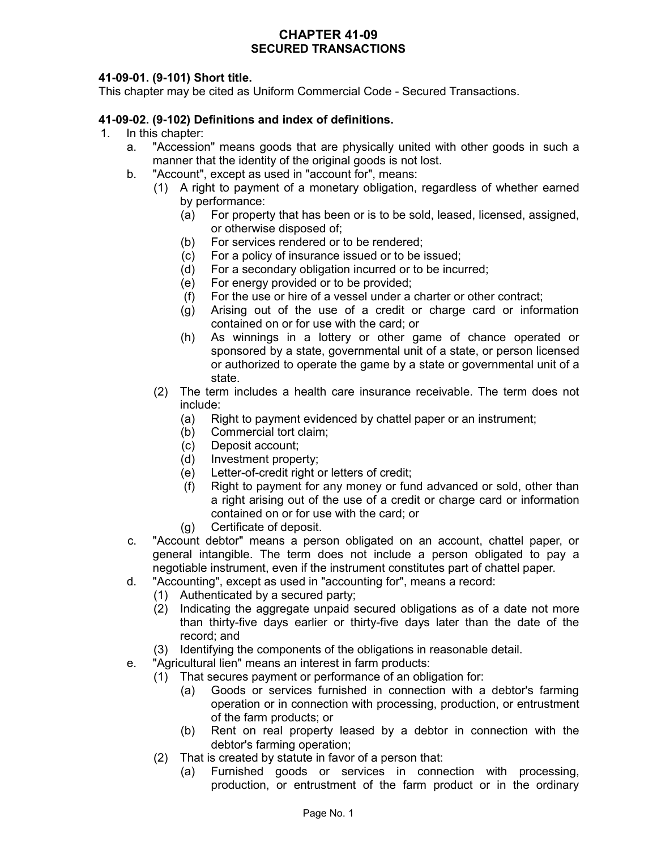## **CHAPTER 41-09 SECURED TRANSACTIONS**

# **41-09-01. (9-101) Short title.**

This chapter may be cited as Uniform Commercial Code - Secured Transactions.

## **41-09-02. (9-102) Definitions and index of definitions.**

- 1. In this chapter:
	- a. "Accession" means goods that are physically united with other goods in such a manner that the identity of the original goods is not lost.
	- b. "Account", except as used in "account for", means:
		- (1) A right to payment of a monetary obligation, regardless of whether earned by performance:
			- (a) For property that has been or is to be sold, leased, licensed, assigned, or otherwise disposed of;
			- (b) For services rendered or to be rendered;
			- (c) For a policy of insurance issued or to be issued;
			- (d) For a secondary obligation incurred or to be incurred;
			- (e) For energy provided or to be provided;
			- (f) For the use or hire of a vessel under a charter or other contract;
			- (g) Arising out of the use of a credit or charge card or information contained on or for use with the card; or
			- (h) As winnings in a lottery or other game of chance operated or sponsored by a state, governmental unit of a state, or person licensed or authorized to operate the game by a state or governmental unit of a state.
		- (2) The term includes a health care insurance receivable. The term does not include:
			- (a) Right to payment evidenced by chattel paper or an instrument;
			- (b) Commercial tort claim;
			- (c) Deposit account;
			- (d) Investment property;
			- (e) Letter-of-credit right or letters of credit;
			- (f) Right to payment for any money or fund advanced or sold, other than a right arising out of the use of a credit or charge card or information contained on or for use with the card; or
			- (g) Certificate of deposit.
	- c. "Account debtor" means a person obligated on an account, chattel paper, or general intangible. The term does not include a person obligated to pay a negotiable instrument, even if the instrument constitutes part of chattel paper.
	- d. "Accounting", except as used in "accounting for", means a record:
		- (1) Authenticated by a secured party;
			- (2) Indicating the aggregate unpaid secured obligations as of a date not more than thirty-five days earlier or thirty-five days later than the date of the record; and
			- (3) Identifying the components of the obligations in reasonable detail.
	- e. "Agricultural lien" means an interest in farm products:
		- (1) That secures payment or performance of an obligation for:
			- (a) Goods or services furnished in connection with a debtor's farming operation or in connection with processing, production, or entrustment of the farm products; or
			- (b) Rent on real property leased by a debtor in connection with the debtor's farming operation;
		- (2) That is created by statute in favor of a person that:
			- (a) Furnished goods or services in connection with processing, production, or entrustment of the farm product or in the ordinary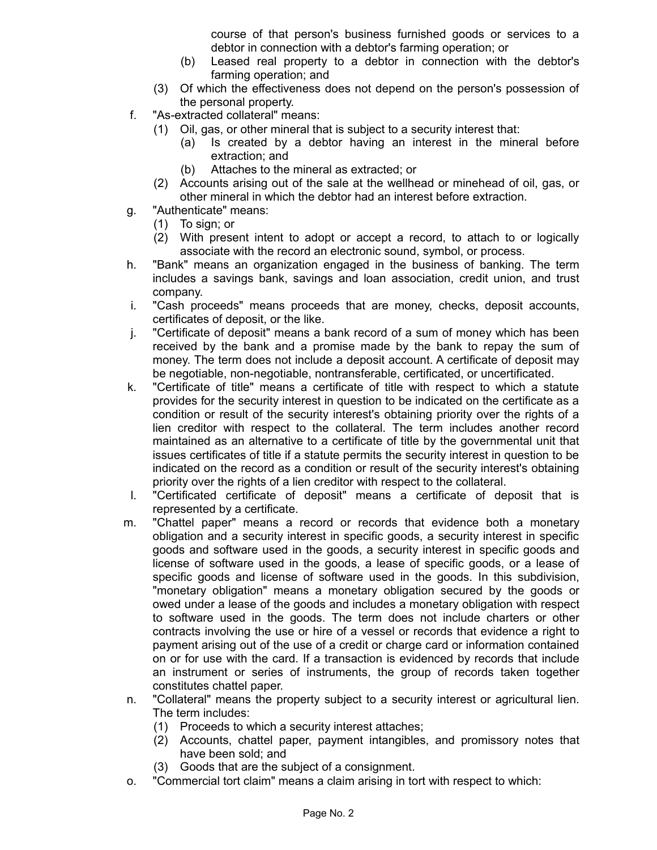course of that person's business furnished goods or services to a debtor in connection with a debtor's farming operation; or

- (b) Leased real property to a debtor in connection with the debtor's farming operation; and
- (3) Of which the effectiveness does not depend on the person's possession of the personal property.
- f. "As-extracted collateral" means:
	- (1) Oil, gas, or other mineral that is subject to a security interest that:
		- (a) Is created by a debtor having an interest in the mineral before extraction; and
		- (b) Attaches to the mineral as extracted; or
	- (2) Accounts arising out of the sale at the wellhead or minehead of oil, gas, or other mineral in which the debtor had an interest before extraction.
- g. "Authenticate" means:
	- (1) To sign; or
		- (2) With present intent to adopt or accept a record, to attach to or logically associate with the record an electronic sound, symbol, or process.
- h. "Bank" means an organization engaged in the business of banking. The term includes a savings bank, savings and loan association, credit union, and trust company.
- i. "Cash proceeds" means proceeds that are money, checks, deposit accounts, certificates of deposit, or the like.
- j. "Certificate of deposit" means a bank record of a sum of money which has been received by the bank and a promise made by the bank to repay the sum of money. The term does not include a deposit account. A certificate of deposit may be negotiable, non-negotiable, nontransferable, certificated, or uncertificated.
- k. "Certificate of title" means a certificate of title with respect to which a statute provides for the security interest in question to be indicated on the certificate as a condition or result of the security interest's obtaining priority over the rights of a lien creditor with respect to the collateral. The term includes another record maintained as an alternative to a certificate of title by the governmental unit that issues certificates of title if a statute permits the security interest in question to be indicated on the record as a condition or result of the security interest's obtaining priority over the rights of a lien creditor with respect to the collateral.
- l. "Certificated certificate of deposit" means a certificate of deposit that is represented by a certificate.
- m. "Chattel paper" means a record or records that evidence both a monetary obligation and a security interest in specific goods, a security interest in specific goods and software used in the goods, a security interest in specific goods and license of software used in the goods, a lease of specific goods, or a lease of specific goods and license of software used in the goods. In this subdivision, "monetary obligation" means a monetary obligation secured by the goods or owed under a lease of the goods and includes a monetary obligation with respect to software used in the goods. The term does not include charters or other contracts involving the use or hire of a vessel or records that evidence a right to payment arising out of the use of a credit or charge card or information contained on or for use with the card. If a transaction is evidenced by records that include an instrument or series of instruments, the group of records taken together constitutes chattel paper.
- n. "Collateral" means the property subject to a security interest or agricultural lien. The term includes:
	- (1) Proceeds to which a security interest attaches;
	- (2) Accounts, chattel paper, payment intangibles, and promissory notes that have been sold; and
	- (3) Goods that are the subject of a consignment.
- o. "Commercial tort claim" means a claim arising in tort with respect to which: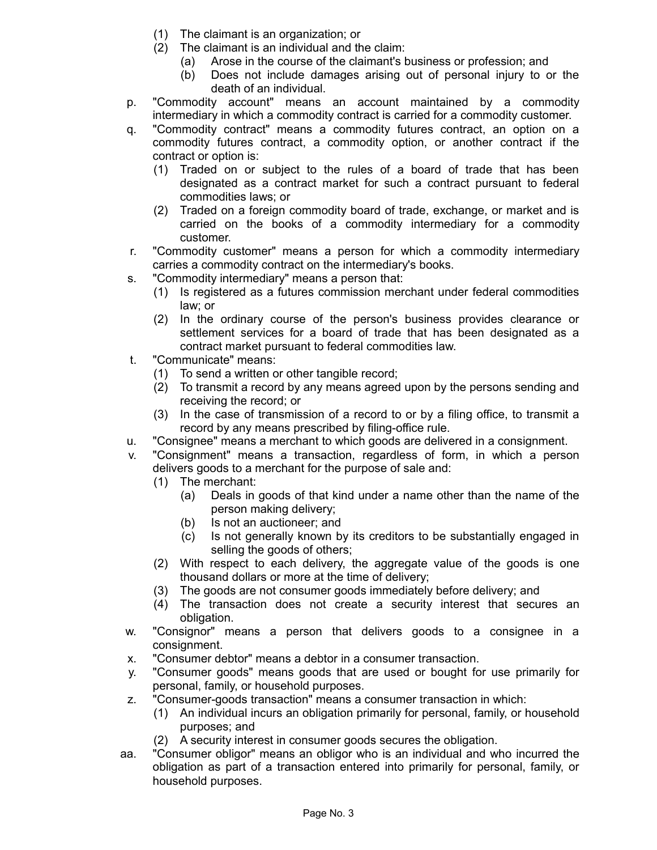- (1) The claimant is an organization; or
- (2) The claimant is an individual and the claim:
	- (a) Arose in the course of the claimant's business or profession; and
	- (b) Does not include damages arising out of personal injury to or the death of an individual.
- p. "Commodity account" means an account maintained by a commodity intermediary in which a commodity contract is carried for a commodity customer.
- q. "Commodity contract" means a commodity futures contract, an option on a commodity futures contract, a commodity option, or another contract if the contract or option is:
	- (1) Traded on or subject to the rules of a board of trade that has been designated as a contract market for such a contract pursuant to federal commodities laws; or
	- (2) Traded on a foreign commodity board of trade, exchange, or market and is carried on the books of a commodity intermediary for a commodity customer.
- r. "Commodity customer" means a person for which a commodity intermediary carries a commodity contract on the intermediary's books.
- s. "Commodity intermediary" means a person that:
	- (1) Is registered as a futures commission merchant under federal commodities law; or
	- (2) In the ordinary course of the person's business provides clearance or settlement services for a board of trade that has been designated as a contract market pursuant to federal commodities law.
- t. "Communicate" means:
	- (1) To send a written or other tangible record;
	- (2) To transmit a record by any means agreed upon by the persons sending and receiving the record; or
	- (3) In the case of transmission of a record to or by a filing office, to transmit a record by any means prescribed by filing-office rule.
- u. "Consignee" means a merchant to which goods are delivered in a consignment.
- v. "Consignment" means a transaction, regardless of form, in which a person delivers goods to a merchant for the purpose of sale and:
	- (1) The merchant:
		- (a) Deals in goods of that kind under a name other than the name of the person making delivery;
		- (b) Is not an auctioneer; and
		- (c) Is not generally known by its creditors to be substantially engaged in selling the goods of others;
	- (2) With respect to each delivery, the aggregate value of the goods is one thousand dollars or more at the time of delivery;
	- (3) The goods are not consumer goods immediately before delivery; and
	- (4) The transaction does not create a security interest that secures an obligation.
- w. "Consignor" means a person that delivers goods to a consignee in a consignment.
- x. "Consumer debtor" means a debtor in a consumer transaction.
- y. "Consumer goods" means goods that are used or bought for use primarily for personal, family, or household purposes.
- z. "Consumer-goods transaction" means a consumer transaction in which:
	- (1) An individual incurs an obligation primarily for personal, family, or household purposes; and
	- (2) A security interest in consumer goods secures the obligation.
- aa. "Consumer obligor" means an obligor who is an individual and who incurred the obligation as part of a transaction entered into primarily for personal, family, or household purposes.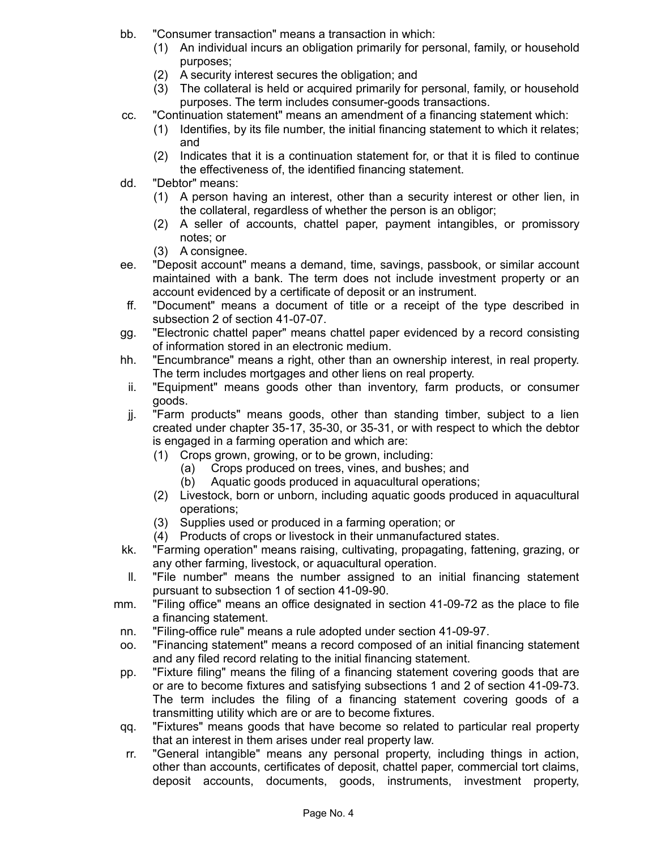- bb. "Consumer transaction" means a transaction in which:
	- (1) An individual incurs an obligation primarily for personal, family, or household purposes;
	- (2) A security interest secures the obligation; and
	- (3) The collateral is held or acquired primarily for personal, family, or household purposes. The term includes consumer-goods transactions.
- cc. "Continuation statement" means an amendment of a financing statement which:
	- (1) Identifies, by its file number, the initial financing statement to which it relates; and
	- (2) Indicates that it is a continuation statement for, or that it is filed to continue the effectiveness of, the identified financing statement.
- dd. "Debtor" means:
	- (1) A person having an interest, other than a security interest or other lien, in the collateral, regardless of whether the person is an obligor;
	- (2) A seller of accounts, chattel paper, payment intangibles, or promissory notes; or
	- (3) A consignee.
- ee. "Deposit account" means a demand, time, savings, passbook, or similar account maintained with a bank. The term does not include investment property or an account evidenced by a certificate of deposit or an instrument.
- ff. "Document" means a document of title or a receipt of the type described in subsection 2 of section 41-07-07.
- gg. "Electronic chattel paper" means chattel paper evidenced by a record consisting of information stored in an electronic medium.
- hh. "Encumbrance" means a right, other than an ownership interest, in real property. The term includes mortgages and other liens on real property.
- ii. "Equipment" means goods other than inventory, farm products, or consumer goods.
- jj. "Farm products" means goods, other than standing timber, subject to a lien created under chapter 35-17, 35-30, or 35-31, or with respect to which the debtor is engaged in a farming operation and which are:
	- (1) Crops grown, growing, or to be grown, including:
		- (a) Crops produced on trees, vines, and bushes; and
		- (b) Aquatic goods produced in aquacultural operations;
	- (2) Livestock, born or unborn, including aquatic goods produced in aquacultural operations;
	- (3) Supplies used or produced in a farming operation; or
	- (4) Products of crops or livestock in their unmanufactured states.
- kk. "Farming operation" means raising, cultivating, propagating, fattening, grazing, or any other farming, livestock, or aquacultural operation.
- ll. "File number" means the number assigned to an initial financing statement pursuant to subsection 1 of section 41-09-90.
- mm. "Filing office" means an office designated in section 41-09-72 as the place to file a financing statement.
- nn. "Filing-office rule" means a rule adopted under section 41-09-97.
- oo. "Financing statement" means a record composed of an initial financing statement and any filed record relating to the initial financing statement.
- pp. "Fixture filing" means the filing of a financing statement covering goods that are or are to become fixtures and satisfying subsections 1 and 2 of section 41-09-73. The term includes the filing of a financing statement covering goods of a transmitting utility which are or are to become fixtures.
- qq. "Fixtures" means goods that have become so related to particular real property that an interest in them arises under real property law.
- rr. "General intangible" means any personal property, including things in action, other than accounts, certificates of deposit, chattel paper, commercial tort claims, deposit accounts, documents, goods, instruments, investment property,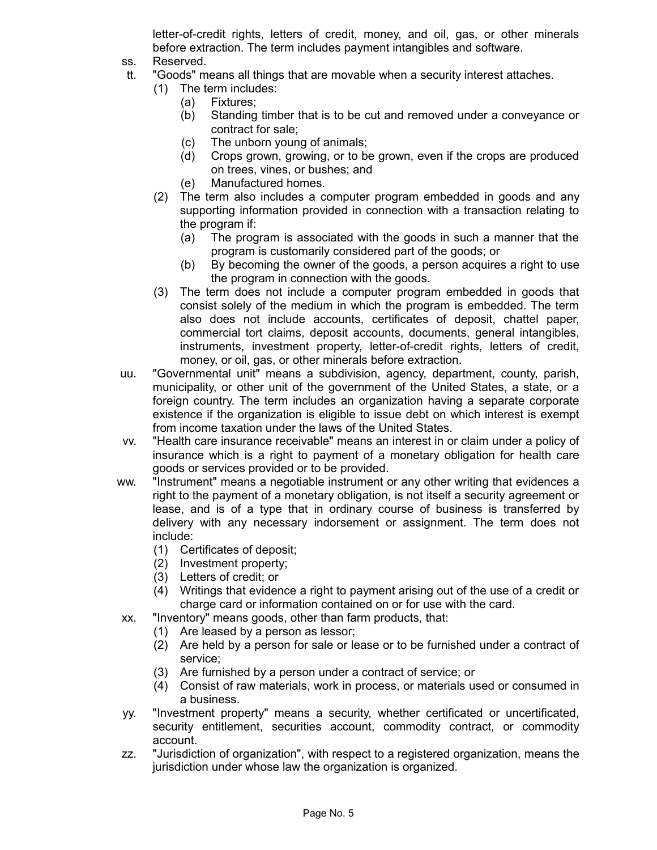letter-of-credit rights, letters of credit, money, and oil, gas, or other minerals before extraction. The term includes payment intangibles and software.

- ss. Reserved.
- tt. "Goods" means all things that are movable when a security interest attaches.
	- (1) The term includes:
		- (a) Fixtures;
		- (b) Standing timber that is to be cut and removed under a conveyance or contract for sale;
		- (c) The unborn young of animals;
		- (d) Crops grown, growing, or to be grown, even if the crops are produced on trees, vines, or bushes; and
		- (e) Manufactured homes.
	- (2) The term also includes a computer program embedded in goods and any supporting information provided in connection with a transaction relating to the program if:
		- (a) The program is associated with the goods in such a manner that the program is customarily considered part of the goods; or
		- (b) By becoming the owner of the goods, a person acquires a right to use the program in connection with the goods.
	- (3) The term does not include a computer program embedded in goods that consist solely of the medium in which the program is embedded. The term also does not include accounts, certificates of deposit, chattel paper, commercial tort claims, deposit accounts, documents, general intangibles, instruments, investment property, letter-of-credit rights, letters of credit, money, or oil, gas, or other minerals before extraction.
- uu. "Governmental unit" means a subdivision, agency, department, county, parish, municipality, or other unit of the government of the United States, a state, or a foreign country. The term includes an organization having a separate corporate existence if the organization is eligible to issue debt on which interest is exempt from income taxation under the laws of the United States.
- vv. "Health care insurance receivable" means an interest in or claim under a policy of insurance which is a right to payment of a monetary obligation for health care goods or services provided or to be provided.
- ww. "Instrument" means a negotiable instrument or any other writing that evidences a right to the payment of a monetary obligation, is not itself a security agreement or lease, and is of a type that in ordinary course of business is transferred by delivery with any necessary indorsement or assignment. The term does not include:
	- (1) Certificates of deposit;
	- (2) Investment property;
	- (3) Letters of credit; or
	- (4) Writings that evidence a right to payment arising out of the use of a credit or charge card or information contained on or for use with the card.
- xx. "Inventory" means goods, other than farm products, that:
	- (1) Are leased by a person as lessor;
		- (2) Are held by a person for sale or lease or to be furnished under a contract of service;
		- (3) Are furnished by a person under a contract of service; or
		- (4) Consist of raw materials, work in process, or materials used or consumed in a business.
- yy. "Investment property" means a security, whether certificated or uncertificated, security entitlement, securities account, commodity contract, or commodity account.
- zz. "Jurisdiction of organization", with respect to a registered organization, means the jurisdiction under whose law the organization is organized.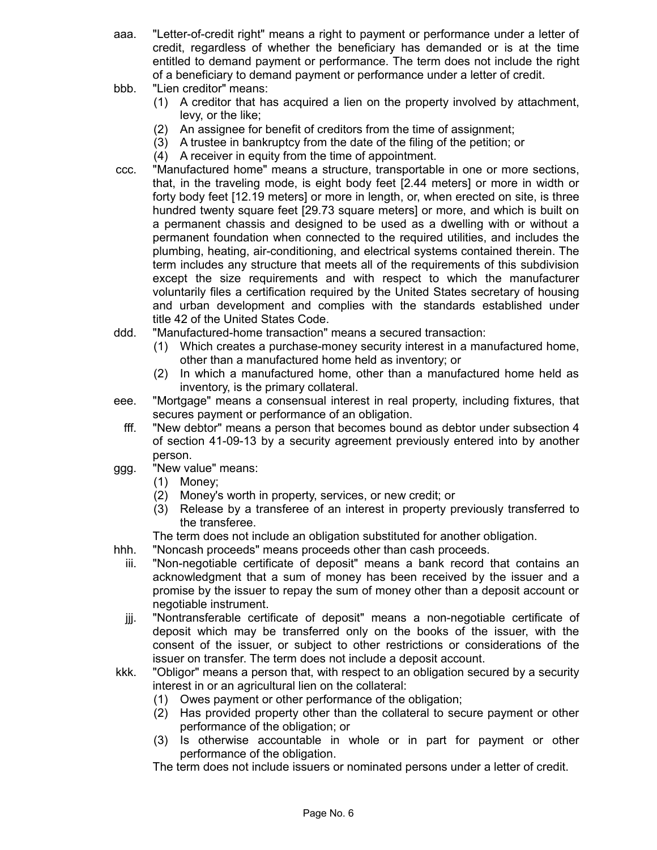- aaa. "Letter-of-credit right" means a right to payment or performance under a letter of credit, regardless of whether the beneficiary has demanded or is at the time entitled to demand payment or performance. The term does not include the right of a beneficiary to demand payment or performance under a letter of credit.
- bbb. "Lien creditor" means:
	- (1) A creditor that has acquired a lien on the property involved by attachment, levy, or the like;
	- (2) An assignee for benefit of creditors from the time of assignment;
	- (3) A trustee in bankruptcy from the date of the filing of the petition; or
	- (4) A receiver in equity from the time of appointment.
- ccc. "Manufactured home" means a structure, transportable in one or more sections, that, in the traveling mode, is eight body feet [2.44 meters] or more in width or forty body feet [12.19 meters] or more in length, or, when erected on site, is three hundred twenty square feet [29.73 square meters] or more, and which is built on a permanent chassis and designed to be used as a dwelling with or without a permanent foundation when connected to the required utilities, and includes the plumbing, heating, air-conditioning, and electrical systems contained therein. The term includes any structure that meets all of the requirements of this subdivision except the size requirements and with respect to which the manufacturer voluntarily files a certification required by the United States secretary of housing and urban development and complies with the standards established under title 42 of the United States Code.
- ddd. "Manufactured-home transaction" means a secured transaction:
	- (1) Which creates a purchase-money security interest in a manufactured home, other than a manufactured home held as inventory; or
	- (2) In which a manufactured home, other than a manufactured home held as inventory, is the primary collateral.
- eee. "Mortgage" means a consensual interest in real property, including fixtures, that secures payment or performance of an obligation.
	- fff. "New debtor" means a person that becomes bound as debtor under subsection 4 of section 41-09-13 by a security agreement previously entered into by another person.
- ggg. "New value" means:
	- (1) Money;
	- (2) Money's worth in property, services, or new credit; or
	- (3) Release by a transferee of an interest in property previously transferred to the transferee.
	- The term does not include an obligation substituted for another obligation.
- hhh. "Noncash proceeds" means proceeds other than cash proceeds.
- iii. "Non-negotiable certificate of deposit" means a bank record that contains an acknowledgment that a sum of money has been received by the issuer and a promise by the issuer to repay the sum of money other than a deposit account or negotiable instrument.
- jjj. "Nontransferable certificate of deposit" means a non-negotiable certificate of deposit which may be transferred only on the books of the issuer, with the consent of the issuer, or subject to other restrictions or considerations of the issuer on transfer. The term does not include a deposit account.
- kkk. "Obligor" means a person that, with respect to an obligation secured by a security interest in or an agricultural lien on the collateral:
	- (1) Owes payment or other performance of the obligation;
	- (2) Has provided property other than the collateral to secure payment or other performance of the obligation; or
	- (3) Is otherwise accountable in whole or in part for payment or other performance of the obligation.

The term does not include issuers or nominated persons under a letter of credit.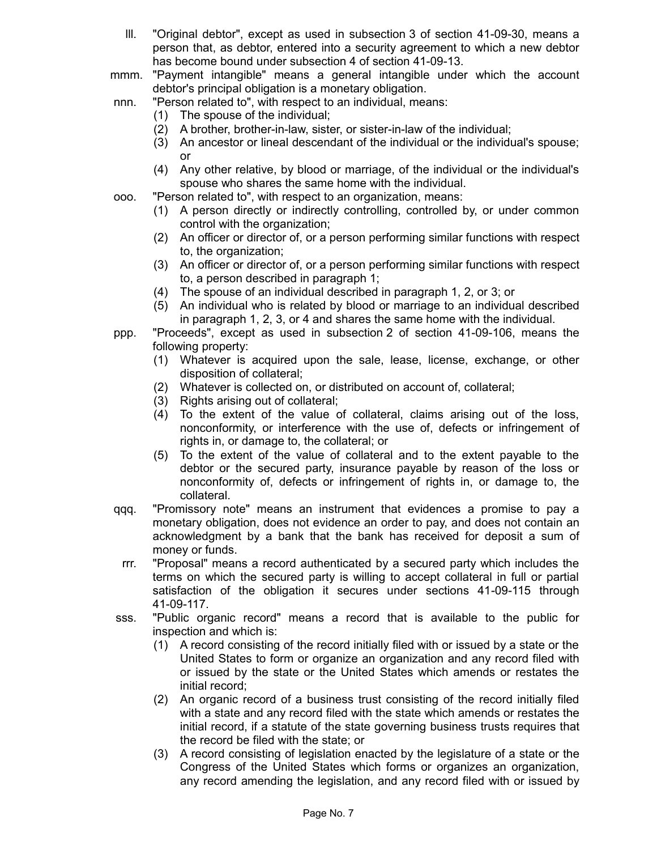- lll. "Original debtor", except as used in subsection 3 of section 41-09-30, means a person that, as debtor, entered into a security agreement to which a new debtor has become bound under subsection 4 of section 41-09-13.
- mmm. "Payment intangible" means a general intangible under which the account debtor's principal obligation is a monetary obligation.
- nnn. "Person related to", with respect to an individual, means:
	- (1) The spouse of the individual;
	- (2) A brother, brother-in-law, sister, or sister-in-law of the individual;
	- (3) An ancestor or lineal descendant of the individual or the individual's spouse; or
	- (4) Any other relative, by blood or marriage, of the individual or the individual's spouse who shares the same home with the individual.
- ooo. "Person related to", with respect to an organization, means:
	- (1) A person directly or indirectly controlling, controlled by, or under common control with the organization;
	- (2) An officer or director of, or a person performing similar functions with respect to, the organization;
	- (3) An officer or director of, or a person performing similar functions with respect to, a person described in paragraph 1;
	- (4) The spouse of an individual described in paragraph 1, 2, or 3; or
	- (5) An individual who is related by blood or marriage to an individual described in paragraph 1, 2, 3, or 4 and shares the same home with the individual.
- ppp. "Proceeds", except as used in subsection 2 of section 41-09-106, means the following property:
	- (1) Whatever is acquired upon the sale, lease, license, exchange, or other disposition of collateral;
	- (2) Whatever is collected on, or distributed on account of, collateral;
	- (3) Rights arising out of collateral;
	- (4) To the extent of the value of collateral, claims arising out of the loss, nonconformity, or interference with the use of, defects or infringement of rights in, or damage to, the collateral; or
	- (5) To the extent of the value of collateral and to the extent payable to the debtor or the secured party, insurance payable by reason of the loss or nonconformity of, defects or infringement of rights in, or damage to, the collateral.
- qqq. "Promissory note" means an instrument that evidences a promise to pay a monetary obligation, does not evidence an order to pay, and does not contain an acknowledgment by a bank that the bank has received for deposit a sum of money or funds.
- rrr. "Proposal" means a record authenticated by a secured party which includes the terms on which the secured party is willing to accept collateral in full or partial satisfaction of the obligation it secures under sections 41-09-115 through 41-09-117.
- sss. "Public organic record" means a record that is available to the public for inspection and which is:
	- (1) A record consisting of the record initially filed with or issued by a state or the United States to form or organize an organization and any record filed with or issued by the state or the United States which amends or restates the initial record;
	- (2) An organic record of a business trust consisting of the record initially filed with a state and any record filed with the state which amends or restates the initial record, if a statute of the state governing business trusts requires that the record be filed with the state; or
	- (3) A record consisting of legislation enacted by the legislature of a state or the Congress of the United States which forms or organizes an organization, any record amending the legislation, and any record filed with or issued by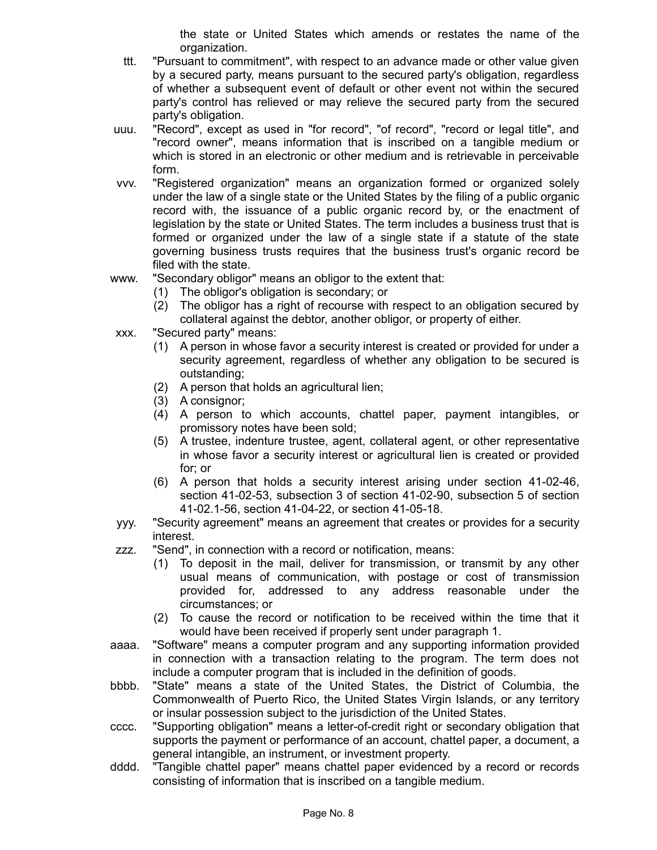the state or United States which amends or restates the name of the organization.

- ttt. "Pursuant to commitment", with respect to an advance made or other value given by a secured party, means pursuant to the secured party's obligation, regardless of whether a subsequent event of default or other event not within the secured party's control has relieved or may relieve the secured party from the secured party's obligation.
- uuu. "Record", except as used in "for record", "of record", "record or legal title", and "record owner", means information that is inscribed on a tangible medium or which is stored in an electronic or other medium and is retrievable in perceivable form.
- vvv. "Registered organization" means an organization formed or organized solely under the law of a single state or the United States by the filing of a public organic record with, the issuance of a public organic record by, or the enactment of legislation by the state or United States. The term includes a business trust that is formed or organized under the law of a single state if a statute of the state governing business trusts requires that the business trust's organic record be filed with the state.
- www. "Secondary obligor" means an obligor to the extent that:
	- (1) The obligor's obligation is secondary; or
	- (2) The obligor has a right of recourse with respect to an obligation secured by collateral against the debtor, another obligor, or property of either.
- xxx. "Secured party" means:
	- (1) A person in whose favor a security interest is created or provided for under a security agreement, regardless of whether any obligation to be secured is outstanding;
	- (2) A person that holds an agricultural lien;
	- (3) A consignor;
	- (4) A person to which accounts, chattel paper, payment intangibles, or promissory notes have been sold;
	- (5) A trustee, indenture trustee, agent, collateral agent, or other representative in whose favor a security interest or agricultural lien is created or provided for; or
	- (6) A person that holds a security interest arising under section 41-02-46, section 41-02-53, subsection 3 of section 41-02-90, subsection 5 of section 41-02.1-56, section 41-04-22, or section 41-05-18.
- yyy. "Security agreement" means an agreement that creates or provides for a security interest.
- zzz. "Send", in connection with a record or notification, means:
	- (1) To deposit in the mail, deliver for transmission, or transmit by any other usual means of communication, with postage or cost of transmission provided for, addressed to any address reasonable under the circumstances; or
	- (2) To cause the record or notification to be received within the time that it would have been received if properly sent under paragraph 1.
- aaaa. "Software" means a computer program and any supporting information provided in connection with a transaction relating to the program. The term does not include a computer program that is included in the definition of goods.
- bbbb. "State" means a state of the United States, the District of Columbia, the Commonwealth of Puerto Rico, the United States Virgin Islands, or any territory or insular possession subject to the jurisdiction of the United States.
- cccc. "Supporting obligation" means a letter-of-credit right or secondary obligation that supports the payment or performance of an account, chattel paper, a document, a general intangible, an instrument, or investment property.
- dddd. "Tangible chattel paper" means chattel paper evidenced by a record or records consisting of information that is inscribed on a tangible medium.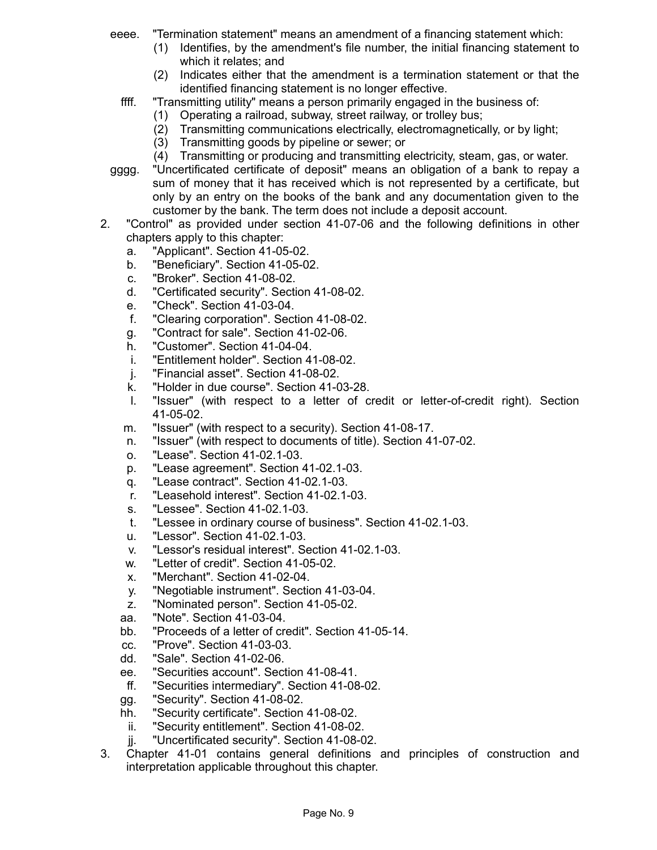- eeee. "Termination statement" means an amendment of a financing statement which:
	- (1) Identifies, by the amendment's file number, the initial financing statement to which it relates; and
	- (2) Indicates either that the amendment is a termination statement or that the identified financing statement is no longer effective.
	- ffff. "Transmitting utility" means a person primarily engaged in the business of:
		- (1) Operating a railroad, subway, street railway, or trolley bus;
		- (2) Transmitting communications electrically, electromagnetically, or by light;
		- (3) Transmitting goods by pipeline or sewer; or
		- (4) Transmitting or producing and transmitting electricity, steam, gas, or water.
- gggg. "Uncertificated certificate of deposit" means an obligation of a bank to repay a sum of money that it has received which is not represented by a certificate, but only by an entry on the books of the bank and any documentation given to the customer by the bank. The term does not include a deposit account.
- 2. "Control" as provided under section 41-07-06 and the following definitions in other chapters apply to this chapter:
	- a. "Applicant". Section 41-05-02.
	- b. "Beneficiary". Section 41-05-02.
	- c. "Broker". Section 41-08-02.
	- d. "Certificated security". Section 41-08-02.
	- e. "Check". Section 41-03-04.
	- f. "Clearing corporation". Section 41-08-02.
	- g. "Contract for sale". Section 41-02-06.
	- h. "Customer". Section 41-04-04.
	- i. "Entitlement holder". Section 41-08-02.
	- j. "Financial asset". Section 41-08-02.
	- k. "Holder in due course". Section 41-03-28.
	- l. "Issuer" (with respect to a letter of credit or letter-of-credit right). Section 41-05-02.
	- m. "Issuer" (with respect to a security). Section 41-08-17.
	- n. "Issuer" (with respect to documents of title). Section 41-07-02.
	- o. "Lease". Section 41-02.1-03.
	- p. "Lease agreement". Section 41-02.1-03.
	- q. "Lease contract". Section 41-02.1-03.
	- r. "Leasehold interest". Section 41-02.1-03.
	- s. "Lessee". Section 41-02.1-03.
	- t. "Lessee in ordinary course of business". Section 41-02.1-03.
	- u. "Lessor". Section 41-02.1-03.
	- v. "Lessor's residual interest". Section 41-02.1-03.
	- w. "Letter of credit". Section 41-05-02.
	- x. "Merchant". Section 41-02-04.
	- y. "Negotiable instrument". Section 41-03-04.
	- z. "Nominated person". Section 41-05-02.
	- aa. "Note". Section 41-03-04.
	- bb. "Proceeds of a letter of credit". Section 41-05-14.
	- cc. "Prove". Section 41-03-03.
	- dd. "Sale". Section 41-02-06.
	- ee. "Securities account". Section 41-08-41.
	- ff. "Securities intermediary". Section 41-08-02.
	- gg. "Security". Section 41-08-02.
	- hh. "Security certificate". Section 41-08-02.
	- ii. "Security entitlement". Section 41-08-02.
	- jj. "Uncertificated security". Section 41-08-02.
- 3. Chapter 41-01 contains general definitions and principles of construction and interpretation applicable throughout this chapter.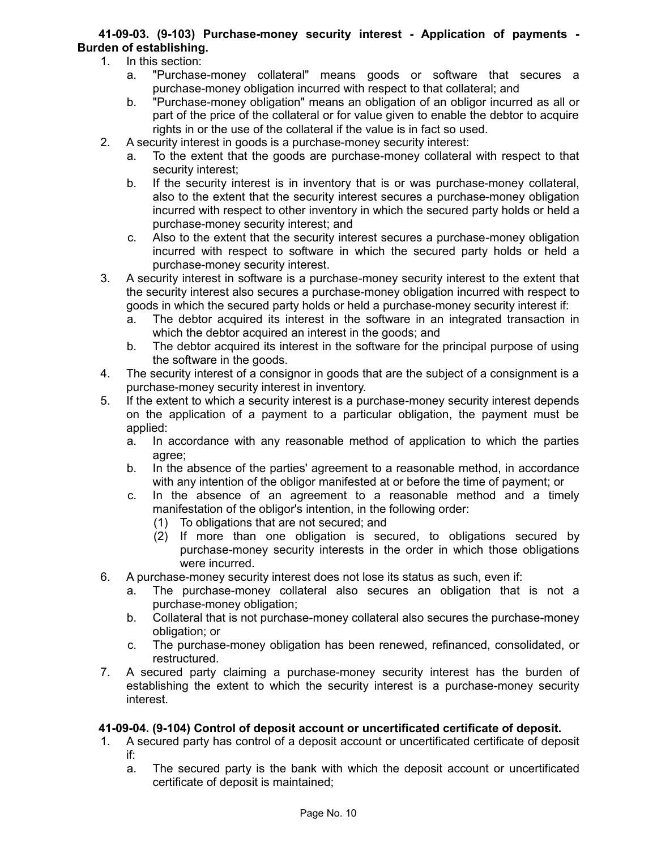# **41-09-03. (9-103) Purchase-money security interest - Application of payments - Burden of establishing.**

- 1. In this section:
	- a. "Purchase-money collateral" means goods or software that secures a purchase-money obligation incurred with respect to that collateral; and
	- b. "Purchase-money obligation" means an obligation of an obligor incurred as all or part of the price of the collateral or for value given to enable the debtor to acquire rights in or the use of the collateral if the value is in fact so used.
- 2. A security interest in goods is a purchase-money security interest:
	- a. To the extent that the goods are purchase-money collateral with respect to that security interest;
	- b. If the security interest is in inventory that is or was purchase-money collateral, also to the extent that the security interest secures a purchase-money obligation incurred with respect to other inventory in which the secured party holds or held a purchase-money security interest; and
	- c. Also to the extent that the security interest secures a purchase-money obligation incurred with respect to software in which the secured party holds or held a purchase-money security interest.
- 3. A security interest in software is a purchase-money security interest to the extent that the security interest also secures a purchase-money obligation incurred with respect to goods in which the secured party holds or held a purchase-money security interest if:
	- a. The debtor acquired its interest in the software in an integrated transaction in which the debtor acquired an interest in the goods; and
	- b. The debtor acquired its interest in the software for the principal purpose of using the software in the goods.
- 4. The security interest of a consignor in goods that are the subject of a consignment is a purchase-money security interest in inventory.
- 5. If the extent to which a security interest is a purchase-money security interest depends on the application of a payment to a particular obligation, the payment must be applied:
	- a. In accordance with any reasonable method of application to which the parties agree;
	- b. In the absence of the parties' agreement to a reasonable method, in accordance with any intention of the obligor manifested at or before the time of payment; or
	- c. In the absence of an agreement to a reasonable method and a timely manifestation of the obligor's intention, in the following order:
		- (1) To obligations that are not secured; and
		- (2) If more than one obligation is secured, to obligations secured by purchase-money security interests in the order in which those obligations were incurred.
- 6. A purchase-money security interest does not lose its status as such, even if:
	- a. The purchase-money collateral also secures an obligation that is not a purchase-money obligation;
	- b. Collateral that is not purchase-money collateral also secures the purchase-money obligation; or
	- c. The purchase-money obligation has been renewed, refinanced, consolidated, or restructured.
- 7. A secured party claiming a purchase-money security interest has the burden of establishing the extent to which the security interest is a purchase-money security interest.

## **41-09-04. (9-104) Control of deposit account or uncertificated certificate of deposit.**

- 1. A secured party has control of a deposit account or uncertificated certificate of deposit if:
	- a. The secured party is the bank with which the deposit account or uncertificated certificate of deposit is maintained;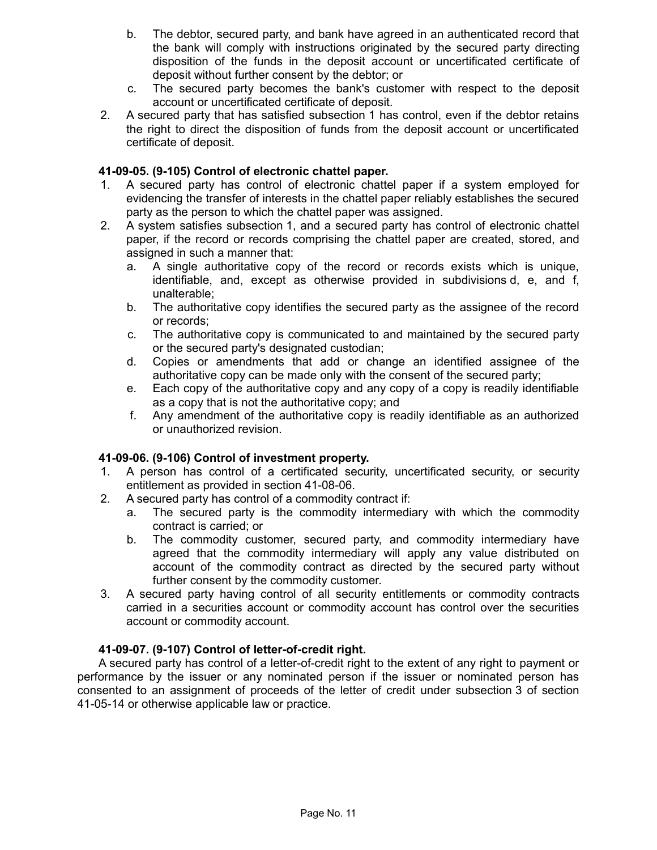- b. The debtor, secured party, and bank have agreed in an authenticated record that the bank will comply with instructions originated by the secured party directing disposition of the funds in the deposit account or uncertificated certificate of deposit without further consent by the debtor; or
- c. The secured party becomes the bank's customer with respect to the deposit account or uncertificated certificate of deposit.
- 2. A secured party that has satisfied subsection 1 has control, even if the debtor retains the right to direct the disposition of funds from the deposit account or uncertificated certificate of deposit.

## **41-09-05. (9-105) Control of electronic chattel paper.**

- 1. A secured party has control of electronic chattel paper if a system employed for evidencing the transfer of interests in the chattel paper reliably establishes the secured party as the person to which the chattel paper was assigned.
- 2. A system satisfies subsection 1, and a secured party has control of electronic chattel paper, if the record or records comprising the chattel paper are created, stored, and assigned in such a manner that:
	- a. A single authoritative copy of the record or records exists which is unique, identifiable, and, except as otherwise provided in subdivisions d, e, and f, unalterable;
	- b. The authoritative copy identifies the secured party as the assignee of the record or records;
	- c. The authoritative copy is communicated to and maintained by the secured party or the secured party's designated custodian;
	- d. Copies or amendments that add or change an identified assignee of the authoritative copy can be made only with the consent of the secured party;
	- e. Each copy of the authoritative copy and any copy of a copy is readily identifiable as a copy that is not the authoritative copy; and
	- f. Any amendment of the authoritative copy is readily identifiable as an authorized or unauthorized revision.

## **41-09-06. (9-106) Control of investment property.**

- 1. A person has control of a certificated security, uncertificated security, or security entitlement as provided in section 41-08-06.
- 2. A secured party has control of a commodity contract if:
	- a. The secured party is the commodity intermediary with which the commodity contract is carried; or
	- b. The commodity customer, secured party, and commodity intermediary have agreed that the commodity intermediary will apply any value distributed on account of the commodity contract as directed by the secured party without further consent by the commodity customer.
- 3. A secured party having control of all security entitlements or commodity contracts carried in a securities account or commodity account has control over the securities account or commodity account.

## **41-09-07. (9-107) Control of letter-of-credit right.**

A secured party has control of a letter-of-credit right to the extent of any right to payment or performance by the issuer or any nominated person if the issuer or nominated person has consented to an assignment of proceeds of the letter of credit under subsection 3 of section 41-05-14 or otherwise applicable law or practice.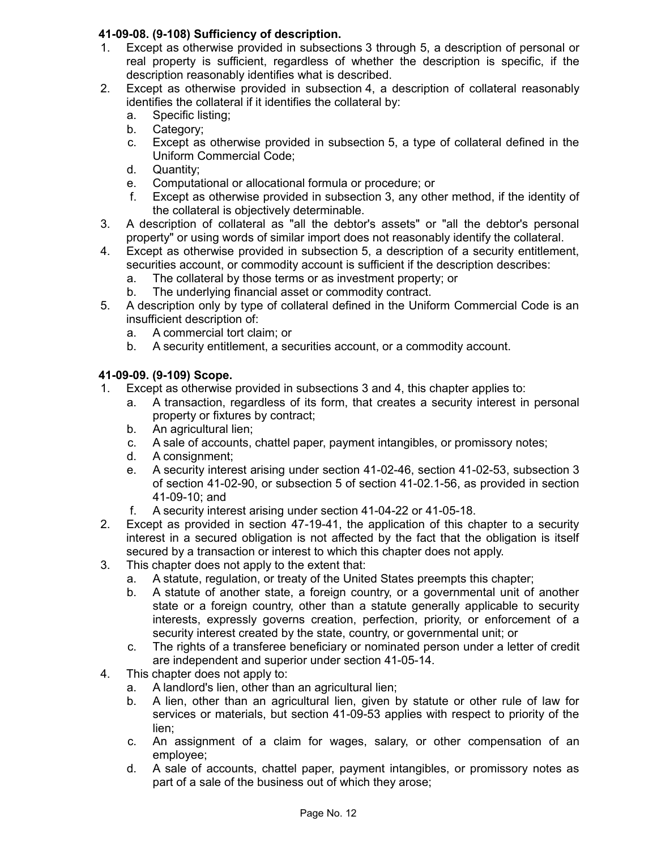# **41-09-08. (9-108) Sufficiency of description.**

- 1. Except as otherwise provided in subsections 3 through 5, a description of personal or real property is sufficient, regardless of whether the description is specific, if the description reasonably identifies what is described.
- 2. Except as otherwise provided in subsection 4, a description of collateral reasonably identifies the collateral if it identifies the collateral by:
	- a. Specific listing;
	- b. Category;
	- c. Except as otherwise provided in subsection 5, a type of collateral defined in the Uniform Commercial Code;
	- d. Quantity;
	- e. Computational or allocational formula or procedure; or
	- f. Except as otherwise provided in subsection 3, any other method, if the identity of the collateral is objectively determinable.
- 3. A description of collateral as "all the debtor's assets" or "all the debtor's personal property" or using words of similar import does not reasonably identify the collateral.
- 4. Except as otherwise provided in subsection 5, a description of a security entitlement, securities account, or commodity account is sufficient if the description describes:
	- a. The collateral by those terms or as investment property; or
	- b. The underlying financial asset or commodity contract.
- 5. A description only by type of collateral defined in the Uniform Commercial Code is an insufficient description of:
	- a. A commercial tort claim; or
	- b. A security entitlement, a securities account, or a commodity account.

# **41-09-09. (9-109) Scope.**

- 1. Except as otherwise provided in subsections 3 and 4, this chapter applies to:
	- a. A transaction, regardless of its form, that creates a security interest in personal property or fixtures by contract;
	- b. An agricultural lien;
	- c. A sale of accounts, chattel paper, payment intangibles, or promissory notes;
	- d. A consignment;
	- e. A security interest arising under section 41-02-46, section 41-02-53, subsection 3 of section 41-02-90, or subsection 5 of section 41-02.1-56, as provided in section 41-09-10; and
	- f. A security interest arising under section 41-04-22 or 41-05-18.
- 2. Except as provided in section 47-19-41, the application of this chapter to a security interest in a secured obligation is not affected by the fact that the obligation is itself secured by a transaction or interest to which this chapter does not apply.
- 3. This chapter does not apply to the extent that:
	- a. A statute, regulation, or treaty of the United States preempts this chapter;
	- b. A statute of another state, a foreign country, or a governmental unit of another state or a foreign country, other than a statute generally applicable to security interests, expressly governs creation, perfection, priority, or enforcement of a security interest created by the state, country, or governmental unit; or
	- c. The rights of a transferee beneficiary or nominated person under a letter of credit are independent and superior under section 41-05-14.
- 4. This chapter does not apply to:
	- a. A landlord's lien, other than an agricultural lien;
	- b. A lien, other than an agricultural lien, given by statute or other rule of law for services or materials, but section 41-09-53 applies with respect to priority of the lien;
	- c. An assignment of a claim for wages, salary, or other compensation of an employee;
	- d. A sale of accounts, chattel paper, payment intangibles, or promissory notes as part of a sale of the business out of which they arose;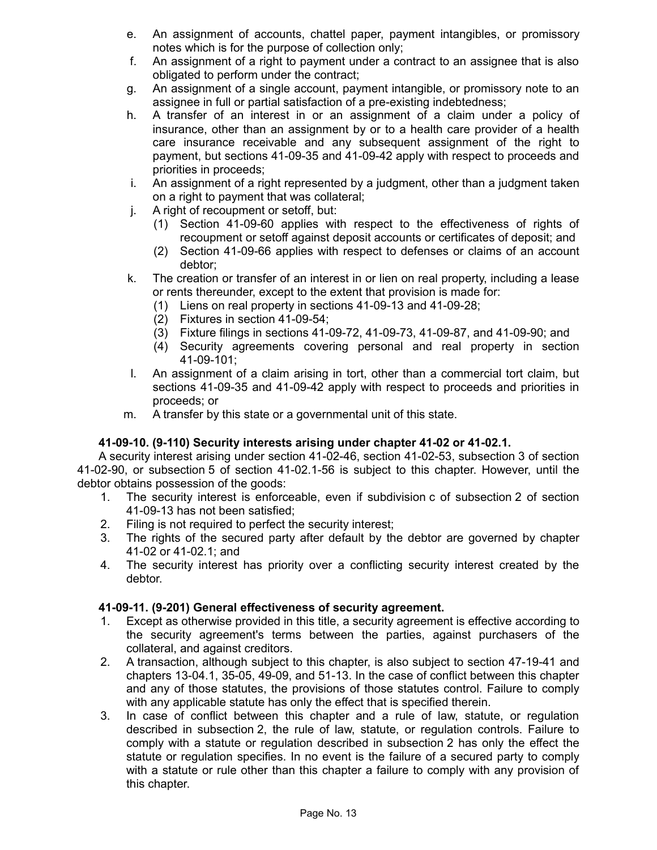- e. An assignment of accounts, chattel paper, payment intangibles, or promissory notes which is for the purpose of collection only;
- f. An assignment of a right to payment under a contract to an assignee that is also obligated to perform under the contract;
- g. An assignment of a single account, payment intangible, or promissory note to an assignee in full or partial satisfaction of a pre-existing indebtedness;
- h. A transfer of an interest in or an assignment of a claim under a policy of insurance, other than an assignment by or to a health care provider of a health care insurance receivable and any subsequent assignment of the right to payment, but sections 41-09-35 and 41-09-42 apply with respect to proceeds and priorities in proceeds;
- i. An assignment of a right represented by a judgment, other than a judgment taken on a right to payment that was collateral;
- j. A right of recoupment or setoff, but:
	- (1) Section 41-09-60 applies with respect to the effectiveness of rights of recoupment or setoff against deposit accounts or certificates of deposit; and
	- (2) Section 41-09-66 applies with respect to defenses or claims of an account debtor;
- k. The creation or transfer of an interest in or lien on real property, including a lease or rents thereunder, except to the extent that provision is made for:
	- (1) Liens on real property in sections 41-09-13 and 41-09-28;
	- (2) Fixtures in section 41-09-54;
	- (3) Fixture filings in sections 41-09-72, 41-09-73, 41-09-87, and 41-09-90; and
	- (4) Security agreements covering personal and real property in section 41-09-101;
- l. An assignment of a claim arising in tort, other than a commercial tort claim, but sections 41-09-35 and 41-09-42 apply with respect to proceeds and priorities in proceeds; or
- m. A transfer by this state or a governmental unit of this state.

## **41-09-10. (9-110) Security interests arising under chapter 41-02 or 41-02.1.**

A security interest arising under section 41-02-46, section 41-02-53, subsection 3 of section 41-02-90, or subsection 5 of section 41-02.1-56 is subject to this chapter. However, until the debtor obtains possession of the goods:

- 1. The security interest is enforceable, even if subdivision c of subsection 2 of section 41-09-13 has not been satisfied;
- 2. Filing is not required to perfect the security interest;
- 3. The rights of the secured party after default by the debtor are governed by chapter 41-02 or 41-02.1; and
- 4. The security interest has priority over a conflicting security interest created by the debtor.

## **41-09-11. (9-201) General effectiveness of security agreement.**

- 1. Except as otherwise provided in this title, a security agreement is effective according to the security agreement's terms between the parties, against purchasers of the collateral, and against creditors.
- 2. A transaction, although subject to this chapter, is also subject to section 47-19-41 and chapters 13-04.1, 35-05, 49-09, and 51-13. In the case of conflict between this chapter and any of those statutes, the provisions of those statutes control. Failure to comply with any applicable statute has only the effect that is specified therein.
- 3. In case of conflict between this chapter and a rule of law, statute, or regulation described in subsection 2, the rule of law, statute, or regulation controls. Failure to comply with a statute or regulation described in subsection 2 has only the effect the statute or regulation specifies. In no event is the failure of a secured party to comply with a statute or rule other than this chapter a failure to comply with any provision of this chapter.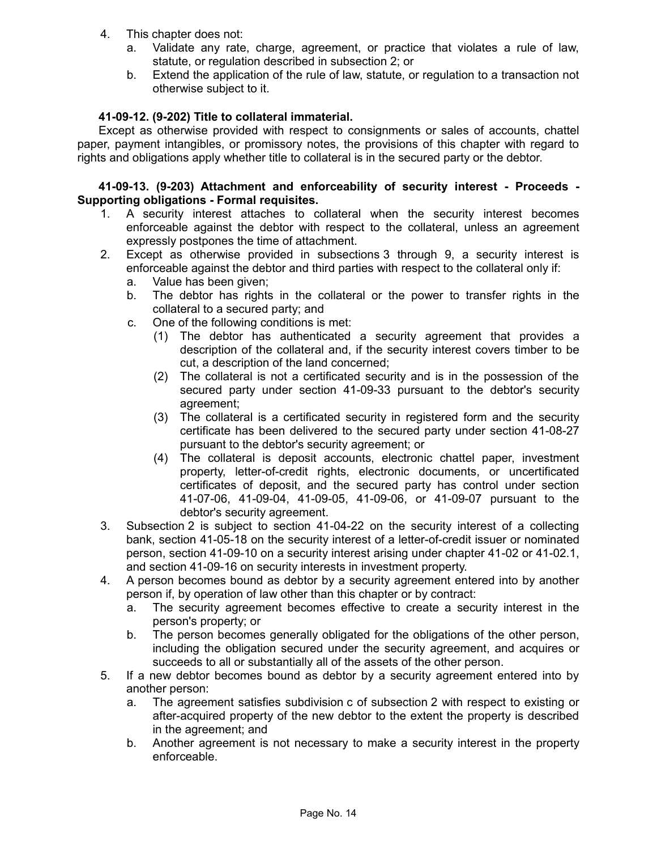- 4. This chapter does not:
	- a. Validate any rate, charge, agreement, or practice that violates a rule of law, statute, or regulation described in subsection 2; or
	- b. Extend the application of the rule of law, statute, or regulation to a transaction not otherwise subject to it.

## **41-09-12. (9-202) Title to collateral immaterial.**

Except as otherwise provided with respect to consignments or sales of accounts, chattel paper, payment intangibles, or promissory notes, the provisions of this chapter with regard to rights and obligations apply whether title to collateral is in the secured party or the debtor.

#### **41-09-13. (9-203) Attachment and enforceability of security interest - Proceeds - Supporting obligations - Formal requisites.**

- 1. A security interest attaches to collateral when the security interest becomes enforceable against the debtor with respect to the collateral, unless an agreement expressly postpones the time of attachment.
- 2. Except as otherwise provided in subsections 3 through 9, a security interest is enforceable against the debtor and third parties with respect to the collateral only if:
	- a. Value has been given;
	- b. The debtor has rights in the collateral or the power to transfer rights in the collateral to a secured party; and
	- c. One of the following conditions is met:
		- (1) The debtor has authenticated a security agreement that provides a description of the collateral and, if the security interest covers timber to be cut, a description of the land concerned;
		- (2) The collateral is not a certificated security and is in the possession of the secured party under section 41-09-33 pursuant to the debtor's security agreement;
		- (3) The collateral is a certificated security in registered form and the security certificate has been delivered to the secured party under section 41-08-27 pursuant to the debtor's security agreement; or
		- (4) The collateral is deposit accounts, electronic chattel paper, investment property, letter-of-credit rights, electronic documents, or uncertificated certificates of deposit, and the secured party has control under section 41-07-06, 41-09-04, 41-09-05, 41-09-06, or 41-09-07 pursuant to the debtor's security agreement.
- 3. Subsection 2 is subject to section 41-04-22 on the security interest of a collecting bank, section 41-05-18 on the security interest of a letter-of-credit issuer or nominated person, section 41-09-10 on a security interest arising under chapter 41-02 or 41-02.1, and section 41-09-16 on security interests in investment property.
- 4. A person becomes bound as debtor by a security agreement entered into by another person if, by operation of law other than this chapter or by contract:
	- a. The security agreement becomes effective to create a security interest in the person's property; or
	- b. The person becomes generally obligated for the obligations of the other person, including the obligation secured under the security agreement, and acquires or succeeds to all or substantially all of the assets of the other person.
- 5. If a new debtor becomes bound as debtor by a security agreement entered into by another person:
	- a. The agreement satisfies subdivision c of subsection 2 with respect to existing or after-acquired property of the new debtor to the extent the property is described in the agreement; and
	- b. Another agreement is not necessary to make a security interest in the property enforceable.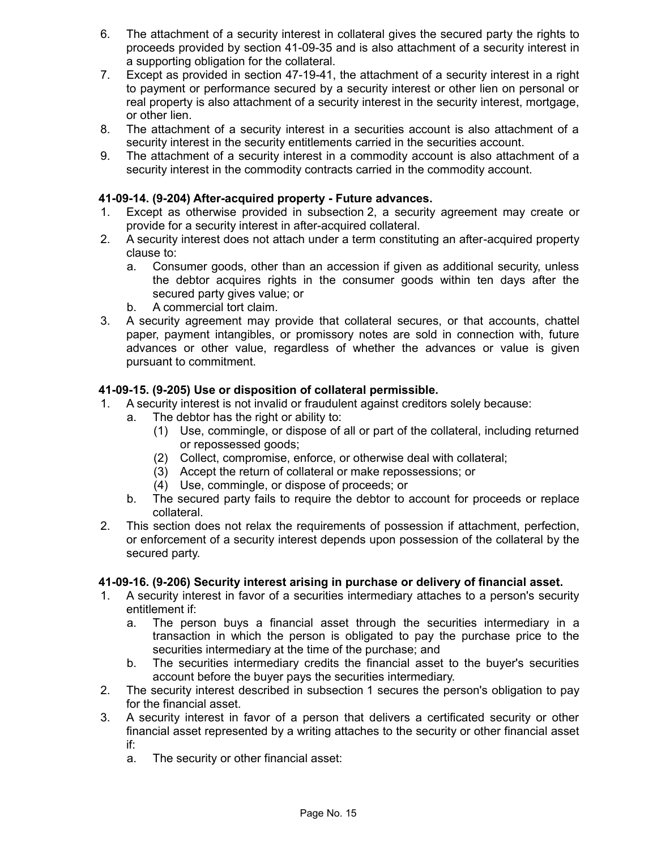- 6. The attachment of a security interest in collateral gives the secured party the rights to proceeds provided by section 41-09-35 and is also attachment of a security interest in a supporting obligation for the collateral.
- 7. Except as provided in section 47-19-41, the attachment of a security interest in a right to payment or performance secured by a security interest or other lien on personal or real property is also attachment of a security interest in the security interest, mortgage, or other lien.
- 8. The attachment of a security interest in a securities account is also attachment of a security interest in the security entitlements carried in the securities account.
- 9. The attachment of a security interest in a commodity account is also attachment of a security interest in the commodity contracts carried in the commodity account.

# **41-09-14. (9-204) After-acquired property - Future advances.**

- 1. Except as otherwise provided in subsection 2, a security agreement may create or provide for a security interest in after-acquired collateral.
- 2. A security interest does not attach under a term constituting an after-acquired property clause to:
	- a. Consumer goods, other than an accession if given as additional security, unless the debtor acquires rights in the consumer goods within ten days after the secured party gives value; or
	- b. A commercial tort claim.
- 3. A security agreement may provide that collateral secures, or that accounts, chattel paper, payment intangibles, or promissory notes are sold in connection with, future advances or other value, regardless of whether the advances or value is given pursuant to commitment.

## **41-09-15. (9-205) Use or disposition of collateral permissible.**

- 1. A security interest is not invalid or fraudulent against creditors solely because:
	- a. The debtor has the right or ability to:
		- (1) Use, commingle, or dispose of all or part of the collateral, including returned or repossessed goods;
		- (2) Collect, compromise, enforce, or otherwise deal with collateral;
		- (3) Accept the return of collateral or make repossessions; or
		- (4) Use, commingle, or dispose of proceeds; or
	- b. The secured party fails to require the debtor to account for proceeds or replace collateral.
- 2. This section does not relax the requirements of possession if attachment, perfection, or enforcement of a security interest depends upon possession of the collateral by the secured party.

## **41-09-16. (9-206) Security interest arising in purchase or delivery of financial asset.**

- 1. A security interest in favor of a securities intermediary attaches to a person's security entitlement if:
	- a. The person buys a financial asset through the securities intermediary in a transaction in which the person is obligated to pay the purchase price to the securities intermediary at the time of the purchase; and
	- b. The securities intermediary credits the financial asset to the buyer's securities account before the buyer pays the securities intermediary.
- 2. The security interest described in subsection 1 secures the person's obligation to pay for the financial asset.
- 3. A security interest in favor of a person that delivers a certificated security or other financial asset represented by a writing attaches to the security or other financial asset if:
	- a. The security or other financial asset: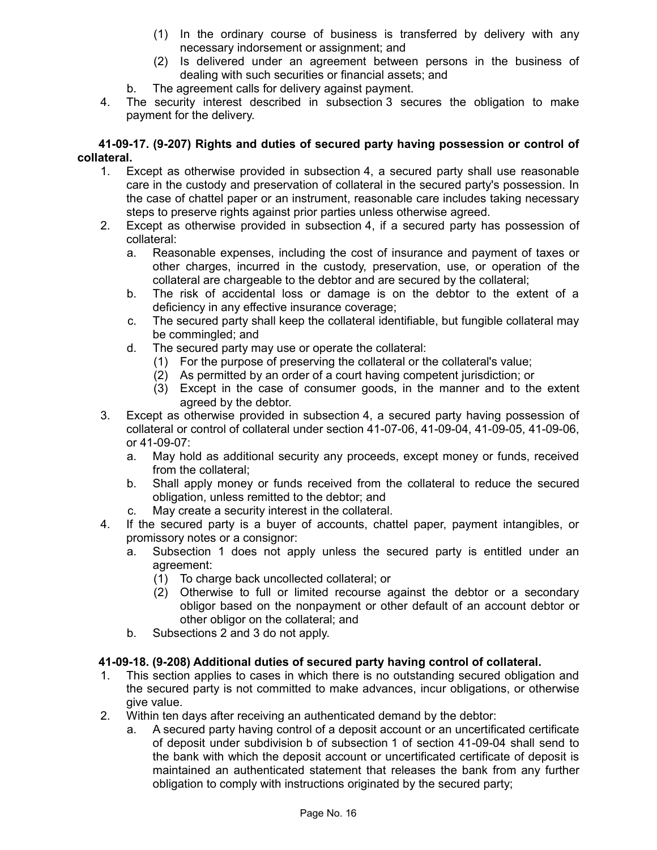- (1) In the ordinary course of business is transferred by delivery with any necessary indorsement or assignment; and
- (2) Is delivered under an agreement between persons in the business of dealing with such securities or financial assets; and
- b. The agreement calls for delivery against payment.
- 4. The security interest described in subsection 3 secures the obligation to make payment for the delivery.

## **41-09-17. (9-207) Rights and duties of secured party having possession or control of collateral.**

- 1. Except as otherwise provided in subsection 4, a secured party shall use reasonable care in the custody and preservation of collateral in the secured party's possession. In the case of chattel paper or an instrument, reasonable care includes taking necessary steps to preserve rights against prior parties unless otherwise agreed.
- 2. Except as otherwise provided in subsection 4, if a secured party has possession of collateral:
	- a. Reasonable expenses, including the cost of insurance and payment of taxes or other charges, incurred in the custody, preservation, use, or operation of the collateral are chargeable to the debtor and are secured by the collateral;
	- b. The risk of accidental loss or damage is on the debtor to the extent of a deficiency in any effective insurance coverage;
	- c. The secured party shall keep the collateral identifiable, but fungible collateral may be commingled; and
	- d. The secured party may use or operate the collateral:
		- (1) For the purpose of preserving the collateral or the collateral's value;
		- (2) As permitted by an order of a court having competent jurisdiction; or
		- (3) Except in the case of consumer goods, in the manner and to the extent agreed by the debtor.
- 3. Except as otherwise provided in subsection 4, a secured party having possession of collateral or control of collateral under section 41-07-06, 41-09-04, 41-09-05, 41-09-06, or 41-09-07:
	- a. May hold as additional security any proceeds, except money or funds, received from the collateral;
	- b. Shall apply money or funds received from the collateral to reduce the secured obligation, unless remitted to the debtor; and
	- c. May create a security interest in the collateral.
- 4. If the secured party is a buyer of accounts, chattel paper, payment intangibles, or promissory notes or a consignor:
	- a. Subsection 1 does not apply unless the secured party is entitled under an agreement:
		- (1) To charge back uncollected collateral; or
		- (2) Otherwise to full or limited recourse against the debtor or a secondary obligor based on the nonpayment or other default of an account debtor or other obligor on the collateral; and
	- b. Subsections 2 and 3 do not apply.

# **41-09-18. (9-208) Additional duties of secured party having control of collateral.**

- 1. This section applies to cases in which there is no outstanding secured obligation and the secured party is not committed to make advances, incur obligations, or otherwise give value.
- 2. Within ten days after receiving an authenticated demand by the debtor:
	- a. A secured party having control of a deposit account or an uncertificated certificate of deposit under subdivision b of subsection 1 of section 41-09-04 shall send to the bank with which the deposit account or uncertificated certificate of deposit is maintained an authenticated statement that releases the bank from any further obligation to comply with instructions originated by the secured party;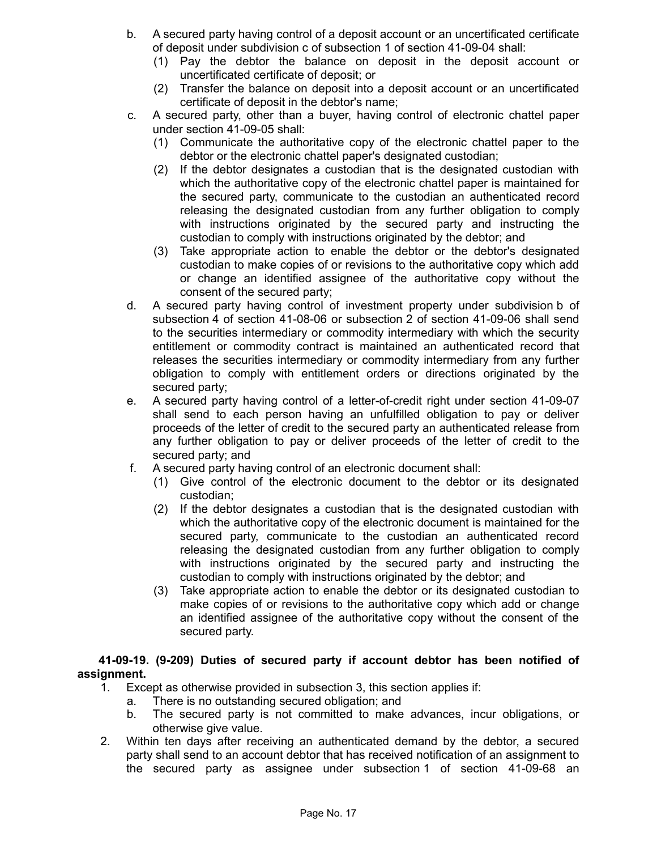- b. A secured party having control of a deposit account or an uncertificated certificate of deposit under subdivision c of subsection 1 of section 41-09-04 shall:
	- (1) Pay the debtor the balance on deposit in the deposit account or uncertificated certificate of deposit; or
	- (2) Transfer the balance on deposit into a deposit account or an uncertificated certificate of deposit in the debtor's name;
- c. A secured party, other than a buyer, having control of electronic chattel paper under section 41-09-05 shall:
	- (1) Communicate the authoritative copy of the electronic chattel paper to the debtor or the electronic chattel paper's designated custodian;
	- (2) If the debtor designates a custodian that is the designated custodian with which the authoritative copy of the electronic chattel paper is maintained for the secured party, communicate to the custodian an authenticated record releasing the designated custodian from any further obligation to comply with instructions originated by the secured party and instructing the custodian to comply with instructions originated by the debtor; and
	- (3) Take appropriate action to enable the debtor or the debtor's designated custodian to make copies of or revisions to the authoritative copy which add or change an identified assignee of the authoritative copy without the consent of the secured party;
- d. A secured party having control of investment property under subdivision b of subsection 4 of section 41-08-06 or subsection 2 of section 41-09-06 shall send to the securities intermediary or commodity intermediary with which the security entitlement or commodity contract is maintained an authenticated record that releases the securities intermediary or commodity intermediary from any further obligation to comply with entitlement orders or directions originated by the secured party;
- e. A secured party having control of a letter-of-credit right under section 41-09-07 shall send to each person having an unfulfilled obligation to pay or deliver proceeds of the letter of credit to the secured party an authenticated release from any further obligation to pay or deliver proceeds of the letter of credit to the secured party; and
- f. A secured party having control of an electronic document shall:
	- (1) Give control of the electronic document to the debtor or its designated custodian;
	- (2) If the debtor designates a custodian that is the designated custodian with which the authoritative copy of the electronic document is maintained for the secured party, communicate to the custodian an authenticated record releasing the designated custodian from any further obligation to comply with instructions originated by the secured party and instructing the custodian to comply with instructions originated by the debtor; and
	- (3) Take appropriate action to enable the debtor or its designated custodian to make copies of or revisions to the authoritative copy which add or change an identified assignee of the authoritative copy without the consent of the secured party.

## **41-09-19. (9-209) Duties of secured party if account debtor has been notified of assignment.**

- 1. Except as otherwise provided in subsection 3, this section applies if:
	- a. There is no outstanding secured obligation; and
	- b. The secured party is not committed to make advances, incur obligations, or otherwise give value.
- 2. Within ten days after receiving an authenticated demand by the debtor, a secured party shall send to an account debtor that has received notification of an assignment to the secured party as assignee under subsection 1 of section 41-09-68 an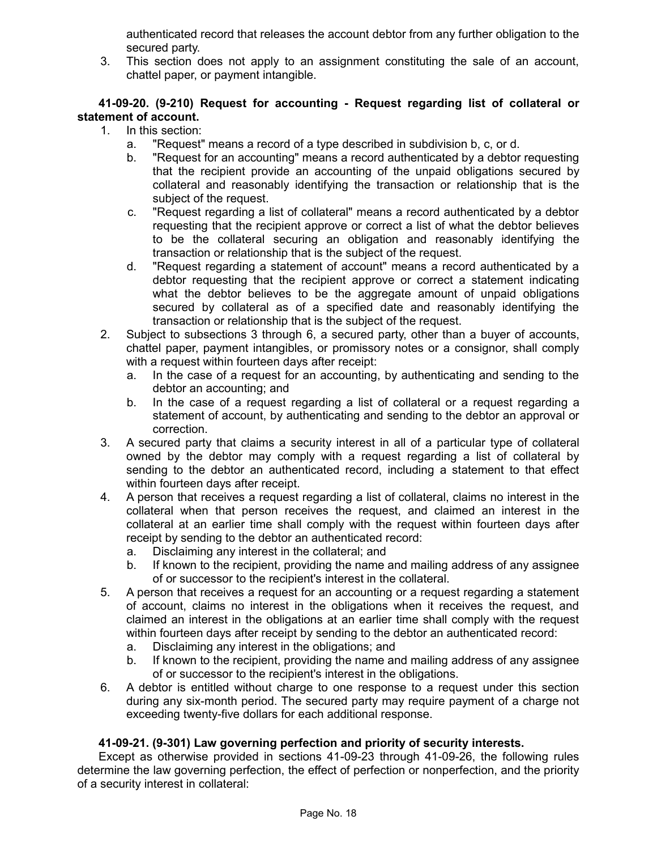authenticated record that releases the account debtor from any further obligation to the secured party.

3. This section does not apply to an assignment constituting the sale of an account, chattel paper, or payment intangible.

# **41-09-20. (9-210) Request for accounting - Request regarding list of collateral or statement of account.**

- 1. In this section:
	- a. "Request" means a record of a type described in subdivision b, c, or d.
	- b. "Request for an accounting" means a record authenticated by a debtor requesting that the recipient provide an accounting of the unpaid obligations secured by collateral and reasonably identifying the transaction or relationship that is the subject of the request.
	- c. "Request regarding a list of collateral" means a record authenticated by a debtor requesting that the recipient approve or correct a list of what the debtor believes to be the collateral securing an obligation and reasonably identifying the transaction or relationship that is the subject of the request.
	- d. "Request regarding a statement of account" means a record authenticated by a debtor requesting that the recipient approve or correct a statement indicating what the debtor believes to be the aggregate amount of unpaid obligations secured by collateral as of a specified date and reasonably identifying the transaction or relationship that is the subject of the request.
- 2. Subject to subsections 3 through 6, a secured party, other than a buyer of accounts, chattel paper, payment intangibles, or promissory notes or a consignor, shall comply with a request within fourteen days after receipt:
	- a. In the case of a request for an accounting, by authenticating and sending to the debtor an accounting; and
	- b. In the case of a request regarding a list of collateral or a request regarding a statement of account, by authenticating and sending to the debtor an approval or correction.
- 3. A secured party that claims a security interest in all of a particular type of collateral owned by the debtor may comply with a request regarding a list of collateral by sending to the debtor an authenticated record, including a statement to that effect within fourteen days after receipt.
- 4. A person that receives a request regarding a list of collateral, claims no interest in the collateral when that person receives the request, and claimed an interest in the collateral at an earlier time shall comply with the request within fourteen days after receipt by sending to the debtor an authenticated record:
	- a. Disclaiming any interest in the collateral; and
	- b. If known to the recipient, providing the name and mailing address of any assignee of or successor to the recipient's interest in the collateral.
- 5. A person that receives a request for an accounting or a request regarding a statement of account, claims no interest in the obligations when it receives the request, and claimed an interest in the obligations at an earlier time shall comply with the request within fourteen days after receipt by sending to the debtor an authenticated record:
	- a. Disclaiming any interest in the obligations; and
	- b. If known to the recipient, providing the name and mailing address of any assignee of or successor to the recipient's interest in the obligations.
- 6. A debtor is entitled without charge to one response to a request under this section during any six-month period. The secured party may require payment of a charge not exceeding twenty-five dollars for each additional response.

# **41-09-21. (9-301) Law governing perfection and priority of security interests.**

Except as otherwise provided in sections 41-09-23 through 41-09-26, the following rules determine the law governing perfection, the effect of perfection or nonperfection, and the priority of a security interest in collateral: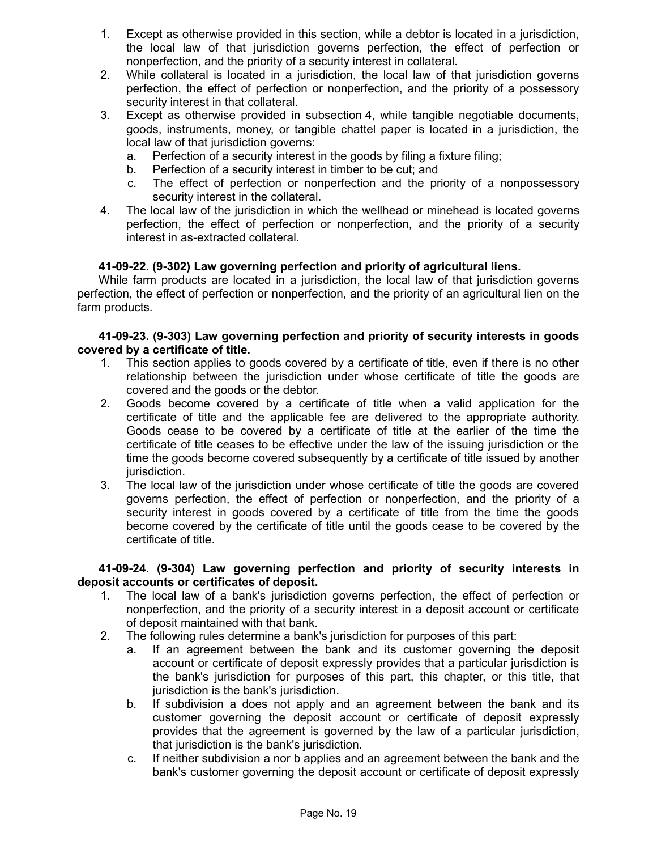- 1. Except as otherwise provided in this section, while a debtor is located in a jurisdiction, the local law of that jurisdiction governs perfection, the effect of perfection or nonperfection, and the priority of a security interest in collateral.
- 2. While collateral is located in a jurisdiction, the local law of that jurisdiction governs perfection, the effect of perfection or nonperfection, and the priority of a possessory security interest in that collateral.
- 3. Except as otherwise provided in subsection 4, while tangible negotiable documents, goods, instruments, money, or tangible chattel paper is located in a jurisdiction, the local law of that jurisdiction governs:
	- a. Perfection of a security interest in the goods by filing a fixture filing;
	- b. Perfection of a security interest in timber to be cut; and
	- c. The effect of perfection or nonperfection and the priority of a nonpossessory security interest in the collateral.
- 4. The local law of the jurisdiction in which the wellhead or minehead is located governs perfection, the effect of perfection or nonperfection, and the priority of a security interest in as-extracted collateral.

# **41-09-22. (9-302) Law governing perfection and priority of agricultural liens.**

While farm products are located in a jurisdiction, the local law of that jurisdiction governs perfection, the effect of perfection or nonperfection, and the priority of an agricultural lien on the farm products.

#### **41-09-23. (9-303) Law governing perfection and priority of security interests in goods covered by a certificate of title.**

- 1. This section applies to goods covered by a certificate of title, even if there is no other relationship between the jurisdiction under whose certificate of title the goods are covered and the goods or the debtor.
- 2. Goods become covered by a certificate of title when a valid application for the certificate of title and the applicable fee are delivered to the appropriate authority. Goods cease to be covered by a certificate of title at the earlier of the time the certificate of title ceases to be effective under the law of the issuing jurisdiction or the time the goods become covered subsequently by a certificate of title issued by another jurisdiction.
- 3. The local law of the jurisdiction under whose certificate of title the goods are covered governs perfection, the effect of perfection or nonperfection, and the priority of a security interest in goods covered by a certificate of title from the time the goods become covered by the certificate of title until the goods cease to be covered by the certificate of title.

### **41-09-24. (9-304) Law governing perfection and priority of security interests in deposit accounts or certificates of deposit.**

- 1. The local law of a bank's jurisdiction governs perfection, the effect of perfection or nonperfection, and the priority of a security interest in a deposit account or certificate of deposit maintained with that bank.
- 2. The following rules determine a bank's jurisdiction for purposes of this part:
	- a. If an agreement between the bank and its customer governing the deposit account or certificate of deposit expressly provides that a particular jurisdiction is the bank's jurisdiction for purposes of this part, this chapter, or this title, that jurisdiction is the bank's jurisdiction.
	- b. If subdivision a does not apply and an agreement between the bank and its customer governing the deposit account or certificate of deposit expressly provides that the agreement is governed by the law of a particular jurisdiction, that jurisdiction is the bank's jurisdiction.
	- c. If neither subdivision a nor b applies and an agreement between the bank and the bank's customer governing the deposit account or certificate of deposit expressly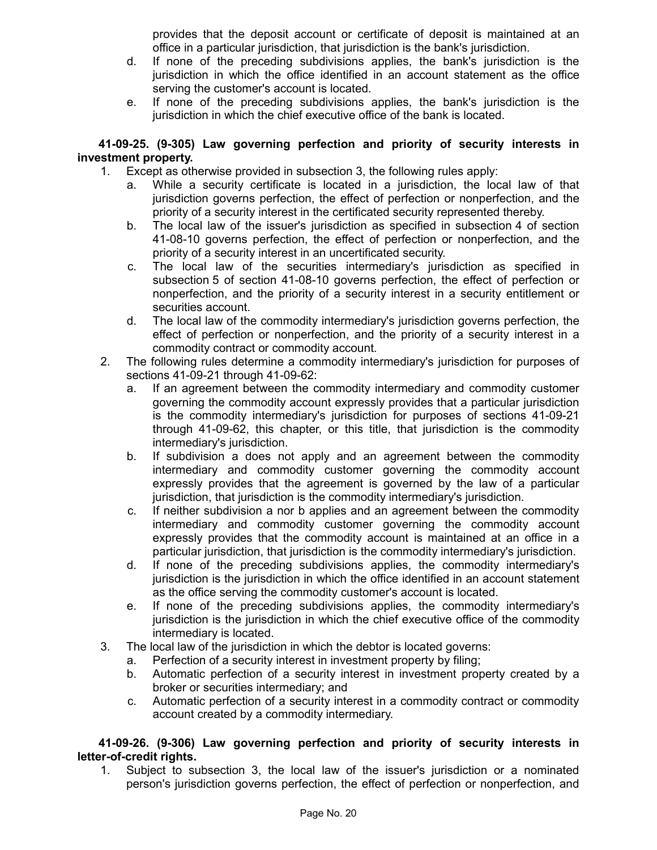provides that the deposit account or certificate of deposit is maintained at an office in a particular jurisdiction, that jurisdiction is the bank's jurisdiction.

- d. If none of the preceding subdivisions applies, the bank's jurisdiction is the jurisdiction in which the office identified in an account statement as the office serving the customer's account is located.
- e. If none of the preceding subdivisions applies, the bank's jurisdiction is the jurisdiction in which the chief executive office of the bank is located.

### **41-09-25. (9-305) Law governing perfection and priority of security interests in investment property.**

- 1. Except as otherwise provided in subsection 3, the following rules apply:
	- a. While a security certificate is located in a jurisdiction, the local law of that jurisdiction governs perfection, the effect of perfection or nonperfection, and the priority of a security interest in the certificated security represented thereby.
	- b. The local law of the issuer's jurisdiction as specified in subsection 4 of section 41-08-10 governs perfection, the effect of perfection or nonperfection, and the priority of a security interest in an uncertificated security.
	- c. The local law of the securities intermediary's jurisdiction as specified in subsection 5 of section 41-08-10 governs perfection, the effect of perfection or nonperfection, and the priority of a security interest in a security entitlement or securities account.
	- d. The local law of the commodity intermediary's jurisdiction governs perfection, the effect of perfection or nonperfection, and the priority of a security interest in a commodity contract or commodity account.
- 2. The following rules determine a commodity intermediary's jurisdiction for purposes of sections 41-09-21 through 41-09-62:
	- a. If an agreement between the commodity intermediary and commodity customer governing the commodity account expressly provides that a particular jurisdiction is the commodity intermediary's jurisdiction for purposes of sections 41-09-21 through 41-09-62, this chapter, or this title, that jurisdiction is the commodity intermediary's jurisdiction.
	- b. If subdivision a does not apply and an agreement between the commodity intermediary and commodity customer governing the commodity account expressly provides that the agreement is governed by the law of a particular jurisdiction, that jurisdiction is the commodity intermediary's jurisdiction.
	- c. If neither subdivision a nor b applies and an agreement between the commodity intermediary and commodity customer governing the commodity account expressly provides that the commodity account is maintained at an office in a particular jurisdiction, that jurisdiction is the commodity intermediary's jurisdiction.
	- d. If none of the preceding subdivisions applies, the commodity intermediary's jurisdiction is the jurisdiction in which the office identified in an account statement as the office serving the commodity customer's account is located.
	- e. If none of the preceding subdivisions applies, the commodity intermediary's jurisdiction is the jurisdiction in which the chief executive office of the commodity intermediary is located.
- 3. The local law of the jurisdiction in which the debtor is located governs:
	- a. Perfection of a security interest in investment property by filing;
	- b. Automatic perfection of a security interest in investment property created by a broker or securities intermediary; and
	- c. Automatic perfection of a security interest in a commodity contract or commodity account created by a commodity intermediary.

**41-09-26. (9-306) Law governing perfection and priority of security interests in letter-of-credit rights.**

1. Subject to subsection 3, the local law of the issuer's jurisdiction or a nominated person's jurisdiction governs perfection, the effect of perfection or nonperfection, and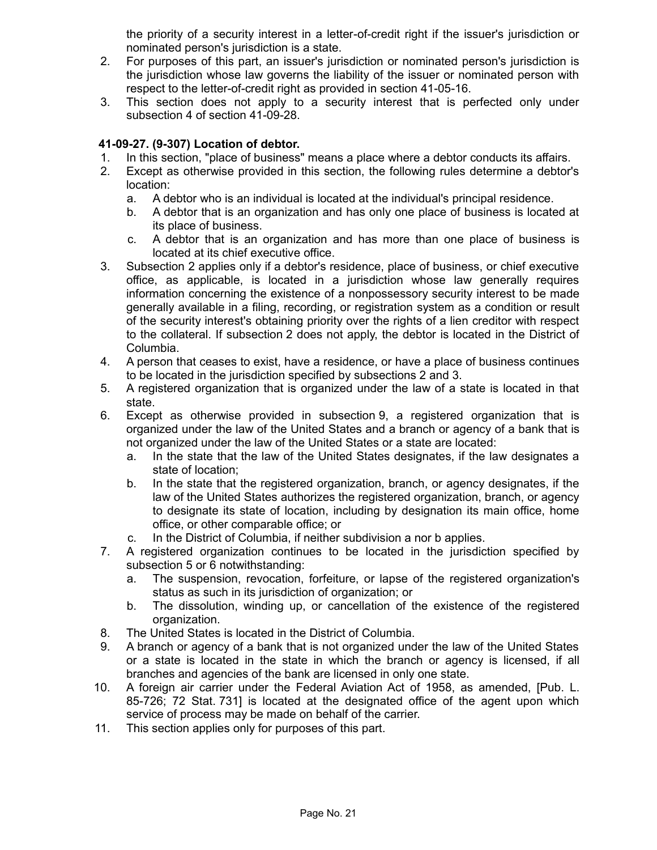the priority of a security interest in a letter-of-credit right if the issuer's jurisdiction or nominated person's jurisdiction is a state.

- 2. For purposes of this part, an issuer's jurisdiction or nominated person's jurisdiction is the jurisdiction whose law governs the liability of the issuer or nominated person with respect to the letter-of-credit right as provided in section 41-05-16.
- 3. This section does not apply to a security interest that is perfected only under subsection 4 of section 41-09-28.

# **41-09-27. (9-307) Location of debtor.**

- 1. In this section, "place of business" means a place where a debtor conducts its affairs.
- 2. Except as otherwise provided in this section, the following rules determine a debtor's location:
	- a. A debtor who is an individual is located at the individual's principal residence.
	- b. A debtor that is an organization and has only one place of business is located at its place of business.
	- c. A debtor that is an organization and has more than one place of business is located at its chief executive office.
- 3. Subsection 2 applies only if a debtor's residence, place of business, or chief executive office, as applicable, is located in a jurisdiction whose law generally requires information concerning the existence of a nonpossessory security interest to be made generally available in a filing, recording, or registration system as a condition or result of the security interest's obtaining priority over the rights of a lien creditor with respect to the collateral. If subsection 2 does not apply, the debtor is located in the District of Columbia.
- 4. A person that ceases to exist, have a residence, or have a place of business continues to be located in the jurisdiction specified by subsections 2 and 3.
- 5. A registered organization that is organized under the law of a state is located in that state.
- 6. Except as otherwise provided in subsection 9, a registered organization that is organized under the law of the United States and a branch or agency of a bank that is not organized under the law of the United States or a state are located:
	- a. In the state that the law of the United States designates, if the law designates a state of location;
	- b. In the state that the registered organization, branch, or agency designates, if the law of the United States authorizes the registered organization, branch, or agency to designate its state of location, including by designation its main office, home office, or other comparable office; or
	- c. In the District of Columbia, if neither subdivision a nor b applies.
- 7. A registered organization continues to be located in the jurisdiction specified by subsection 5 or 6 notwithstanding:
	- a. The suspension, revocation, forfeiture, or lapse of the registered organization's status as such in its jurisdiction of organization; or
	- b. The dissolution, winding up, or cancellation of the existence of the registered organization.
- 8. The United States is located in the District of Columbia.
- 9. A branch or agency of a bank that is not organized under the law of the United States or a state is located in the state in which the branch or agency is licensed, if all branches and agencies of the bank are licensed in only one state.
- 10. A foreign air carrier under the Federal Aviation Act of 1958, as amended, [Pub. L. 85-726; 72 Stat. 731] is located at the designated office of the agent upon which service of process may be made on behalf of the carrier.
- 11. This section applies only for purposes of this part.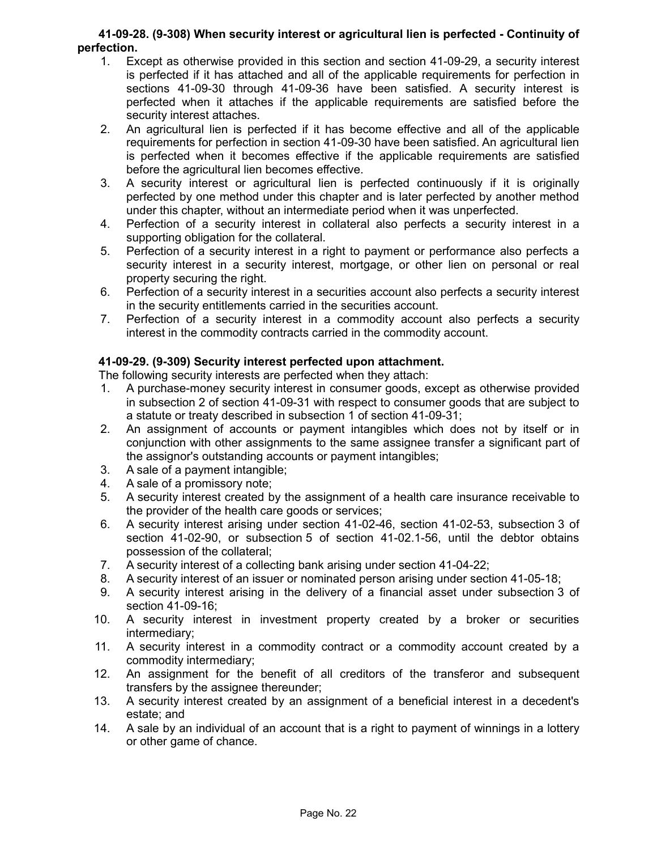### **41-09-28. (9-308) When security interest or agricultural lien is perfected - Continuity of perfection.**

- 1. Except as otherwise provided in this section and section 41-09-29, a security interest is perfected if it has attached and all of the applicable requirements for perfection in sections 41-09-30 through 41-09-36 have been satisfied. A security interest is perfected when it attaches if the applicable requirements are satisfied before the security interest attaches.
- 2. An agricultural lien is perfected if it has become effective and all of the applicable requirements for perfection in section 41-09-30 have been satisfied. An agricultural lien is perfected when it becomes effective if the applicable requirements are satisfied before the agricultural lien becomes effective.
- 3. A security interest or agricultural lien is perfected continuously if it is originally perfected by one method under this chapter and is later perfected by another method under this chapter, without an intermediate period when it was unperfected.
- 4. Perfection of a security interest in collateral also perfects a security interest in a supporting obligation for the collateral.
- 5. Perfection of a security interest in a right to payment or performance also perfects a security interest in a security interest, mortgage, or other lien on personal or real property securing the right.
- 6. Perfection of a security interest in a securities account also perfects a security interest in the security entitlements carried in the securities account.
- 7. Perfection of a security interest in a commodity account also perfects a security interest in the commodity contracts carried in the commodity account.

# **41-09-29. (9-309) Security interest perfected upon attachment.**

The following security interests are perfected when they attach:

- 1. A purchase-money security interest in consumer goods, except as otherwise provided in subsection 2 of section 41-09-31 with respect to consumer goods that are subject to a statute or treaty described in subsection 1 of section 41-09-31;
- 2. An assignment of accounts or payment intangibles which does not by itself or in conjunction with other assignments to the same assignee transfer a significant part of the assignor's outstanding accounts or payment intangibles;
- 3. A sale of a payment intangible;
- 4. A sale of a promissory note;
- 5. A security interest created by the assignment of a health care insurance receivable to the provider of the health care goods or services;
- 6. A security interest arising under section 41-02-46, section 41-02-53, subsection 3 of section 41-02-90, or subsection 5 of section 41-02.1-56, until the debtor obtains possession of the collateral;
- 7. A security interest of a collecting bank arising under section 41-04-22;
- 8. A security interest of an issuer or nominated person arising under section 41-05-18;
- 9. A security interest arising in the delivery of a financial asset under subsection 3 of section 41-09-16;
- 10. A security interest in investment property created by a broker or securities intermediary;
- 11. A security interest in a commodity contract or a commodity account created by a commodity intermediary;
- 12. An assignment for the benefit of all creditors of the transferor and subsequent transfers by the assignee thereunder;
- 13. A security interest created by an assignment of a beneficial interest in a decedent's estate; and
- 14. A sale by an individual of an account that is a right to payment of winnings in a lottery or other game of chance.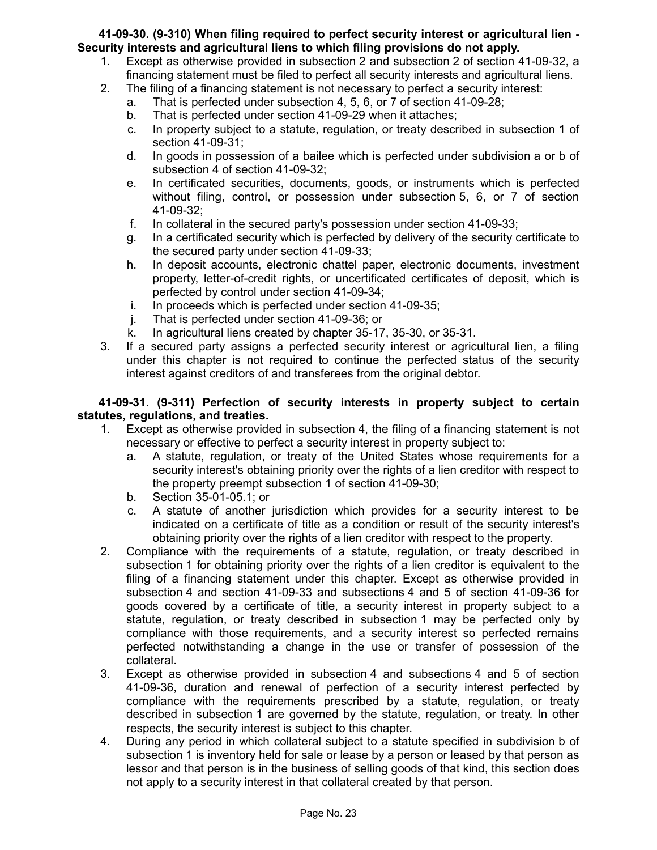## **41-09-30. (9-310) When filing required to perfect security interest or agricultural lien - Security interests and agricultural liens to which filing provisions do not apply.**

- 1. Except as otherwise provided in subsection 2 and subsection 2 of section 41-09-32, a financing statement must be filed to perfect all security interests and agricultural liens.
- 2. The filing of a financing statement is not necessary to perfect a security interest:
	- a. That is perfected under subsection 4, 5, 6, or 7 of section 41-09-28;
	- b. That is perfected under section 41-09-29 when it attaches;
	- c. In property subject to a statute, regulation, or treaty described in subsection 1 of section 41-09-31;
	- d. In goods in possession of a bailee which is perfected under subdivision a or b of subsection 4 of section 41-09-32;
	- e. In certificated securities, documents, goods, or instruments which is perfected without filing, control, or possession under subsection 5, 6, or 7 of section 41-09-32;
	- f. In collateral in the secured party's possession under section 41-09-33;
	- g. In a certificated security which is perfected by delivery of the security certificate to the secured party under section 41-09-33;
	- h. In deposit accounts, electronic chattel paper, electronic documents, investment property, letter-of-credit rights, or uncertificated certificates of deposit, which is perfected by control under section 41-09-34;
	- i. In proceeds which is perfected under section 41-09-35;
	- j. That is perfected under section 41-09-36; or
	- k. In agricultural liens created by chapter 35-17, 35-30, or 35-31.
- 3. If a secured party assigns a perfected security interest or agricultural lien, a filing under this chapter is not required to continue the perfected status of the security interest against creditors of and transferees from the original debtor.

## **41-09-31. (9-311) Perfection of security interests in property subject to certain statutes, regulations, and treaties.**

- 1. Except as otherwise provided in subsection 4, the filing of a financing statement is not necessary or effective to perfect a security interest in property subject to:
	- a. A statute, regulation, or treaty of the United States whose requirements for a security interest's obtaining priority over the rights of a lien creditor with respect to the property preempt subsection 1 of section 41-09-30;
	- b. Section 35-01-05.1; or
	- c. A statute of another jurisdiction which provides for a security interest to be indicated on a certificate of title as a condition or result of the security interest's obtaining priority over the rights of a lien creditor with respect to the property.
- 2. Compliance with the requirements of a statute, regulation, or treaty described in subsection 1 for obtaining priority over the rights of a lien creditor is equivalent to the filing of a financing statement under this chapter. Except as otherwise provided in subsection 4 and section 41-09-33 and subsections 4 and 5 of section 41-09-36 for goods covered by a certificate of title, a security interest in property subject to a statute, regulation, or treaty described in subsection 1 may be perfected only by compliance with those requirements, and a security interest so perfected remains perfected notwithstanding a change in the use or transfer of possession of the collateral.
- 3. Except as otherwise provided in subsection 4 and subsections 4 and 5 of section 41-09-36, duration and renewal of perfection of a security interest perfected by compliance with the requirements prescribed by a statute, regulation, or treaty described in subsection 1 are governed by the statute, regulation, or treaty. In other respects, the security interest is subject to this chapter.
- 4. During any period in which collateral subject to a statute specified in subdivision b of subsection 1 is inventory held for sale or lease by a person or leased by that person as lessor and that person is in the business of selling goods of that kind, this section does not apply to a security interest in that collateral created by that person.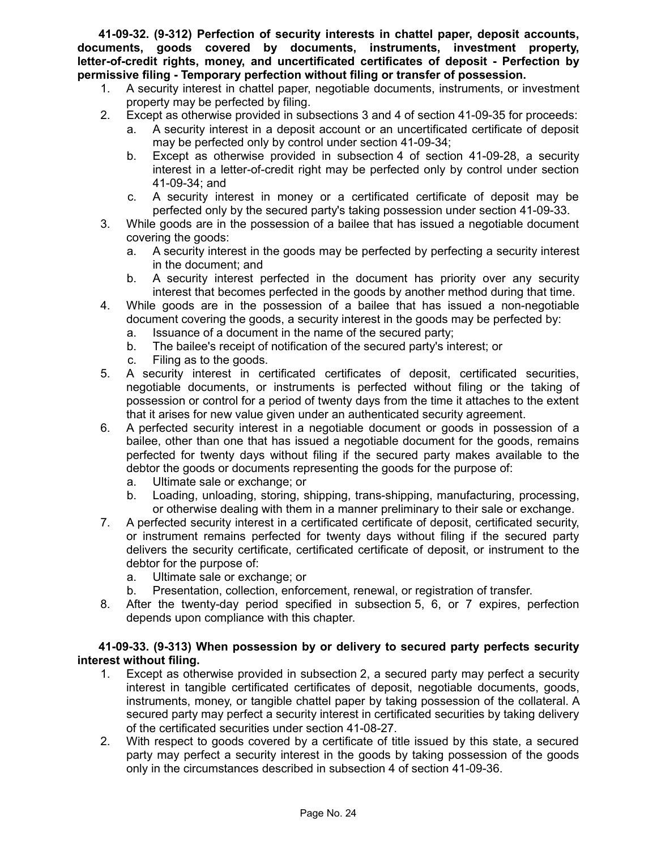**41-09-32. (9-312) Perfection of security interests in chattel paper, deposit accounts, documents, goods covered by documents, instruments, investment property, letter-of-credit rights, money, and uncertificated certificates of deposit - Perfection by permissive filing - Temporary perfection without filing or transfer of possession.**

- 1. A security interest in chattel paper, negotiable documents, instruments, or investment property may be perfected by filing.
- 2. Except as otherwise provided in subsections 3 and 4 of section 41-09-35 for proceeds:
	- a. A security interest in a deposit account or an uncertificated certificate of deposit may be perfected only by control under section 41-09-34;
	- b. Except as otherwise provided in subsection 4 of section 41-09-28, a security interest in a letter-of-credit right may be perfected only by control under section 41-09-34; and
	- c. A security interest in money or a certificated certificate of deposit may be perfected only by the secured party's taking possession under section 41-09-33.
- 3. While goods are in the possession of a bailee that has issued a negotiable document covering the goods:
	- a. A security interest in the goods may be perfected by perfecting a security interest in the document; and
	- b. A security interest perfected in the document has priority over any security interest that becomes perfected in the goods by another method during that time.
- 4. While goods are in the possession of a bailee that has issued a non-negotiable document covering the goods, a security interest in the goods may be perfected by:
	- a. Issuance of a document in the name of the secured party;
	- b. The bailee's receipt of notification of the secured party's interest; or
	- c. Filing as to the goods.
- 5. A security interest in certificated certificates of deposit, certificated securities, negotiable documents, or instruments is perfected without filing or the taking of possession or control for a period of twenty days from the time it attaches to the extent that it arises for new value given under an authenticated security agreement.
- 6. A perfected security interest in a negotiable document or goods in possession of a bailee, other than one that has issued a negotiable document for the goods, remains perfected for twenty days without filing if the secured party makes available to the debtor the goods or documents representing the goods for the purpose of:
	- a. Ultimate sale or exchange; or
	- b. Loading, unloading, storing, shipping, trans-shipping, manufacturing, processing, or otherwise dealing with them in a manner preliminary to their sale or exchange.
- 7. A perfected security interest in a certificated certificate of deposit, certificated security, or instrument remains perfected for twenty days without filing if the secured party delivers the security certificate, certificated certificate of deposit, or instrument to the debtor for the purpose of:
	- a. Ultimate sale or exchange; or
	- b. Presentation, collection, enforcement, renewal, or registration of transfer.
- 8. After the twenty-day period specified in subsection 5, 6, or 7 expires, perfection depends upon compliance with this chapter.

## **41-09-33. (9-313) When possession by or delivery to secured party perfects security interest without filing.**

- 1. Except as otherwise provided in subsection 2, a secured party may perfect a security interest in tangible certificated certificates of deposit, negotiable documents, goods, instruments, money, or tangible chattel paper by taking possession of the collateral. A secured party may perfect a security interest in certificated securities by taking delivery of the certificated securities under section 41-08-27.
- 2. With respect to goods covered by a certificate of title issued by this state, a secured party may perfect a security interest in the goods by taking possession of the goods only in the circumstances described in subsection 4 of section 41-09-36.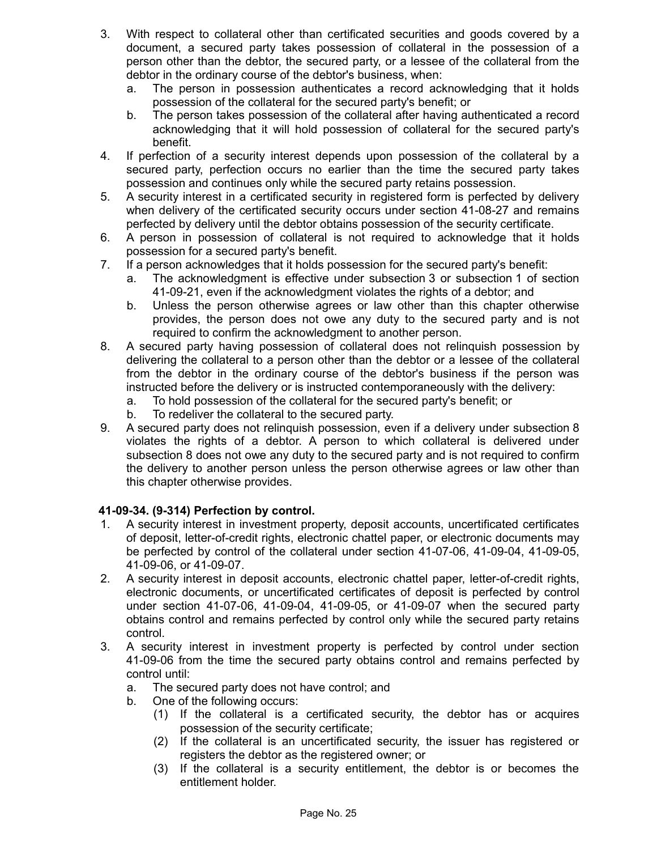- 3. With respect to collateral other than certificated securities and goods covered by a document, a secured party takes possession of collateral in the possession of a person other than the debtor, the secured party, or a lessee of the collateral from the debtor in the ordinary course of the debtor's business, when:
	- a. The person in possession authenticates a record acknowledging that it holds possession of the collateral for the secured party's benefit; or
	- b. The person takes possession of the collateral after having authenticated a record acknowledging that it will hold possession of collateral for the secured party's benefit.
- 4. If perfection of a security interest depends upon possession of the collateral by a secured party, perfection occurs no earlier than the time the secured party takes possession and continues only while the secured party retains possession.
- 5. A security interest in a certificated security in registered form is perfected by delivery when delivery of the certificated security occurs under section 41-08-27 and remains perfected by delivery until the debtor obtains possession of the security certificate.
- 6. A person in possession of collateral is not required to acknowledge that it holds possession for a secured party's benefit.
- 7. If a person acknowledges that it holds possession for the secured party's benefit:
	- a. The acknowledgment is effective under subsection 3 or subsection 1 of section 41-09-21, even if the acknowledgment violates the rights of a debtor; and
	- b. Unless the person otherwise agrees or law other than this chapter otherwise provides, the person does not owe any duty to the secured party and is not required to confirm the acknowledgment to another person.
- 8. A secured party having possession of collateral does not relinquish possession by delivering the collateral to a person other than the debtor or a lessee of the collateral from the debtor in the ordinary course of the debtor's business if the person was instructed before the delivery or is instructed contemporaneously with the delivery:
	- a. To hold possession of the collateral for the secured party's benefit; or
	- b. To redeliver the collateral to the secured party.
- 9. A secured party does not relinquish possession, even if a delivery under subsection 8 violates the rights of a debtor. A person to which collateral is delivered under subsection 8 does not owe any duty to the secured party and is not required to confirm the delivery to another person unless the person otherwise agrees or law other than this chapter otherwise provides.

# **41-09-34. (9-314) Perfection by control.**

- 1. A security interest in investment property, deposit accounts, uncertificated certificates of deposit, letter-of-credit rights, electronic chattel paper, or electronic documents may be perfected by control of the collateral under section 41-07-06, 41-09-04, 41-09-05, 41-09-06, or 41-09-07.
- 2. A security interest in deposit accounts, electronic chattel paper, letter-of-credit rights, electronic documents, or uncertificated certificates of deposit is perfected by control under section 41-07-06, 41-09-04, 41-09-05, or 41-09-07 when the secured party obtains control and remains perfected by control only while the secured party retains control.
- 3. A security interest in investment property is perfected by control under section 41-09-06 from the time the secured party obtains control and remains perfected by control until:
	- a. The secured party does not have control; and
	- b. One of the following occurs:
		- (1) If the collateral is a certificated security, the debtor has or acquires possession of the security certificate;
		- (2) If the collateral is an uncertificated security, the issuer has registered or registers the debtor as the registered owner; or
		- (3) If the collateral is a security entitlement, the debtor is or becomes the entitlement holder.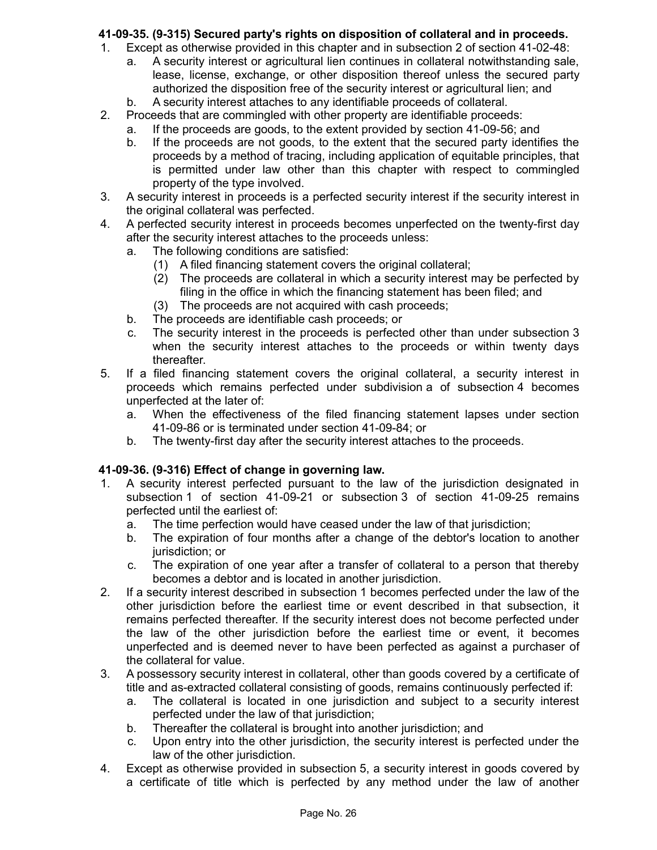# **41-09-35. (9-315) Secured party's rights on disposition of collateral and in proceeds.**

- 1. Except as otherwise provided in this chapter and in subsection 2 of section 41-02-48:
	- a. A security interest or agricultural lien continues in collateral notwithstanding sale, lease, license, exchange, or other disposition thereof unless the secured party authorized the disposition free of the security interest or agricultural lien; and
	- b. A security interest attaches to any identifiable proceeds of collateral.
- 2. Proceeds that are commingled with other property are identifiable proceeds:
	- a. If the proceeds are goods, to the extent provided by section 41-09-56; and
	- b. If the proceeds are not goods, to the extent that the secured party identifies the proceeds by a method of tracing, including application of equitable principles, that is permitted under law other than this chapter with respect to commingled property of the type involved.
- 3. A security interest in proceeds is a perfected security interest if the security interest in the original collateral was perfected.
- 4. A perfected security interest in proceeds becomes unperfected on the twenty-first day after the security interest attaches to the proceeds unless:
	- a. The following conditions are satisfied:
		- (1) A filed financing statement covers the original collateral;
		- (2) The proceeds are collateral in which a security interest may be perfected by filing in the office in which the financing statement has been filed; and
		- (3) The proceeds are not acquired with cash proceeds;
	- b. The proceeds are identifiable cash proceeds; or
	- c. The security interest in the proceeds is perfected other than under subsection 3 when the security interest attaches to the proceeds or within twenty days thereafter.
- 5. If a filed financing statement covers the original collateral, a security interest in proceeds which remains perfected under subdivision a of subsection 4 becomes unperfected at the later of:
	- a. When the effectiveness of the filed financing statement lapses under section 41-09-86 or is terminated under section 41-09-84; or
	- b. The twenty-first day after the security interest attaches to the proceeds.

## **41-09-36. (9-316) Effect of change in governing law.**

- 1. A security interest perfected pursuant to the law of the jurisdiction designated in subsection 1 of section 41-09-21 or subsection 3 of section 41-09-25 remains perfected until the earliest of:
	- a. The time perfection would have ceased under the law of that jurisdiction;
	- b. The expiration of four months after a change of the debtor's location to another jurisdiction; or
	- c. The expiration of one year after a transfer of collateral to a person that thereby becomes a debtor and is located in another jurisdiction.
- 2. If a security interest described in subsection 1 becomes perfected under the law of the other jurisdiction before the earliest time or event described in that subsection, it remains perfected thereafter. If the security interest does not become perfected under the law of the other jurisdiction before the earliest time or event, it becomes unperfected and is deemed never to have been perfected as against a purchaser of the collateral for value.
- 3. A possessory security interest in collateral, other than goods covered by a certificate of title and as-extracted collateral consisting of goods, remains continuously perfected if:
	- a. The collateral is located in one jurisdiction and subject to a security interest perfected under the law of that jurisdiction;
	- b. Thereafter the collateral is brought into another jurisdiction; and
	- c. Upon entry into the other jurisdiction, the security interest is perfected under the law of the other jurisdiction.
- 4. Except as otherwise provided in subsection 5, a security interest in goods covered by a certificate of title which is perfected by any method under the law of another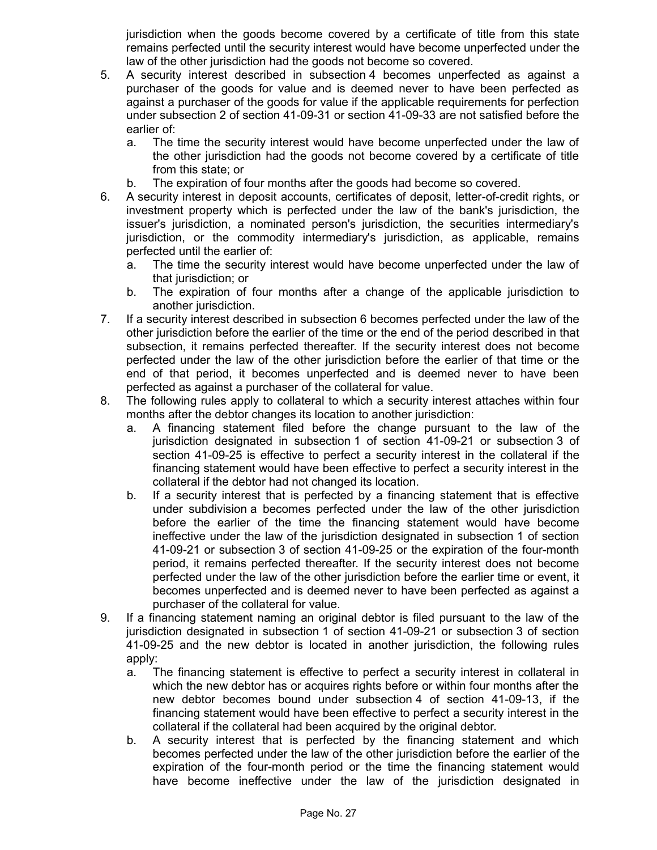jurisdiction when the goods become covered by a certificate of title from this state remains perfected until the security interest would have become unperfected under the law of the other jurisdiction had the goods not become so covered.

- 5. A security interest described in subsection 4 becomes unperfected as against a purchaser of the goods for value and is deemed never to have been perfected as against a purchaser of the goods for value if the applicable requirements for perfection under subsection 2 of section 41-09-31 or section 41-09-33 are not satisfied before the earlier of:
	- a. The time the security interest would have become unperfected under the law of the other jurisdiction had the goods not become covered by a certificate of title from this state; or
	- b. The expiration of four months after the goods had become so covered.
- 6. A security interest in deposit accounts, certificates of deposit, letter-of-credit rights, or investment property which is perfected under the law of the bank's jurisdiction, the issuer's jurisdiction, a nominated person's jurisdiction, the securities intermediary's jurisdiction, or the commodity intermediary's jurisdiction, as applicable, remains perfected until the earlier of:
	- a. The time the security interest would have become unperfected under the law of that jurisdiction; or
	- b. The expiration of four months after a change of the applicable jurisdiction to another jurisdiction.
- 7. If a security interest described in subsection 6 becomes perfected under the law of the other jurisdiction before the earlier of the time or the end of the period described in that subsection, it remains perfected thereafter. If the security interest does not become perfected under the law of the other jurisdiction before the earlier of that time or the end of that period, it becomes unperfected and is deemed never to have been perfected as against a purchaser of the collateral for value.
- 8. The following rules apply to collateral to which a security interest attaches within four months after the debtor changes its location to another jurisdiction:
	- a. A financing statement filed before the change pursuant to the law of the jurisdiction designated in subsection 1 of section 41-09-21 or subsection 3 of section 41-09-25 is effective to perfect a security interest in the collateral if the financing statement would have been effective to perfect a security interest in the collateral if the debtor had not changed its location.
	- b. If a security interest that is perfected by a financing statement that is effective under subdivision a becomes perfected under the law of the other jurisdiction before the earlier of the time the financing statement would have become ineffective under the law of the jurisdiction designated in subsection 1 of section 41-09-21 or subsection 3 of section 41-09-25 or the expiration of the four-month period, it remains perfected thereafter. If the security interest does not become perfected under the law of the other jurisdiction before the earlier time or event, it becomes unperfected and is deemed never to have been perfected as against a purchaser of the collateral for value.
- 9. If a financing statement naming an original debtor is filed pursuant to the law of the jurisdiction designated in subsection 1 of section 41-09-21 or subsection 3 of section 41-09-25 and the new debtor is located in another jurisdiction, the following rules apply:
	- a. The financing statement is effective to perfect a security interest in collateral in which the new debtor has or acquires rights before or within four months after the new debtor becomes bound under subsection 4 of section 41-09-13, if the financing statement would have been effective to perfect a security interest in the collateral if the collateral had been acquired by the original debtor.
	- b. A security interest that is perfected by the financing statement and which becomes perfected under the law of the other jurisdiction before the earlier of the expiration of the four-month period or the time the financing statement would have become ineffective under the law of the jurisdiction designated in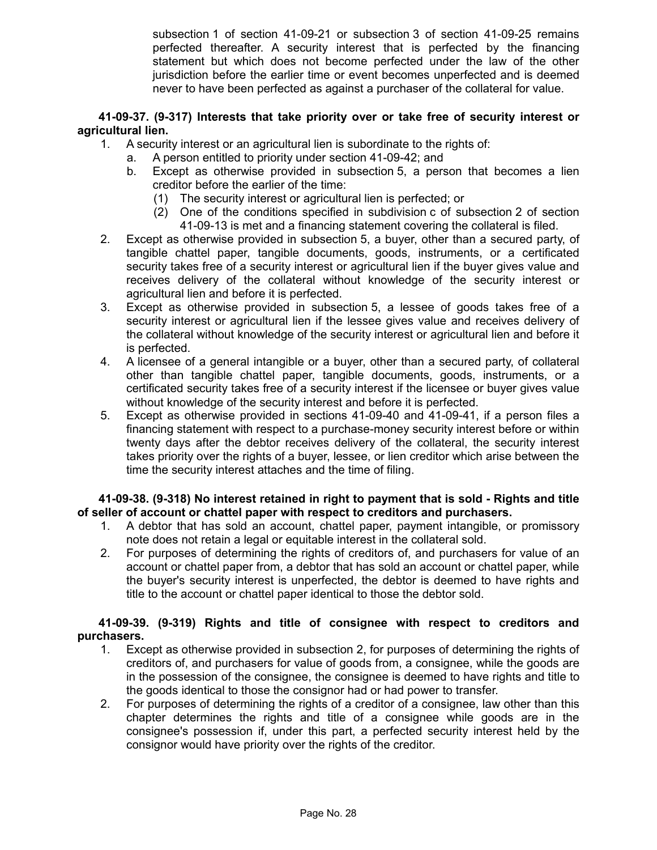subsection 1 of section 41-09-21 or subsection 3 of section 41-09-25 remains perfected thereafter. A security interest that is perfected by the financing statement but which does not become perfected under the law of the other jurisdiction before the earlier time or event becomes unperfected and is deemed never to have been perfected as against a purchaser of the collateral for value.

### **41-09-37. (9-317) Interests that take priority over or take free of security interest or agricultural lien.**

- 1. A security interest or an agricultural lien is subordinate to the rights of:
	- a. A person entitled to priority under section 41-09-42; and
	- b. Except as otherwise provided in subsection 5, a person that becomes a lien creditor before the earlier of the time:
		- (1) The security interest or agricultural lien is perfected; or
		- (2) One of the conditions specified in subdivision c of subsection 2 of section 41-09-13 is met and a financing statement covering the collateral is filed.
- 2. Except as otherwise provided in subsection 5, a buyer, other than a secured party, of tangible chattel paper, tangible documents, goods, instruments, or a certificated security takes free of a security interest or agricultural lien if the buyer gives value and receives delivery of the collateral without knowledge of the security interest or agricultural lien and before it is perfected.
- 3. Except as otherwise provided in subsection 5, a lessee of goods takes free of a security interest or agricultural lien if the lessee gives value and receives delivery of the collateral without knowledge of the security interest or agricultural lien and before it is perfected.
- 4. A licensee of a general intangible or a buyer, other than a secured party, of collateral other than tangible chattel paper, tangible documents, goods, instruments, or a certificated security takes free of a security interest if the licensee or buyer gives value without knowledge of the security interest and before it is perfected.
- 5. Except as otherwise provided in sections 41-09-40 and 41-09-41, if a person files a financing statement with respect to a purchase-money security interest before or within twenty days after the debtor receives delivery of the collateral, the security interest takes priority over the rights of a buyer, lessee, or lien creditor which arise between the time the security interest attaches and the time of filing.

**41-09-38. (9-318) No interest retained in right to payment that is sold - Rights and title of seller of account or chattel paper with respect to creditors and purchasers.**

- 1. A debtor that has sold an account, chattel paper, payment intangible, or promissory note does not retain a legal or equitable interest in the collateral sold.
- 2. For purposes of determining the rights of creditors of, and purchasers for value of an account or chattel paper from, a debtor that has sold an account or chattel paper, while the buyer's security interest is unperfected, the debtor is deemed to have rights and title to the account or chattel paper identical to those the debtor sold.

### **41-09-39. (9-319) Rights and title of consignee with respect to creditors and purchasers.**

- 1. Except as otherwise provided in subsection 2, for purposes of determining the rights of creditors of, and purchasers for value of goods from, a consignee, while the goods are in the possession of the consignee, the consignee is deemed to have rights and title to the goods identical to those the consignor had or had power to transfer.
- 2. For purposes of determining the rights of a creditor of a consignee, law other than this chapter determines the rights and title of a consignee while goods are in the consignee's possession if, under this part, a perfected security interest held by the consignor would have priority over the rights of the creditor.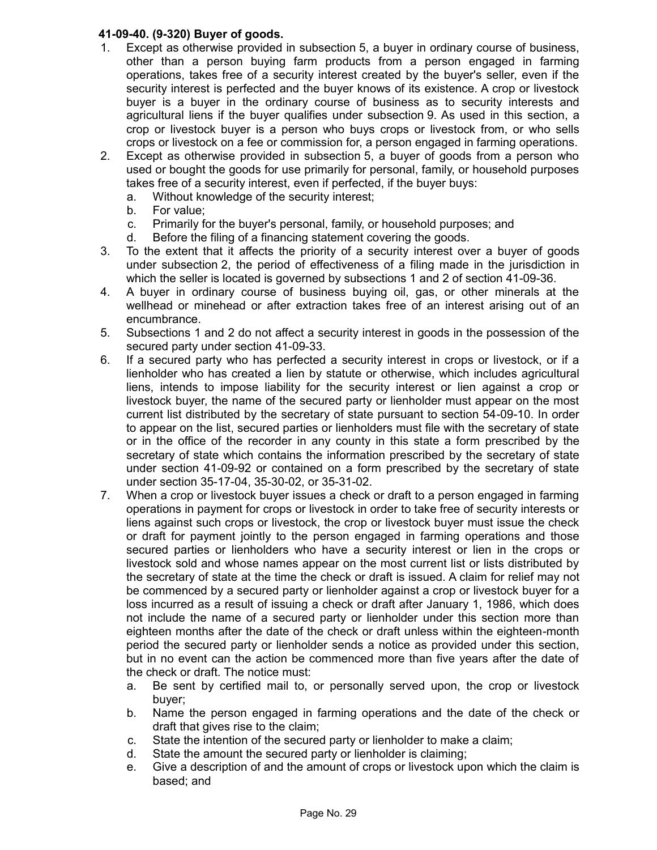## **41-09-40. (9-320) Buyer of goods.**

- 1. Except as otherwise provided in subsection 5, a buyer in ordinary course of business, other than a person buying farm products from a person engaged in farming operations, takes free of a security interest created by the buyer's seller, even if the security interest is perfected and the buyer knows of its existence. A crop or livestock buyer is a buyer in the ordinary course of business as to security interests and agricultural liens if the buyer qualifies under subsection 9. As used in this section, a crop or livestock buyer is a person who buys crops or livestock from, or who sells crops or livestock on a fee or commission for, a person engaged in farming operations.
- 2. Except as otherwise provided in subsection 5, a buyer of goods from a person who used or bought the goods for use primarily for personal, family, or household purposes takes free of a security interest, even if perfected, if the buyer buys:
	- a. Without knowledge of the security interest;
	- b. For value;
	- c. Primarily for the buyer's personal, family, or household purposes; and
	- d. Before the filing of a financing statement covering the goods.
- 3. To the extent that it affects the priority of a security interest over a buyer of goods under subsection 2, the period of effectiveness of a filing made in the jurisdiction in which the seller is located is governed by subsections 1 and 2 of section 41-09-36.
- 4. A buyer in ordinary course of business buying oil, gas, or other minerals at the wellhead or minehead or after extraction takes free of an interest arising out of an encumbrance.
- 5. Subsections 1 and 2 do not affect a security interest in goods in the possession of the secured party under section 41-09-33.
- 6. If a secured party who has perfected a security interest in crops or livestock, or if a lienholder who has created a lien by statute or otherwise, which includes agricultural liens, intends to impose liability for the security interest or lien against a crop or livestock buyer, the name of the secured party or lienholder must appear on the most current list distributed by the secretary of state pursuant to section 54-09-10. In order to appear on the list, secured parties or lienholders must file with the secretary of state or in the office of the recorder in any county in this state a form prescribed by the secretary of state which contains the information prescribed by the secretary of state under section 41-09-92 or contained on a form prescribed by the secretary of state under section 35-17-04, 35-30-02, or 35-31-02.
- 7. When a crop or livestock buyer issues a check or draft to a person engaged in farming operations in payment for crops or livestock in order to take free of security interests or liens against such crops or livestock, the crop or livestock buyer must issue the check or draft for payment jointly to the person engaged in farming operations and those secured parties or lienholders who have a security interest or lien in the crops or livestock sold and whose names appear on the most current list or lists distributed by the secretary of state at the time the check or draft is issued. A claim for relief may not be commenced by a secured party or lienholder against a crop or livestock buyer for a loss incurred as a result of issuing a check or draft after January 1, 1986, which does not include the name of a secured party or lienholder under this section more than eighteen months after the date of the check or draft unless within the eighteen-month period the secured party or lienholder sends a notice as provided under this section, but in no event can the action be commenced more than five years after the date of the check or draft. The notice must:
	- a. Be sent by certified mail to, or personally served upon, the crop or livestock buyer;
	- b. Name the person engaged in farming operations and the date of the check or draft that gives rise to the claim;
	- c. State the intention of the secured party or lienholder to make a claim;
	- d. State the amount the secured party or lienholder is claiming;
	- e. Give a description of and the amount of crops or livestock upon which the claim is based; and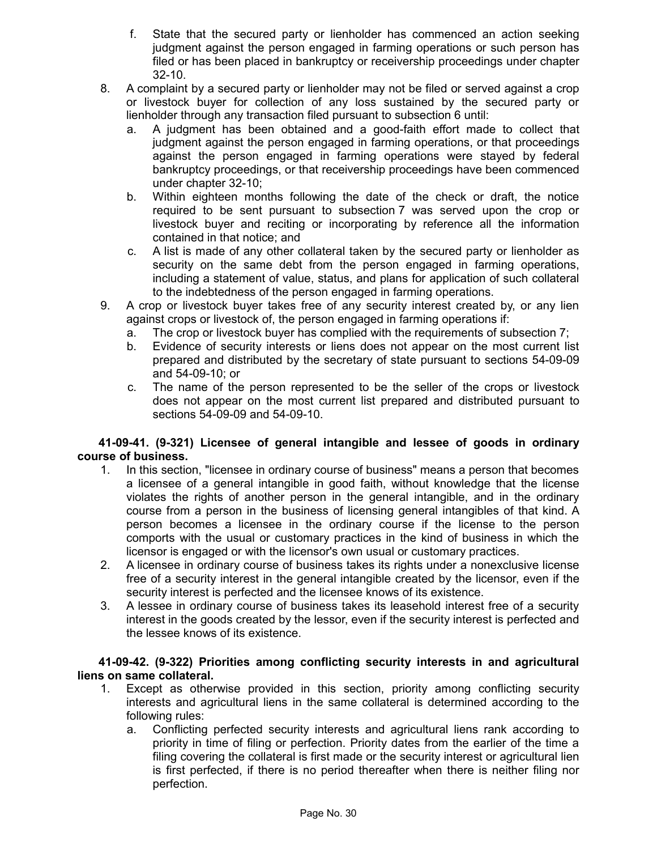- f. State that the secured party or lienholder has commenced an action seeking judgment against the person engaged in farming operations or such person has filed or has been placed in bankruptcy or receivership proceedings under chapter 32-10.
- 8. A complaint by a secured party or lienholder may not be filed or served against a crop or livestock buyer for collection of any loss sustained by the secured party or lienholder through any transaction filed pursuant to subsection 6 until:
	- a. A judgment has been obtained and a good-faith effort made to collect that judgment against the person engaged in farming operations, or that proceedings against the person engaged in farming operations were stayed by federal bankruptcy proceedings, or that receivership proceedings have been commenced under chapter 32-10;
	- b. Within eighteen months following the date of the check or draft, the notice required to be sent pursuant to subsection 7 was served upon the crop or livestock buyer and reciting or incorporating by reference all the information contained in that notice; and
	- c. A list is made of any other collateral taken by the secured party or lienholder as security on the same debt from the person engaged in farming operations, including a statement of value, status, and plans for application of such collateral to the indebtedness of the person engaged in farming operations.
- 9. A crop or livestock buyer takes free of any security interest created by, or any lien against crops or livestock of, the person engaged in farming operations if:
	- a. The crop or livestock buyer has complied with the requirements of subsection 7;
	- b. Evidence of security interests or liens does not appear on the most current list prepared and distributed by the secretary of state pursuant to sections 54-09-09 and 54-09-10; or
	- c. The name of the person represented to be the seller of the crops or livestock does not appear on the most current list prepared and distributed pursuant to sections 54-09-09 and 54-09-10.

## **41-09-41. (9-321) Licensee of general intangible and lessee of goods in ordinary course of business.**

- 1. In this section, "licensee in ordinary course of business" means a person that becomes a licensee of a general intangible in good faith, without knowledge that the license violates the rights of another person in the general intangible, and in the ordinary course from a person in the business of licensing general intangibles of that kind. A person becomes a licensee in the ordinary course if the license to the person comports with the usual or customary practices in the kind of business in which the licensor is engaged or with the licensor's own usual or customary practices.
- 2. A licensee in ordinary course of business takes its rights under a nonexclusive license free of a security interest in the general intangible created by the licensor, even if the security interest is perfected and the licensee knows of its existence.
- 3. A lessee in ordinary course of business takes its leasehold interest free of a security interest in the goods created by the lessor, even if the security interest is perfected and the lessee knows of its existence.

# **41-09-42. (9-322) Priorities among conflicting security interests in and agricultural liens on same collateral.**

- 1. Except as otherwise provided in this section, priority among conflicting security interests and agricultural liens in the same collateral is determined according to the following rules:
	- a. Conflicting perfected security interests and agricultural liens rank according to priority in time of filing or perfection. Priority dates from the earlier of the time a filing covering the collateral is first made or the security interest or agricultural lien is first perfected, if there is no period thereafter when there is neither filing nor perfection.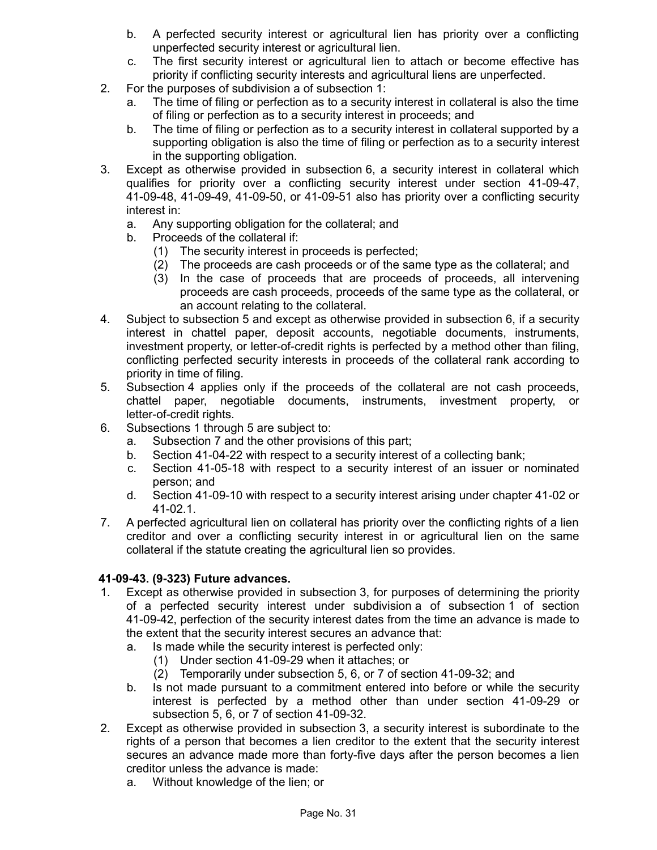- b. A perfected security interest or agricultural lien has priority over a conflicting unperfected security interest or agricultural lien.
- c. The first security interest or agricultural lien to attach or become effective has priority if conflicting security interests and agricultural liens are unperfected.
- 2. For the purposes of subdivision a of subsection 1:
	- a. The time of filing or perfection as to a security interest in collateral is also the time of filing or perfection as to a security interest in proceeds; and
	- b. The time of filing or perfection as to a security interest in collateral supported by a supporting obligation is also the time of filing or perfection as to a security interest in the supporting obligation.
- 3. Except as otherwise provided in subsection 6, a security interest in collateral which qualifies for priority over a conflicting security interest under section 41-09-47, 41-09-48, 41-09-49, 41-09-50, or 41-09-51 also has priority over a conflicting security interest in:
	- a. Any supporting obligation for the collateral; and
	- b. Proceeds of the collateral if:
		- (1) The security interest in proceeds is perfected;
		- (2) The proceeds are cash proceeds or of the same type as the collateral; and
		- (3) In the case of proceeds that are proceeds of proceeds, all intervening proceeds are cash proceeds, proceeds of the same type as the collateral, or an account relating to the collateral.
- 4. Subject to subsection 5 and except as otherwise provided in subsection 6, if a security interest in chattel paper, deposit accounts, negotiable documents, instruments, investment property, or letter-of-credit rights is perfected by a method other than filing, conflicting perfected security interests in proceeds of the collateral rank according to priority in time of filing.
- 5. Subsection 4 applies only if the proceeds of the collateral are not cash proceeds, chattel paper, negotiable documents, instruments, investment property, or letter-of-credit rights.
- 6. Subsections 1 through 5 are subject to:
	- a. Subsection 7 and the other provisions of this part;
	- b. Section 41-04-22 with respect to a security interest of a collecting bank;
	- c. Section 41-05-18 with respect to a security interest of an issuer or nominated person; and
	- d. Section 41-09-10 with respect to a security interest arising under chapter 41-02 or 41-02.1.
- 7. A perfected agricultural lien on collateral has priority over the conflicting rights of a lien creditor and over a conflicting security interest in or agricultural lien on the same collateral if the statute creating the agricultural lien so provides.

## **41-09-43. (9-323) Future advances.**

- 1. Except as otherwise provided in subsection 3, for purposes of determining the priority of a perfected security interest under subdivision a of subsection 1 of section 41-09-42, perfection of the security interest dates from the time an advance is made to the extent that the security interest secures an advance that:
	- a. Is made while the security interest is perfected only:
		- (1) Under section 41-09-29 when it attaches; or
		- (2) Temporarily under subsection 5, 6, or 7 of section 41-09-32; and
	- b. Is not made pursuant to a commitment entered into before or while the security interest is perfected by a method other than under section 41-09-29 or subsection 5, 6, or 7 of section 41-09-32.
- 2. Except as otherwise provided in subsection 3, a security interest is subordinate to the rights of a person that becomes a lien creditor to the extent that the security interest secures an advance made more than forty-five days after the person becomes a lien creditor unless the advance is made:
	- a. Without knowledge of the lien; or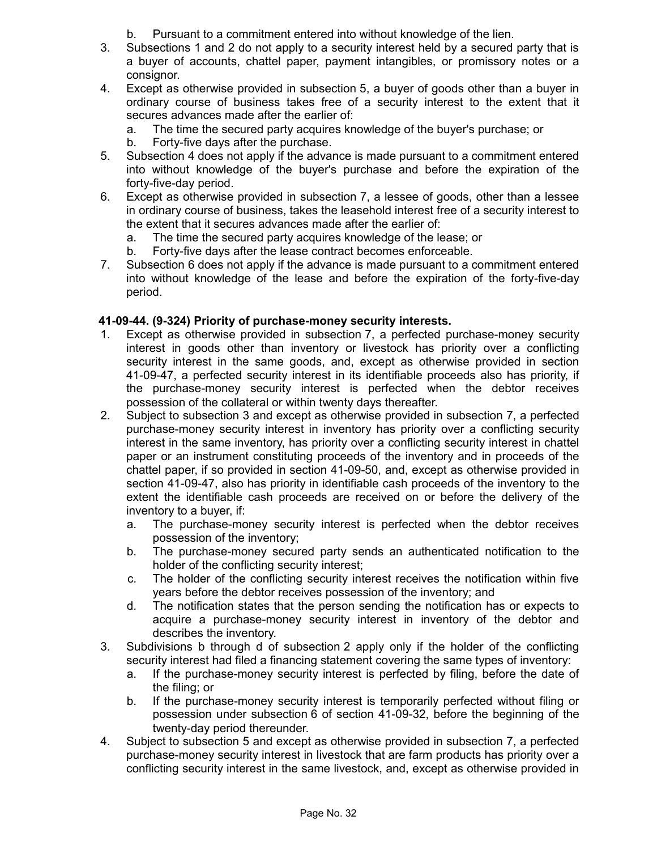b. Pursuant to a commitment entered into without knowledge of the lien.

- 3. Subsections 1 and 2 do not apply to a security interest held by a secured party that is a buyer of accounts, chattel paper, payment intangibles, or promissory notes or a consignor.
- 4. Except as otherwise provided in subsection 5, a buyer of goods other than a buyer in ordinary course of business takes free of a security interest to the extent that it secures advances made after the earlier of:
	- a. The time the secured party acquires knowledge of the buyer's purchase; or
	- b. Forty-five days after the purchase.
- 5. Subsection 4 does not apply if the advance is made pursuant to a commitment entered into without knowledge of the buyer's purchase and before the expiration of the forty-five-day period.
- 6. Except as otherwise provided in subsection 7, a lessee of goods, other than a lessee in ordinary course of business, takes the leasehold interest free of a security interest to the extent that it secures advances made after the earlier of:
	- a. The time the secured party acquires knowledge of the lease; or
	- b. Forty-five days after the lease contract becomes enforceable.
- 7. Subsection 6 does not apply if the advance is made pursuant to a commitment entered into without knowledge of the lease and before the expiration of the forty-five-day period.

## **41-09-44. (9-324) Priority of purchase-money security interests.**

- 1. Except as otherwise provided in subsection 7, a perfected purchase-money security interest in goods other than inventory or livestock has priority over a conflicting security interest in the same goods, and, except as otherwise provided in section 41-09-47, a perfected security interest in its identifiable proceeds also has priority, if the purchase-money security interest is perfected when the debtor receives possession of the collateral or within twenty days thereafter.
- 2. Subject to subsection 3 and except as otherwise provided in subsection 7, a perfected purchase-money security interest in inventory has priority over a conflicting security interest in the same inventory, has priority over a conflicting security interest in chattel paper or an instrument constituting proceeds of the inventory and in proceeds of the chattel paper, if so provided in section 41-09-50, and, except as otherwise provided in section 41-09-47, also has priority in identifiable cash proceeds of the inventory to the extent the identifiable cash proceeds are received on or before the delivery of the inventory to a buyer, if:
	- a. The purchase-money security interest is perfected when the debtor receives possession of the inventory;
	- b. The purchase-money secured party sends an authenticated notification to the holder of the conflicting security interest;
	- c. The holder of the conflicting security interest receives the notification within five years before the debtor receives possession of the inventory; and
	- d. The notification states that the person sending the notification has or expects to acquire a purchase-money security interest in inventory of the debtor and describes the inventory.
- 3. Subdivisions b through d of subsection 2 apply only if the holder of the conflicting security interest had filed a financing statement covering the same types of inventory:
	- a. If the purchase-money security interest is perfected by filing, before the date of the filing; or
	- b. If the purchase-money security interest is temporarily perfected without filing or possession under subsection 6 of section 41-09-32, before the beginning of the twenty-day period thereunder.
- 4. Subject to subsection 5 and except as otherwise provided in subsection 7, a perfected purchase-money security interest in livestock that are farm products has priority over a conflicting security interest in the same livestock, and, except as otherwise provided in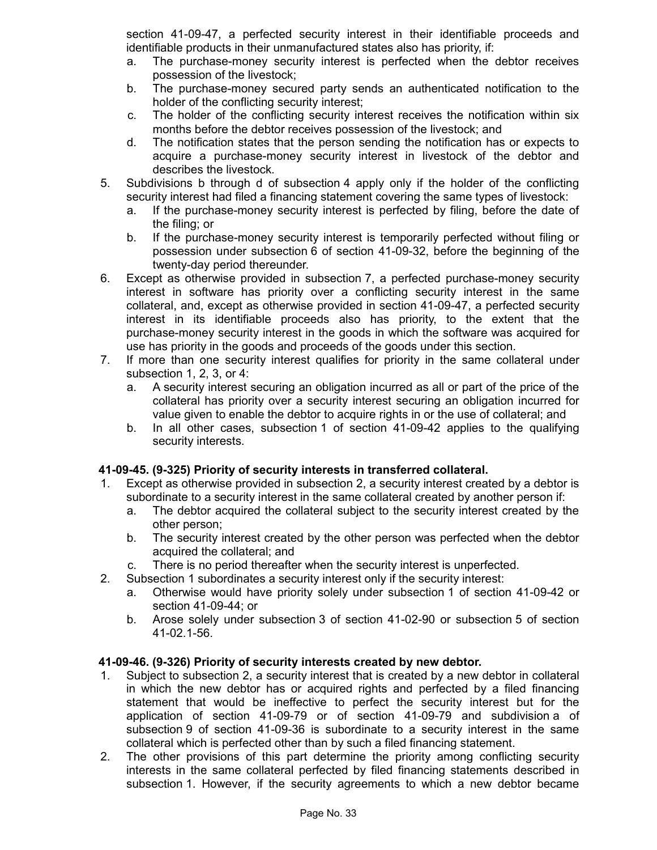section 41-09-47, a perfected security interest in their identifiable proceeds and identifiable products in their unmanufactured states also has priority, if:

- a. The purchase-money security interest is perfected when the debtor receives possession of the livestock;
- b. The purchase-money secured party sends an authenticated notification to the holder of the conflicting security interest;
- c. The holder of the conflicting security interest receives the notification within six months before the debtor receives possession of the livestock; and
- d. The notification states that the person sending the notification has or expects to acquire a purchase-money security interest in livestock of the debtor and describes the livestock.
- 5. Subdivisions b through d of subsection 4 apply only if the holder of the conflicting security interest had filed a financing statement covering the same types of livestock:
	- a. If the purchase-money security interest is perfected by filing, before the date of the filing; or
	- b. If the purchase-money security interest is temporarily perfected without filing or possession under subsection 6 of section 41-09-32, before the beginning of the twenty-day period thereunder.
- 6. Except as otherwise provided in subsection 7, a perfected purchase-money security interest in software has priority over a conflicting security interest in the same collateral, and, except as otherwise provided in section 41-09-47, a perfected security interest in its identifiable proceeds also has priority, to the extent that the purchase-money security interest in the goods in which the software was acquired for use has priority in the goods and proceeds of the goods under this section.
- 7. If more than one security interest qualifies for priority in the same collateral under subsection 1, 2, 3, or 4:
	- a. A security interest securing an obligation incurred as all or part of the price of the collateral has priority over a security interest securing an obligation incurred for value given to enable the debtor to acquire rights in or the use of collateral; and
	- b. In all other cases, subsection 1 of section 41-09-42 applies to the qualifying security interests.

## **41-09-45. (9-325) Priority of security interests in transferred collateral.**

- 1. Except as otherwise provided in subsection 2, a security interest created by a debtor is subordinate to a security interest in the same collateral created by another person if:
	- a. The debtor acquired the collateral subject to the security interest created by the other person;
	- b. The security interest created by the other person was perfected when the debtor acquired the collateral; and
	- c. There is no period thereafter when the security interest is unperfected.
- 2. Subsection 1 subordinates a security interest only if the security interest:
	- a. Otherwise would have priority solely under subsection 1 of section 41-09-42 or section 41-09-44; or
	- b. Arose solely under subsection 3 of section 41-02-90 or subsection 5 of section 41-02.1-56.

## **41-09-46. (9-326) Priority of security interests created by new debtor.**

- 1. Subject to subsection 2, a security interest that is created by a new debtor in collateral in which the new debtor has or acquired rights and perfected by a filed financing statement that would be ineffective to perfect the security interest but for the application of section 41-09-79 or of section 41-09-79 and subdivision a of subsection 9 of section 41-09-36 is subordinate to a security interest in the same collateral which is perfected other than by such a filed financing statement.
- 2. The other provisions of this part determine the priority among conflicting security interests in the same collateral perfected by filed financing statements described in subsection 1. However, if the security agreements to which a new debtor became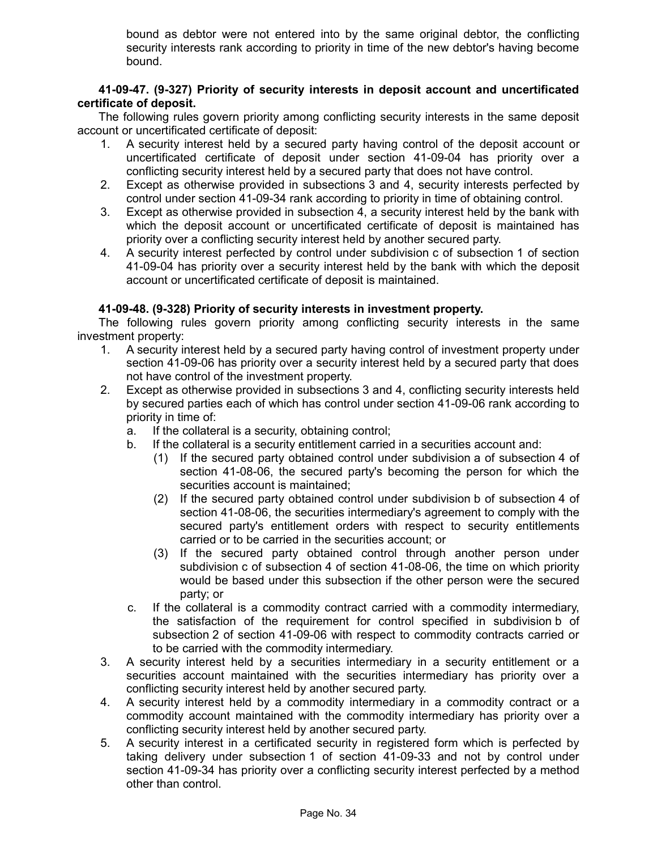bound as debtor were not entered into by the same original debtor, the conflicting security interests rank according to priority in time of the new debtor's having become bound.

### **41-09-47. (9-327) Priority of security interests in deposit account and uncertificated certificate of deposit.**

The following rules govern priority among conflicting security interests in the same deposit account or uncertificated certificate of deposit:

- 1. A security interest held by a secured party having control of the deposit account or uncertificated certificate of deposit under section 41-09-04 has priority over a conflicting security interest held by a secured party that does not have control.
- 2. Except as otherwise provided in subsections 3 and 4, security interests perfected by control under section 41-09-34 rank according to priority in time of obtaining control.
- 3. Except as otherwise provided in subsection 4, a security interest held by the bank with which the deposit account or uncertificated certificate of deposit is maintained has priority over a conflicting security interest held by another secured party.
- 4. A security interest perfected by control under subdivision c of subsection 1 of section 41-09-04 has priority over a security interest held by the bank with which the deposit account or uncertificated certificate of deposit is maintained.

## **41-09-48. (9-328) Priority of security interests in investment property.**

The following rules govern priority among conflicting security interests in the same investment property:

- 1. A security interest held by a secured party having control of investment property under section 41-09-06 has priority over a security interest held by a secured party that does not have control of the investment property.
- 2. Except as otherwise provided in subsections 3 and 4, conflicting security interests held by secured parties each of which has control under section 41-09-06 rank according to priority in time of:
	- a. If the collateral is a security, obtaining control;
	- b. If the collateral is a security entitlement carried in a securities account and:
		- (1) If the secured party obtained control under subdivision a of subsection 4 of section 41-08-06, the secured party's becoming the person for which the securities account is maintained;
		- (2) If the secured party obtained control under subdivision b of subsection 4 of section 41-08-06, the securities intermediary's agreement to comply with the secured party's entitlement orders with respect to security entitlements carried or to be carried in the securities account; or
		- (3) If the secured party obtained control through another person under subdivision c of subsection 4 of section 41-08-06, the time on which priority would be based under this subsection if the other person were the secured party; or
	- c. If the collateral is a commodity contract carried with a commodity intermediary, the satisfaction of the requirement for control specified in subdivision b of subsection 2 of section 41-09-06 with respect to commodity contracts carried or to be carried with the commodity intermediary.
- 3. A security interest held by a securities intermediary in a security entitlement or a securities account maintained with the securities intermediary has priority over a conflicting security interest held by another secured party.
- 4. A security interest held by a commodity intermediary in a commodity contract or a commodity account maintained with the commodity intermediary has priority over a conflicting security interest held by another secured party.
- 5. A security interest in a certificated security in registered form which is perfected by taking delivery under subsection 1 of section 41-09-33 and not by control under section 41-09-34 has priority over a conflicting security interest perfected by a method other than control.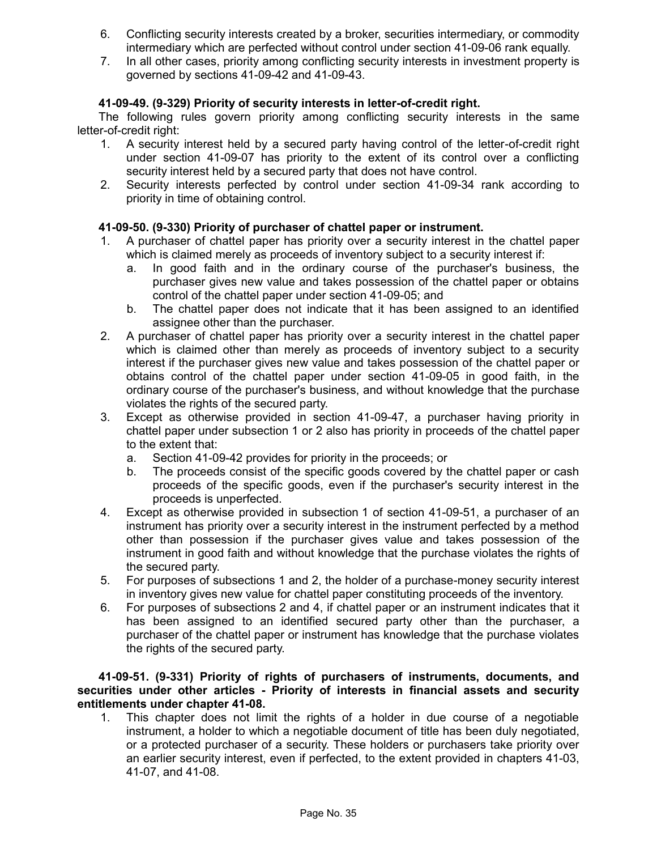- 6. Conflicting security interests created by a broker, securities intermediary, or commodity intermediary which are perfected without control under section 41-09-06 rank equally.
- 7. In all other cases, priority among conflicting security interests in investment property is governed by sections 41-09-42 and 41-09-43.

# **41-09-49. (9-329) Priority of security interests in letter-of-credit right.**

The following rules govern priority among conflicting security interests in the same letter-of-credit right:

- 1. A security interest held by a secured party having control of the letter-of-credit right under section 41-09-07 has priority to the extent of its control over a conflicting security interest held by a secured party that does not have control.
- 2. Security interests perfected by control under section 41-09-34 rank according to priority in time of obtaining control.

## **41-09-50. (9-330) Priority of purchaser of chattel paper or instrument.**

- 1. A purchaser of chattel paper has priority over a security interest in the chattel paper which is claimed merely as proceeds of inventory subject to a security interest if:
	- a. In good faith and in the ordinary course of the purchaser's business, the purchaser gives new value and takes possession of the chattel paper or obtains control of the chattel paper under section 41-09-05; and
	- b. The chattel paper does not indicate that it has been assigned to an identified assignee other than the purchaser.
- 2. A purchaser of chattel paper has priority over a security interest in the chattel paper which is claimed other than merely as proceeds of inventory subject to a security interest if the purchaser gives new value and takes possession of the chattel paper or obtains control of the chattel paper under section 41-09-05 in good faith, in the ordinary course of the purchaser's business, and without knowledge that the purchase violates the rights of the secured party.
- 3. Except as otherwise provided in section 41-09-47, a purchaser having priority in chattel paper under subsection 1 or 2 also has priority in proceeds of the chattel paper to the extent that:
	- a. Section 41-09-42 provides for priority in the proceeds; or
	- b. The proceeds consist of the specific goods covered by the chattel paper or cash proceeds of the specific goods, even if the purchaser's security interest in the proceeds is unperfected.
- 4. Except as otherwise provided in subsection 1 of section 41-09-51, a purchaser of an instrument has priority over a security interest in the instrument perfected by a method other than possession if the purchaser gives value and takes possession of the instrument in good faith and without knowledge that the purchase violates the rights of the secured party.
- 5. For purposes of subsections 1 and 2, the holder of a purchase-money security interest in inventory gives new value for chattel paper constituting proceeds of the inventory.
- 6. For purposes of subsections 2 and 4, if chattel paper or an instrument indicates that it has been assigned to an identified secured party other than the purchaser, a purchaser of the chattel paper or instrument has knowledge that the purchase violates the rights of the secured party.

#### **41-09-51. (9-331) Priority of rights of purchasers of instruments, documents, and securities under other articles - Priority of interests in financial assets and security entitlements under chapter 41-08.**

1. This chapter does not limit the rights of a holder in due course of a negotiable instrument, a holder to which a negotiable document of title has been duly negotiated, or a protected purchaser of a security. These holders or purchasers take priority over an earlier security interest, even if perfected, to the extent provided in chapters 41-03, 41-07, and 41-08.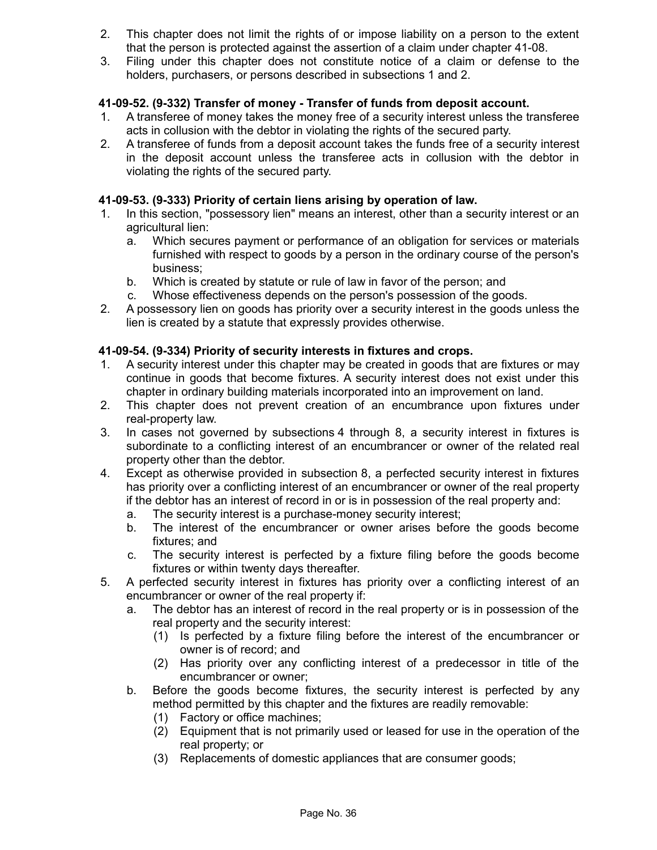- 2. This chapter does not limit the rights of or impose liability on a person to the extent that the person is protected against the assertion of a claim under chapter 41-08.
- 3. Filing under this chapter does not constitute notice of a claim or defense to the holders, purchasers, or persons described in subsections 1 and 2.

# **41-09-52. (9-332) Transfer of money - Transfer of funds from deposit account.**

- 1. A transferee of money takes the money free of a security interest unless the transferee acts in collusion with the debtor in violating the rights of the secured party.
- 2. A transferee of funds from a deposit account takes the funds free of a security interest in the deposit account unless the transferee acts in collusion with the debtor in violating the rights of the secured party.

## **41-09-53. (9-333) Priority of certain liens arising by operation of law.**

- 1. In this section, "possessory lien" means an interest, other than a security interest or an agricultural lien:
	- a. Which secures payment or performance of an obligation for services or materials furnished with respect to goods by a person in the ordinary course of the person's business;
	- b. Which is created by statute or rule of law in favor of the person; and
	- c. Whose effectiveness depends on the person's possession of the goods.
- 2. A possessory lien on goods has priority over a security interest in the goods unless the lien is created by a statute that expressly provides otherwise.

### **41-09-54. (9-334) Priority of security interests in fixtures and crops.**

- 1. A security interest under this chapter may be created in goods that are fixtures or may continue in goods that become fixtures. A security interest does not exist under this chapter in ordinary building materials incorporated into an improvement on land.
- 2. This chapter does not prevent creation of an encumbrance upon fixtures under real-property law.
- 3. In cases not governed by subsections 4 through 8, a security interest in fixtures is subordinate to a conflicting interest of an encumbrancer or owner of the related real property other than the debtor.
- 4. Except as otherwise provided in subsection 8, a perfected security interest in fixtures has priority over a conflicting interest of an encumbrancer or owner of the real property if the debtor has an interest of record in or is in possession of the real property and:
	- a. The security interest is a purchase-money security interest;
	- b. The interest of the encumbrancer or owner arises before the goods become fixtures; and
	- c. The security interest is perfected by a fixture filing before the goods become fixtures or within twenty days thereafter.
- 5. A perfected security interest in fixtures has priority over a conflicting interest of an encumbrancer or owner of the real property if:
	- a. The debtor has an interest of record in the real property or is in possession of the real property and the security interest:
		- (1) Is perfected by a fixture filing before the interest of the encumbrancer or owner is of record; and
		- (2) Has priority over any conflicting interest of a predecessor in title of the encumbrancer or owner;
	- b. Before the goods become fixtures, the security interest is perfected by any method permitted by this chapter and the fixtures are readily removable:
		- (1) Factory or office machines;
		- (2) Equipment that is not primarily used or leased for use in the operation of the real property; or
		- (3) Replacements of domestic appliances that are consumer goods;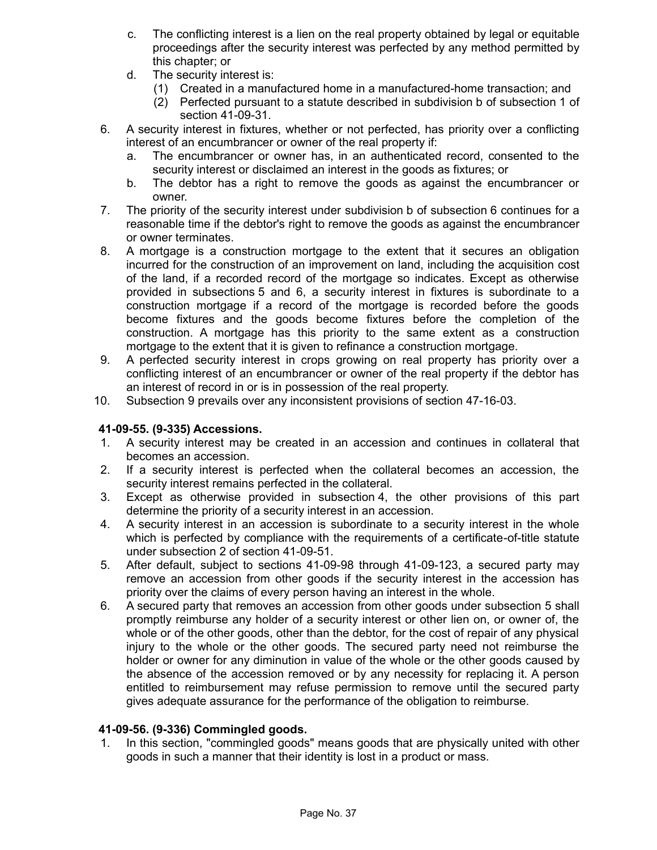- c. The conflicting interest is a lien on the real property obtained by legal or equitable proceedings after the security interest was perfected by any method permitted by this chapter; or
- d. The security interest is:
	- (1) Created in a manufactured home in a manufactured-home transaction; and
	- (2) Perfected pursuant to a statute described in subdivision b of subsection 1 of section 41-09-31.
- 6. A security interest in fixtures, whether or not perfected, has priority over a conflicting interest of an encumbrancer or owner of the real property if:
	- a. The encumbrancer or owner has, in an authenticated record, consented to the security interest or disclaimed an interest in the goods as fixtures; or
	- b. The debtor has a right to remove the goods as against the encumbrancer or owner.
- 7. The priority of the security interest under subdivision b of subsection 6 continues for a reasonable time if the debtor's right to remove the goods as against the encumbrancer or owner terminates.
- 8. A mortgage is a construction mortgage to the extent that it secures an obligation incurred for the construction of an improvement on land, including the acquisition cost of the land, if a recorded record of the mortgage so indicates. Except as otherwise provided in subsections 5 and 6, a security interest in fixtures is subordinate to a construction mortgage if a record of the mortgage is recorded before the goods become fixtures and the goods become fixtures before the completion of the construction. A mortgage has this priority to the same extent as a construction mortgage to the extent that it is given to refinance a construction mortgage.
- 9. A perfected security interest in crops growing on real property has priority over a conflicting interest of an encumbrancer or owner of the real property if the debtor has an interest of record in or is in possession of the real property.
- 10. Subsection 9 prevails over any inconsistent provisions of section 47-16-03.

### **41-09-55. (9-335) Accessions.**

- 1. A security interest may be created in an accession and continues in collateral that becomes an accession.
- 2. If a security interest is perfected when the collateral becomes an accession, the security interest remains perfected in the collateral.
- 3. Except as otherwise provided in subsection 4, the other provisions of this part determine the priority of a security interest in an accession.
- 4. A security interest in an accession is subordinate to a security interest in the whole which is perfected by compliance with the requirements of a certificate-of-title statute under subsection 2 of section 41-09-51.
- 5. After default, subject to sections 41-09-98 through 41-09-123, a secured party may remove an accession from other goods if the security interest in the accession has priority over the claims of every person having an interest in the whole.
- 6. A secured party that removes an accession from other goods under subsection 5 shall promptly reimburse any holder of a security interest or other lien on, or owner of, the whole or of the other goods, other than the debtor, for the cost of repair of any physical injury to the whole or the other goods. The secured party need not reimburse the holder or owner for any diminution in value of the whole or the other goods caused by the absence of the accession removed or by any necessity for replacing it. A person entitled to reimbursement may refuse permission to remove until the secured party gives adequate assurance for the performance of the obligation to reimburse.

## **41-09-56. (9-336) Commingled goods.**

1. In this section, "commingled goods" means goods that are physically united with other goods in such a manner that their identity is lost in a product or mass.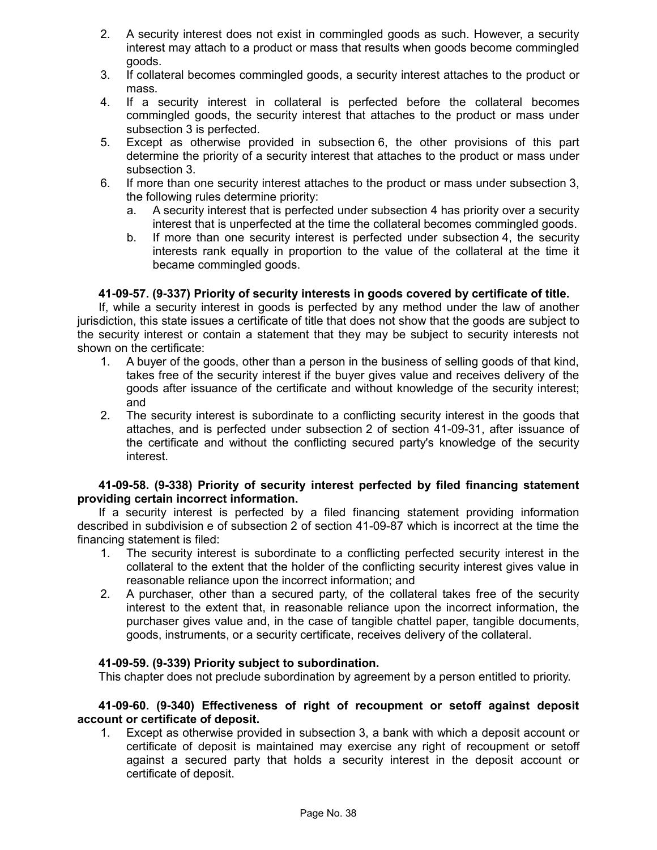- 2. A security interest does not exist in commingled goods as such. However, a security interest may attach to a product or mass that results when goods become commingled goods.
- 3. If collateral becomes commingled goods, a security interest attaches to the product or mass.
- 4. If a security interest in collateral is perfected before the collateral becomes commingled goods, the security interest that attaches to the product or mass under subsection 3 is perfected.
- 5. Except as otherwise provided in subsection 6, the other provisions of this part determine the priority of a security interest that attaches to the product or mass under subsection 3.
- 6. If more than one security interest attaches to the product or mass under subsection 3, the following rules determine priority:
	- a. A security interest that is perfected under subsection 4 has priority over a security interest that is unperfected at the time the collateral becomes commingled goods.
	- b. If more than one security interest is perfected under subsection 4, the security interests rank equally in proportion to the value of the collateral at the time it became commingled goods.

## **41-09-57. (9-337) Priority of security interests in goods covered by certificate of title.**

If, while a security interest in goods is perfected by any method under the law of another jurisdiction, this state issues a certificate of title that does not show that the goods are subject to the security interest or contain a statement that they may be subject to security interests not shown on the certificate:

- 1. A buyer of the goods, other than a person in the business of selling goods of that kind, takes free of the security interest if the buyer gives value and receives delivery of the goods after issuance of the certificate and without knowledge of the security interest; and
- 2. The security interest is subordinate to a conflicting security interest in the goods that attaches, and is perfected under subsection 2 of section 41-09-31, after issuance of the certificate and without the conflicting secured party's knowledge of the security interest.

### **41-09-58. (9-338) Priority of security interest perfected by filed financing statement providing certain incorrect information.**

If a security interest is perfected by a filed financing statement providing information described in subdivision e of subsection 2 of section 41-09-87 which is incorrect at the time the financing statement is filed:

- 1. The security interest is subordinate to a conflicting perfected security interest in the collateral to the extent that the holder of the conflicting security interest gives value in reasonable reliance upon the incorrect information; and
- 2. A purchaser, other than a secured party, of the collateral takes free of the security interest to the extent that, in reasonable reliance upon the incorrect information, the purchaser gives value and, in the case of tangible chattel paper, tangible documents, goods, instruments, or a security certificate, receives delivery of the collateral.

### **41-09-59. (9-339) Priority subject to subordination.**

This chapter does not preclude subordination by agreement by a person entitled to priority.

#### **41-09-60. (9-340) Effectiveness of right of recoupment or setoff against deposit account or certificate of deposit.**

1. Except as otherwise provided in subsection 3, a bank with which a deposit account or certificate of deposit is maintained may exercise any right of recoupment or setoff against a secured party that holds a security interest in the deposit account or certificate of deposit.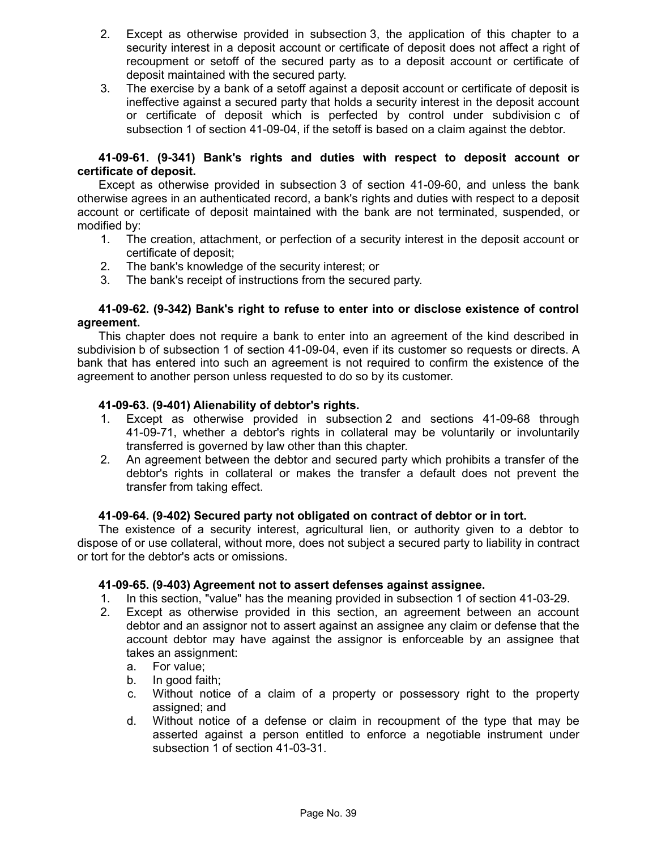- 2. Except as otherwise provided in subsection 3, the application of this chapter to a security interest in a deposit account or certificate of deposit does not affect a right of recoupment or setoff of the secured party as to a deposit account or certificate of deposit maintained with the secured party.
- 3. The exercise by a bank of a setoff against a deposit account or certificate of deposit is ineffective against a secured party that holds a security interest in the deposit account or certificate of deposit which is perfected by control under subdivision c of subsection 1 of section 41-09-04, if the setoff is based on a claim against the debtor.

### **41-09-61. (9-341) Bank's rights and duties with respect to deposit account or certificate of deposit.**

Except as otherwise provided in subsection 3 of section 41-09-60, and unless the bank otherwise agrees in an authenticated record, a bank's rights and duties with respect to a deposit account or certificate of deposit maintained with the bank are not terminated, suspended, or modified by:

- 1. The creation, attachment, or perfection of a security interest in the deposit account or certificate of deposit;
- 2. The bank's knowledge of the security interest; or
- 3. The bank's receipt of instructions from the secured party.

### **41-09-62. (9-342) Bank's right to refuse to enter into or disclose existence of control agreement.**

This chapter does not require a bank to enter into an agreement of the kind described in subdivision b of subsection 1 of section 41-09-04, even if its customer so requests or directs. A bank that has entered into such an agreement is not required to confirm the existence of the agreement to another person unless requested to do so by its customer.

## **41-09-63. (9-401) Alienability of debtor's rights.**

- 1. Except as otherwise provided in subsection 2 and sections 41-09-68 through 41-09-71, whether a debtor's rights in collateral may be voluntarily or involuntarily transferred is governed by law other than this chapter.
- 2. An agreement between the debtor and secured party which prohibits a transfer of the debtor's rights in collateral or makes the transfer a default does not prevent the transfer from taking effect.

## **41-09-64. (9-402) Secured party not obligated on contract of debtor or in tort.**

The existence of a security interest, agricultural lien, or authority given to a debtor to dispose of or use collateral, without more, does not subject a secured party to liability in contract or tort for the debtor's acts or omissions.

#### **41-09-65. (9-403) Agreement not to assert defenses against assignee.**

- 1. In this section, "value" has the meaning provided in subsection 1 of section 41-03-29.
- 2. Except as otherwise provided in this section, an agreement between an account debtor and an assignor not to assert against an assignee any claim or defense that the account debtor may have against the assignor is enforceable by an assignee that takes an assignment:
	- a. For value;
	- b. In good faith;
	- c. Without notice of a claim of a property or possessory right to the property assigned; and
	- d. Without notice of a defense or claim in recoupment of the type that may be asserted against a person entitled to enforce a negotiable instrument under subsection 1 of section 41-03-31.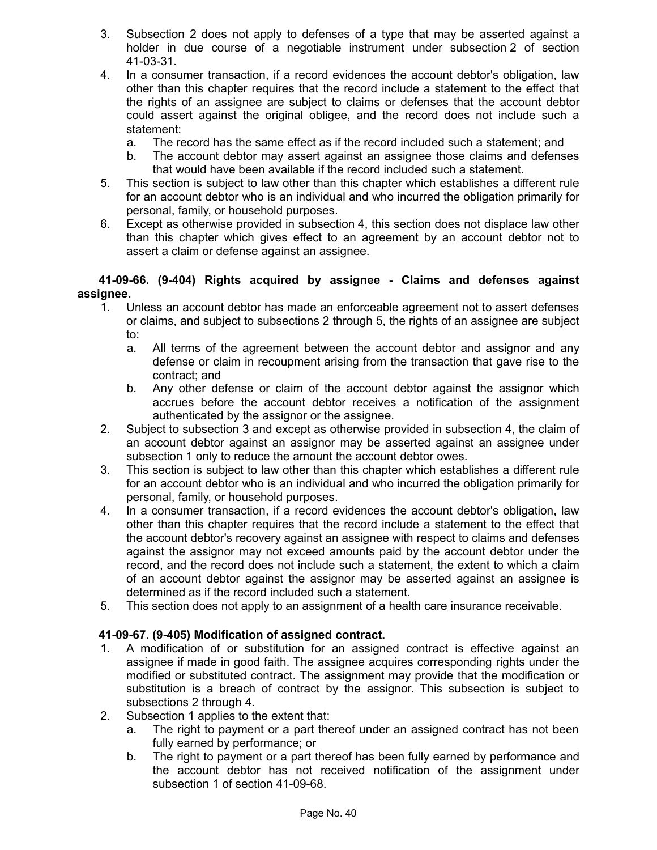- 3. Subsection 2 does not apply to defenses of a type that may be asserted against a holder in due course of a negotiable instrument under subsection 2 of section 41-03-31.
- 4. In a consumer transaction, if a record evidences the account debtor's obligation, law other than this chapter requires that the record include a statement to the effect that the rights of an assignee are subject to claims or defenses that the account debtor could assert against the original obligee, and the record does not include such a statement:
	- a. The record has the same effect as if the record included such a statement; and
	- b. The account debtor may assert against an assignee those claims and defenses that would have been available if the record included such a statement.
- 5. This section is subject to law other than this chapter which establishes a different rule for an account debtor who is an individual and who incurred the obligation primarily for personal, family, or household purposes.
- 6. Except as otherwise provided in subsection 4, this section does not displace law other than this chapter which gives effect to an agreement by an account debtor not to assert a claim or defense against an assignee.

### **41-09-66. (9-404) Rights acquired by assignee - Claims and defenses against assignee.**

- 1. Unless an account debtor has made an enforceable agreement not to assert defenses or claims, and subject to subsections 2 through 5, the rights of an assignee are subject to:
	- a. All terms of the agreement between the account debtor and assignor and any defense or claim in recoupment arising from the transaction that gave rise to the contract; and
	- b. Any other defense or claim of the account debtor against the assignor which accrues before the account debtor receives a notification of the assignment authenticated by the assignor or the assignee.
- 2. Subject to subsection 3 and except as otherwise provided in subsection 4, the claim of an account debtor against an assignor may be asserted against an assignee under subsection 1 only to reduce the amount the account debtor owes.
- 3. This section is subject to law other than this chapter which establishes a different rule for an account debtor who is an individual and who incurred the obligation primarily for personal, family, or household purposes.
- 4. In a consumer transaction, if a record evidences the account debtor's obligation, law other than this chapter requires that the record include a statement to the effect that the account debtor's recovery against an assignee with respect to claims and defenses against the assignor may not exceed amounts paid by the account debtor under the record, and the record does not include such a statement, the extent to which a claim of an account debtor against the assignor may be asserted against an assignee is determined as if the record included such a statement.
- 5. This section does not apply to an assignment of a health care insurance receivable.

## **41-09-67. (9-405) Modification of assigned contract.**

- 1. A modification of or substitution for an assigned contract is effective against an assignee if made in good faith. The assignee acquires corresponding rights under the modified or substituted contract. The assignment may provide that the modification or substitution is a breach of contract by the assignor. This subsection is subject to subsections 2 through 4.
- 2. Subsection 1 applies to the extent that:
	- a. The right to payment or a part thereof under an assigned contract has not been fully earned by performance; or
	- b. The right to payment or a part thereof has been fully earned by performance and the account debtor has not received notification of the assignment under subsection 1 of section 41-09-68.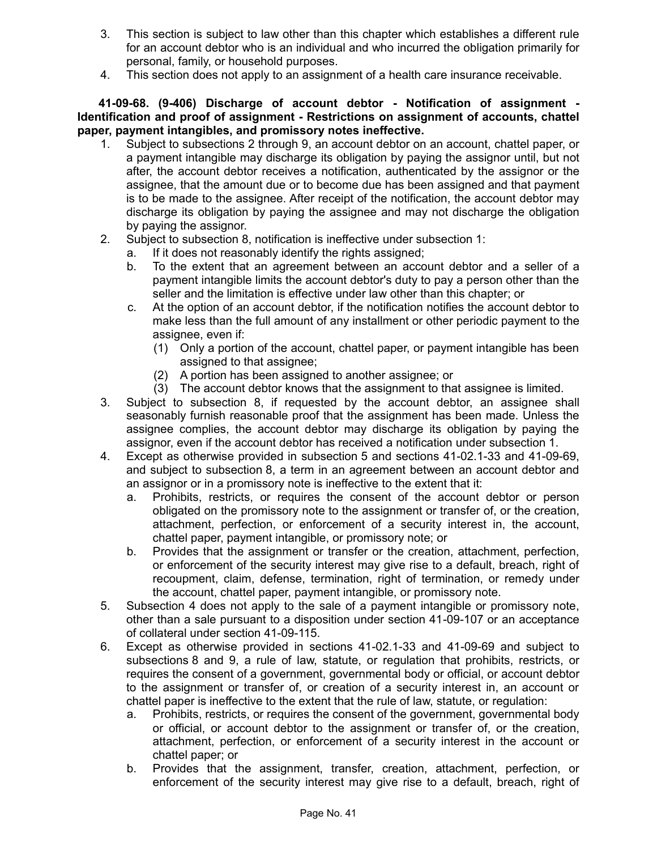- 3. This section is subject to law other than this chapter which establishes a different rule for an account debtor who is an individual and who incurred the obligation primarily for personal, family, or household purposes.
- 4. This section does not apply to an assignment of a health care insurance receivable.

### **41-09-68. (9-406) Discharge of account debtor - Notification of assignment - Identification and proof of assignment - Restrictions on assignment of accounts, chattel paper, payment intangibles, and promissory notes ineffective.**

- 1. Subject to subsections 2 through 9, an account debtor on an account, chattel paper, or a payment intangible may discharge its obligation by paying the assignor until, but not after, the account debtor receives a notification, authenticated by the assignor or the assignee, that the amount due or to become due has been assigned and that payment is to be made to the assignee. After receipt of the notification, the account debtor may discharge its obligation by paying the assignee and may not discharge the obligation by paying the assignor.
- 2. Subject to subsection 8, notification is ineffective under subsection 1:
	- a. If it does not reasonably identify the rights assigned;
	- b. To the extent that an agreement between an account debtor and a seller of a payment intangible limits the account debtor's duty to pay a person other than the seller and the limitation is effective under law other than this chapter; or
	- c. At the option of an account debtor, if the notification notifies the account debtor to make less than the full amount of any installment or other periodic payment to the assignee, even if:
		- (1) Only a portion of the account, chattel paper, or payment intangible has been assigned to that assignee;
		- (2) A portion has been assigned to another assignee; or
		- (3) The account debtor knows that the assignment to that assignee is limited.
- 3. Subject to subsection 8, if requested by the account debtor, an assignee shall seasonably furnish reasonable proof that the assignment has been made. Unless the assignee complies, the account debtor may discharge its obligation by paying the assignor, even if the account debtor has received a notification under subsection 1.
- 4. Except as otherwise provided in subsection 5 and sections 41-02.1-33 and 41-09-69, and subject to subsection 8, a term in an agreement between an account debtor and an assignor or in a promissory note is ineffective to the extent that it:
	- a. Prohibits, restricts, or requires the consent of the account debtor or person obligated on the promissory note to the assignment or transfer of, or the creation, attachment, perfection, or enforcement of a security interest in, the account, chattel paper, payment intangible, or promissory note; or
	- b. Provides that the assignment or transfer or the creation, attachment, perfection, or enforcement of the security interest may give rise to a default, breach, right of recoupment, claim, defense, termination, right of termination, or remedy under the account, chattel paper, payment intangible, or promissory note.
- 5. Subsection 4 does not apply to the sale of a payment intangible or promissory note, other than a sale pursuant to a disposition under section 41-09-107 or an acceptance of collateral under section 41-09-115.
- 6. Except as otherwise provided in sections 41-02.1-33 and 41-09-69 and subject to subsections 8 and 9, a rule of law, statute, or regulation that prohibits, restricts, or requires the consent of a government, governmental body or official, or account debtor to the assignment or transfer of, or creation of a security interest in, an account or chattel paper is ineffective to the extent that the rule of law, statute, or regulation:
	- a. Prohibits, restricts, or requires the consent of the government, governmental body or official, or account debtor to the assignment or transfer of, or the creation, attachment, perfection, or enforcement of a security interest in the account or chattel paper; or
	- b. Provides that the assignment, transfer, creation, attachment, perfection, or enforcement of the security interest may give rise to a default, breach, right of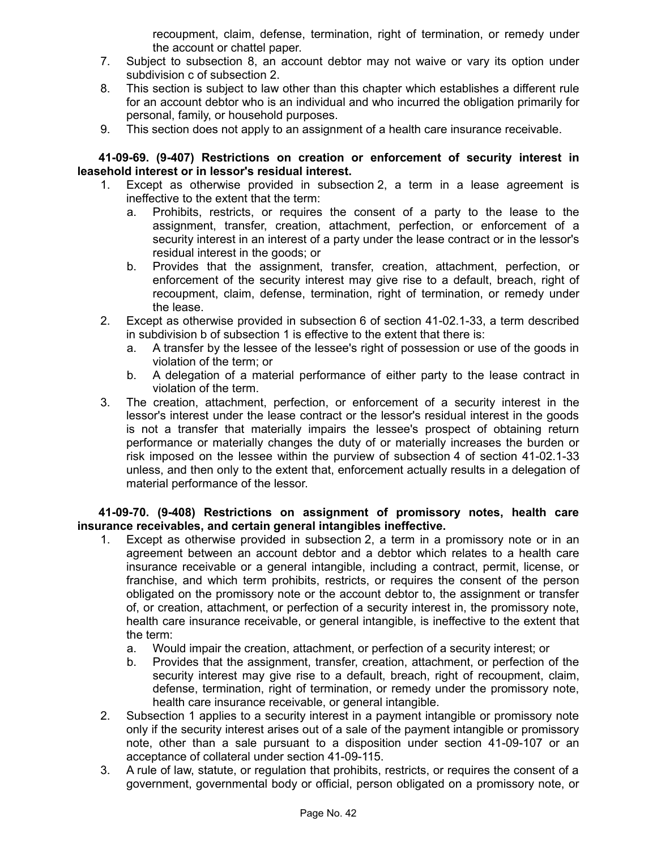recoupment, claim, defense, termination, right of termination, or remedy under the account or chattel paper.

- 7. Subject to subsection 8, an account debtor may not waive or vary its option under subdivision c of subsection 2.
- 8. This section is subject to law other than this chapter which establishes a different rule for an account debtor who is an individual and who incurred the obligation primarily for personal, family, or household purposes.
- 9. This section does not apply to an assignment of a health care insurance receivable.

### **41-09-69. (9-407) Restrictions on creation or enforcement of security interest in leasehold interest or in lessor's residual interest.**

- 1. Except as otherwise provided in subsection 2, a term in a lease agreement is ineffective to the extent that the term:
	- a. Prohibits, restricts, or requires the consent of a party to the lease to the assignment, transfer, creation, attachment, perfection, or enforcement of a security interest in an interest of a party under the lease contract or in the lessor's residual interest in the goods; or
	- b. Provides that the assignment, transfer, creation, attachment, perfection, or enforcement of the security interest may give rise to a default, breach, right of recoupment, claim, defense, termination, right of termination, or remedy under the lease.
- 2. Except as otherwise provided in subsection 6 of section 41-02.1-33, a term described in subdivision b of subsection 1 is effective to the extent that there is:
	- a. A transfer by the lessee of the lessee's right of possession or use of the goods in violation of the term; or
	- b. A delegation of a material performance of either party to the lease contract in violation of the term.
- 3. The creation, attachment, perfection, or enforcement of a security interest in the lessor's interest under the lease contract or the lessor's residual interest in the goods is not a transfer that materially impairs the lessee's prospect of obtaining return performance or materially changes the duty of or materially increases the burden or risk imposed on the lessee within the purview of subsection 4 of section 41-02.1-33 unless, and then only to the extent that, enforcement actually results in a delegation of material performance of the lessor.

#### **41-09-70. (9-408) Restrictions on assignment of promissory notes, health care insurance receivables, and certain general intangibles ineffective.**

- 1. Except as otherwise provided in subsection 2, a term in a promissory note or in an agreement between an account debtor and a debtor which relates to a health care insurance receivable or a general intangible, including a contract, permit, license, or franchise, and which term prohibits, restricts, or requires the consent of the person obligated on the promissory note or the account debtor to, the assignment or transfer of, or creation, attachment, or perfection of a security interest in, the promissory note, health care insurance receivable, or general intangible, is ineffective to the extent that the term:
	- a. Would impair the creation, attachment, or perfection of a security interest; or
	- b. Provides that the assignment, transfer, creation, attachment, or perfection of the security interest may give rise to a default, breach, right of recoupment, claim, defense, termination, right of termination, or remedy under the promissory note, health care insurance receivable, or general intangible.
- 2. Subsection 1 applies to a security interest in a payment intangible or promissory note only if the security interest arises out of a sale of the payment intangible or promissory note, other than a sale pursuant to a disposition under section 41-09-107 or an acceptance of collateral under section 41-09-115.
- 3. A rule of law, statute, or regulation that prohibits, restricts, or requires the consent of a government, governmental body or official, person obligated on a promissory note, or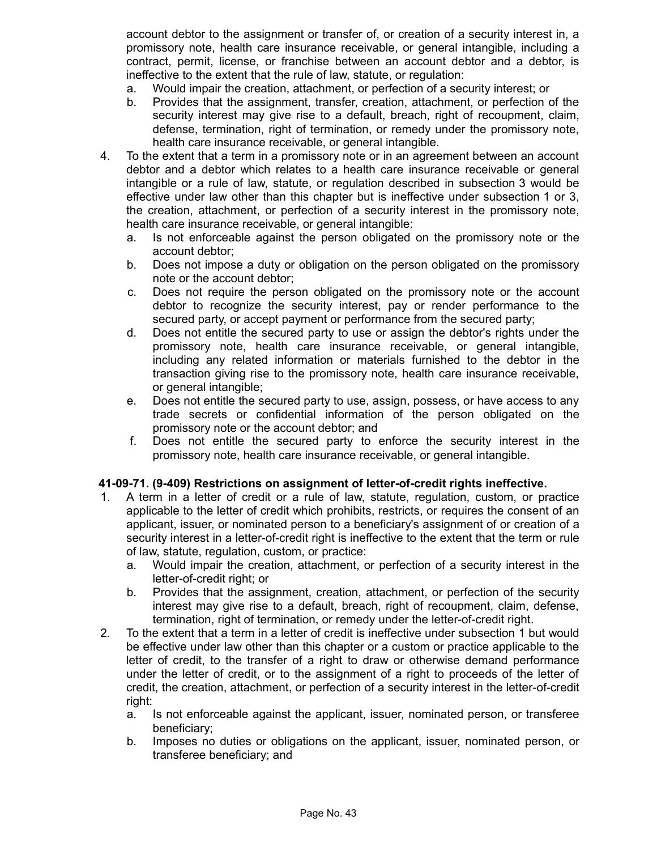account debtor to the assignment or transfer of, or creation of a security interest in, a promissory note, health care insurance receivable, or general intangible, including a contract, permit, license, or franchise between an account debtor and a debtor, is ineffective to the extent that the rule of law, statute, or regulation:

- a. Would impair the creation, attachment, or perfection of a security interest; or
- b. Provides that the assignment, transfer, creation, attachment, or perfection of the security interest may give rise to a default, breach, right of recoupment, claim, defense, termination, right of termination, or remedy under the promissory note, health care insurance receivable, or general intangible.
- 4. To the extent that a term in a promissory note or in an agreement between an account debtor and a debtor which relates to a health care insurance receivable or general intangible or a rule of law, statute, or regulation described in subsection 3 would be effective under law other than this chapter but is ineffective under subsection 1 or 3, the creation, attachment, or perfection of a security interest in the promissory note, health care insurance receivable, or general intangible:
	- a. Is not enforceable against the person obligated on the promissory note or the account debtor;
	- b. Does not impose a duty or obligation on the person obligated on the promissory note or the account debtor;
	- c. Does not require the person obligated on the promissory note or the account debtor to recognize the security interest, pay or render performance to the secured party, or accept payment or performance from the secured party;
	- d. Does not entitle the secured party to use or assign the debtor's rights under the promissory note, health care insurance receivable, or general intangible, including any related information or materials furnished to the debtor in the transaction giving rise to the promissory note, health care insurance receivable, or general intangible;
	- e. Does not entitle the secured party to use, assign, possess, or have access to any trade secrets or confidential information of the person obligated on the promissory note or the account debtor; and
	- f. Does not entitle the secured party to enforce the security interest in the promissory note, health care insurance receivable, or general intangible.

## **41-09-71. (9-409) Restrictions on assignment of letter-of-credit rights ineffective.**

- 1. A term in a letter of credit or a rule of law, statute, regulation, custom, or practice applicable to the letter of credit which prohibits, restricts, or requires the consent of an applicant, issuer, or nominated person to a beneficiary's assignment of or creation of a security interest in a letter-of-credit right is ineffective to the extent that the term or rule of law, statute, regulation, custom, or practice:
	- a. Would impair the creation, attachment, or perfection of a security interest in the letter-of-credit right; or
	- b. Provides that the assignment, creation, attachment, or perfection of the security interest may give rise to a default, breach, right of recoupment, claim, defense, termination, right of termination, or remedy under the letter-of-credit right.
- 2. To the extent that a term in a letter of credit is ineffective under subsection 1 but would be effective under law other than this chapter or a custom or practice applicable to the letter of credit, to the transfer of a right to draw or otherwise demand performance under the letter of credit, or to the assignment of a right to proceeds of the letter of credit, the creation, attachment, or perfection of a security interest in the letter-of-credit right:
	- a. Is not enforceable against the applicant, issuer, nominated person, or transferee beneficiary;
	- b. Imposes no duties or obligations on the applicant, issuer, nominated person, or transferee beneficiary; and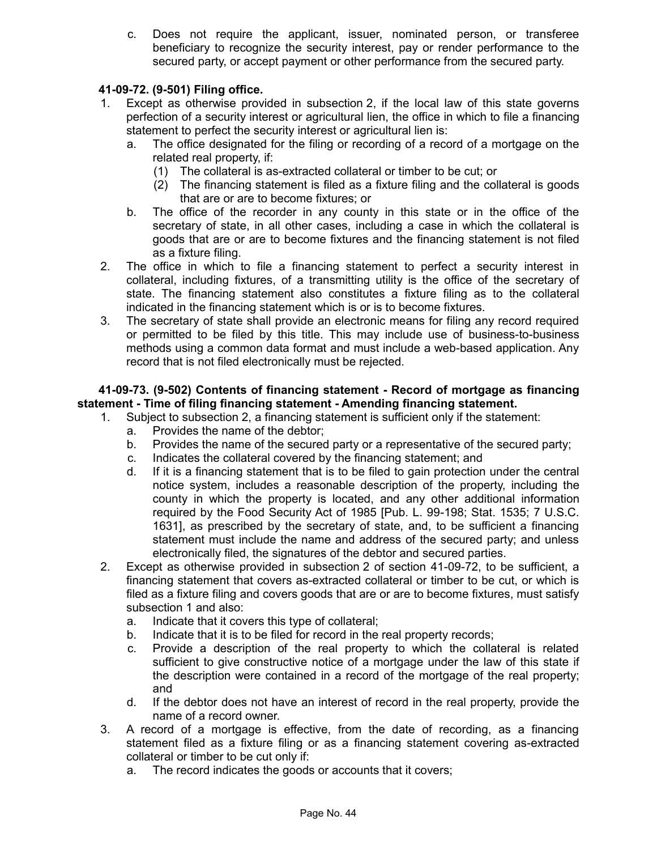c. Does not require the applicant, issuer, nominated person, or transferee beneficiary to recognize the security interest, pay or render performance to the secured party, or accept payment or other performance from the secured party.

# **41-09-72. (9-501) Filing office.**

- 1. Except as otherwise provided in subsection 2, if the local law of this state governs perfection of a security interest or agricultural lien, the office in which to file a financing statement to perfect the security interest or agricultural lien is:
	- a. The office designated for the filing or recording of a record of a mortgage on the related real property, if:
		- (1) The collateral is as-extracted collateral or timber to be cut; or
		- (2) The financing statement is filed as a fixture filing and the collateral is goods that are or are to become fixtures; or
	- b. The office of the recorder in any county in this state or in the office of the secretary of state, in all other cases, including a case in which the collateral is goods that are or are to become fixtures and the financing statement is not filed as a fixture filing.
- 2. The office in which to file a financing statement to perfect a security interest in collateral, including fixtures, of a transmitting utility is the office of the secretary of state. The financing statement also constitutes a fixture filing as to the collateral indicated in the financing statement which is or is to become fixtures.
- 3. The secretary of state shall provide an electronic means for filing any record required or permitted to be filed by this title. This may include use of business-to-business methods using a common data format and must include a web-based application. Any record that is not filed electronically must be rejected.

# **41-09-73. (9-502) Contents of financing statement - Record of mortgage as financing statement - Time of filing financing statement - Amending financing statement.**

- 1. Subject to subsection 2, a financing statement is sufficient only if the statement:
	- a. Provides the name of the debtor;
	- b. Provides the name of the secured party or a representative of the secured party;
	- c. Indicates the collateral covered by the financing statement; and
	- d. If it is a financing statement that is to be filed to gain protection under the central notice system, includes a reasonable description of the property, including the county in which the property is located, and any other additional information required by the Food Security Act of 1985 [Pub. L. 99-198; Stat. 1535; 7 U.S.C. 1631], as prescribed by the secretary of state, and, to be sufficient a financing statement must include the name and address of the secured party; and unless electronically filed, the signatures of the debtor and secured parties.
- 2. Except as otherwise provided in subsection 2 of section 41-09-72, to be sufficient, a financing statement that covers as-extracted collateral or timber to be cut, or which is filed as a fixture filing and covers goods that are or are to become fixtures, must satisfy subsection 1 and also:
	- a. Indicate that it covers this type of collateral;
	- b. Indicate that it is to be filed for record in the real property records;
	- c. Provide a description of the real property to which the collateral is related sufficient to give constructive notice of a mortgage under the law of this state if the description were contained in a record of the mortgage of the real property; and
	- d. If the debtor does not have an interest of record in the real property, provide the name of a record owner.
- 3. A record of a mortgage is effective, from the date of recording, as a financing statement filed as a fixture filing or as a financing statement covering as-extracted collateral or timber to be cut only if:
	- a. The record indicates the goods or accounts that it covers;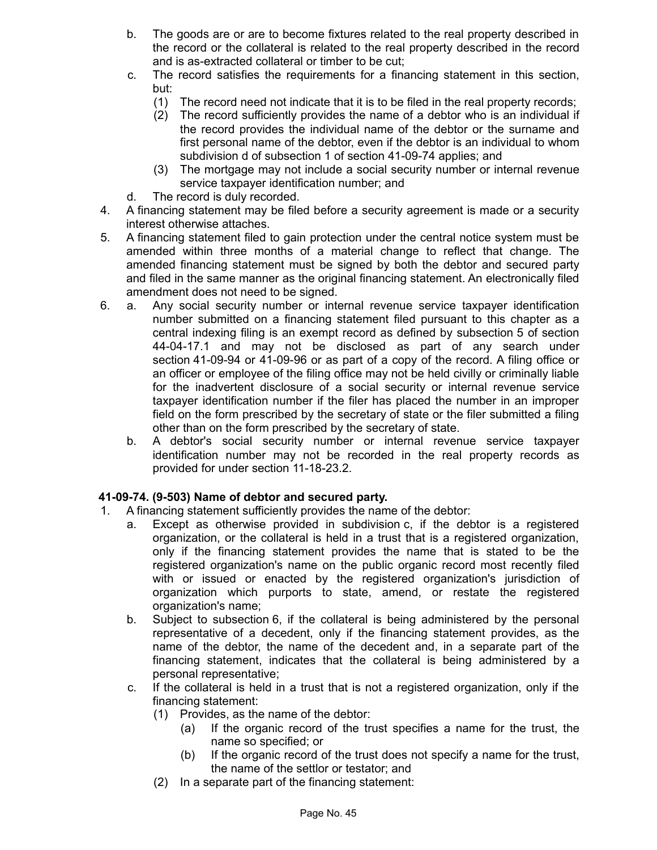- b. The goods are or are to become fixtures related to the real property described in the record or the collateral is related to the real property described in the record and is as-extracted collateral or timber to be cut;
- c. The record satisfies the requirements for a financing statement in this section, but:
	- (1) The record need not indicate that it is to be filed in the real property records;
	- (2) The record sufficiently provides the name of a debtor who is an individual if the record provides the individual name of the debtor or the surname and first personal name of the debtor, even if the debtor is an individual to whom subdivision d of subsection 1 of section 41-09-74 applies; and
	- (3) The mortgage may not include a social security number or internal revenue service taxpayer identification number; and
- d. The record is duly recorded.
- 4. A financing statement may be filed before a security agreement is made or a security interest otherwise attaches.
- 5. A financing statement filed to gain protection under the central notice system must be amended within three months of a material change to reflect that change. The amended financing statement must be signed by both the debtor and secured party and filed in the same manner as the original financing statement. An electronically filed amendment does not need to be signed.
- 6. a. Any social security number or internal revenue service taxpayer identification number submitted on a financing statement filed pursuant to this chapter as a central indexing filing is an exempt record as defined by subsection 5 of section 44-04-17.1 and may not be disclosed as part of any search under section 41-09-94 or 41-09-96 or as part of a copy of the record. A filing office or an officer or employee of the filing office may not be held civilly or criminally liable for the inadvertent disclosure of a social security or internal revenue service taxpayer identification number if the filer has placed the number in an improper field on the form prescribed by the secretary of state or the filer submitted a filing other than on the form prescribed by the secretary of state.
	- b. A debtor's social security number or internal revenue service taxpayer identification number may not be recorded in the real property records as provided for under section 11-18-23.2.

## **41-09-74. (9-503) Name of debtor and secured party.**

- 1. A financing statement sufficiently provides the name of the debtor:
	- a. Except as otherwise provided in subdivision c, if the debtor is a registered organization, or the collateral is held in a trust that is a registered organization, only if the financing statement provides the name that is stated to be the registered organization's name on the public organic record most recently filed with or issued or enacted by the registered organization's jurisdiction of organization which purports to state, amend, or restate the registered organization's name;
	- b. Subject to subsection 6, if the collateral is being administered by the personal representative of a decedent, only if the financing statement provides, as the name of the debtor, the name of the decedent and, in a separate part of the financing statement, indicates that the collateral is being administered by a personal representative;
	- c. If the collateral is held in a trust that is not a registered organization, only if the financing statement:
		- (1) Provides, as the name of the debtor:
			- (a) If the organic record of the trust specifies a name for the trust, the name so specified; or
			- (b) If the organic record of the trust does not specify a name for the trust, the name of the settlor or testator; and
		- (2) In a separate part of the financing statement: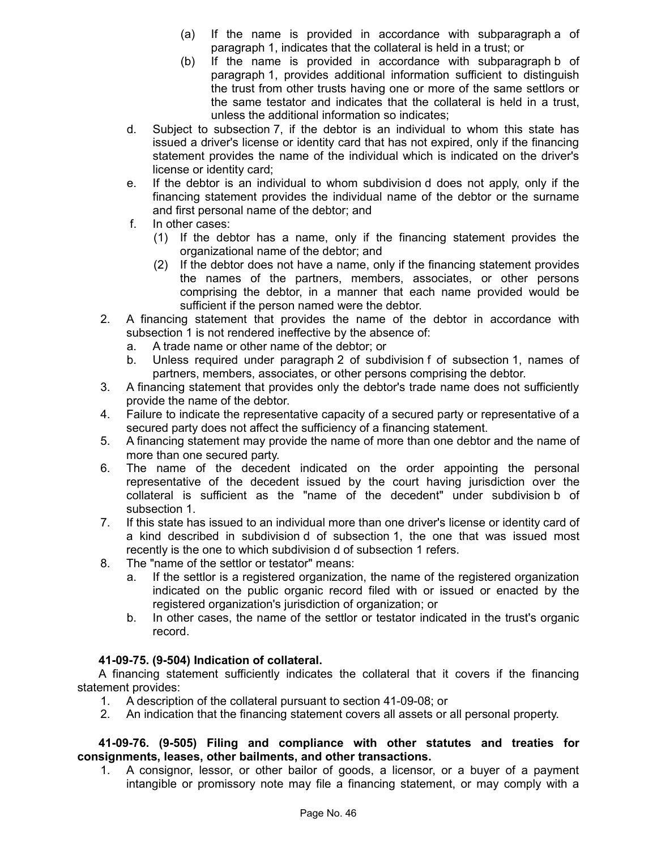- (a) If the name is provided in accordance with subparagraph a of paragraph 1, indicates that the collateral is held in a trust; or
- (b) If the name is provided in accordance with subparagraph b of paragraph 1, provides additional information sufficient to distinguish the trust from other trusts having one or more of the same settlors or the same testator and indicates that the collateral is held in a trust, unless the additional information so indicates;
- d. Subject to subsection 7, if the debtor is an individual to whom this state has issued a driver's license or identity card that has not expired, only if the financing statement provides the name of the individual which is indicated on the driver's license or identity card;
- e. If the debtor is an individual to whom subdivision d does not apply, only if the financing statement provides the individual name of the debtor or the surname and first personal name of the debtor; and
- f. In other cases:
	- (1) If the debtor has a name, only if the financing statement provides the organizational name of the debtor; and
	- (2) If the debtor does not have a name, only if the financing statement provides the names of the partners, members, associates, or other persons comprising the debtor, in a manner that each name provided would be sufficient if the person named were the debtor.
- 2. A financing statement that provides the name of the debtor in accordance with subsection 1 is not rendered ineffective by the absence of:
	- a. A trade name or other name of the debtor; or
	- b. Unless required under paragraph 2 of subdivision f of subsection 1, names of partners, members, associates, or other persons comprising the debtor.
- 3. A financing statement that provides only the debtor's trade name does not sufficiently provide the name of the debtor.
- 4. Failure to indicate the representative capacity of a secured party or representative of a secured party does not affect the sufficiency of a financing statement.
- 5. A financing statement may provide the name of more than one debtor and the name of more than one secured party.
- 6. The name of the decedent indicated on the order appointing the personal representative of the decedent issued by the court having jurisdiction over the collateral is sufficient as the "name of the decedent" under subdivision b of subsection 1.
- 7. If this state has issued to an individual more than one driver's license or identity card of a kind described in subdivision d of subsection 1, the one that was issued most recently is the one to which subdivision d of subsection 1 refers.
- 8. The "name of the settlor or testator" means:
	- a. If the settlor is a registered organization, the name of the registered organization indicated on the public organic record filed with or issued or enacted by the registered organization's jurisdiction of organization; or
	- b. In other cases, the name of the settlor or testator indicated in the trust's organic record.

## **41-09-75. (9-504) Indication of collateral.**

A financing statement sufficiently indicates the collateral that it covers if the financing statement provides:

- 1. A description of the collateral pursuant to section 41-09-08; or
- 2. An indication that the financing statement covers all assets or all personal property.

### **41-09-76. (9-505) Filing and compliance with other statutes and treaties for consignments, leases, other bailments, and other transactions.**

1. A consignor, lessor, or other bailor of goods, a licensor, or a buyer of a payment intangible or promissory note may file a financing statement, or may comply with a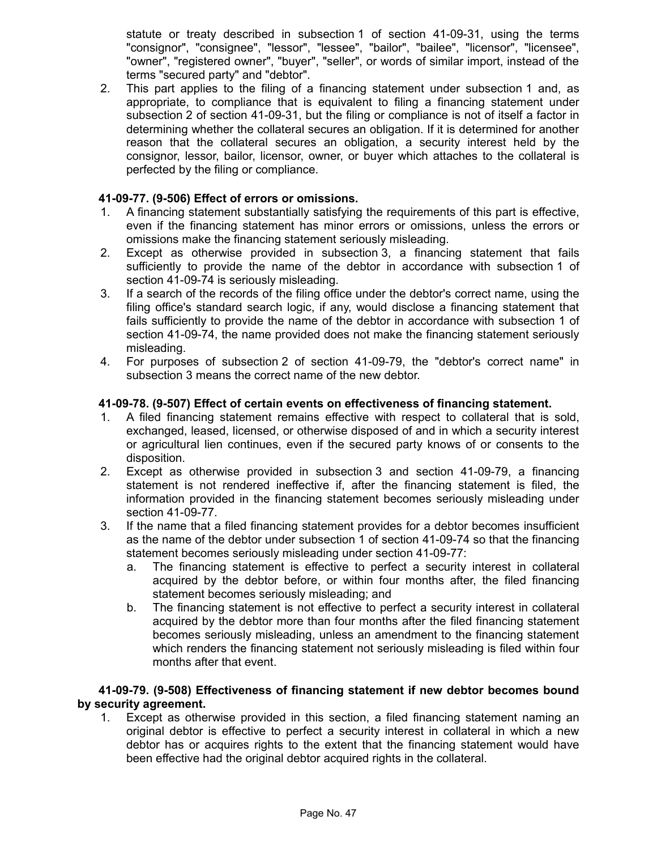statute or treaty described in subsection 1 of section 41-09-31, using the terms "consignor", "consignee", "lessor", "lessee", "bailor", "bailee", "licensor", "licensee", "owner", "registered owner", "buyer", "seller", or words of similar import, instead of the terms "secured party" and "debtor".

2. This part applies to the filing of a financing statement under subsection 1 and, as appropriate, to compliance that is equivalent to filing a financing statement under subsection 2 of section 41-09-31, but the filing or compliance is not of itself a factor in determining whether the collateral secures an obligation. If it is determined for another reason that the collateral secures an obligation, a security interest held by the consignor, lessor, bailor, licensor, owner, or buyer which attaches to the collateral is perfected by the filing or compliance.

### **41-09-77. (9-506) Effect of errors or omissions.**

- 1. A financing statement substantially satisfying the requirements of this part is effective, even if the financing statement has minor errors or omissions, unless the errors or omissions make the financing statement seriously misleading.
- 2. Except as otherwise provided in subsection 3, a financing statement that fails sufficiently to provide the name of the debtor in accordance with subsection 1 of section 41-09-74 is seriously misleading.
- 3. If a search of the records of the filing office under the debtor's correct name, using the filing office's standard search logic, if any, would disclose a financing statement that fails sufficiently to provide the name of the debtor in accordance with subsection 1 of section 41-09-74, the name provided does not make the financing statement seriously misleading.
- 4. For purposes of subsection 2 of section 41-09-79, the "debtor's correct name" in subsection 3 means the correct name of the new debtor.

#### **41-09-78. (9-507) Effect of certain events on effectiveness of financing statement.**

- 1. A filed financing statement remains effective with respect to collateral that is sold, exchanged, leased, licensed, or otherwise disposed of and in which a security interest or agricultural lien continues, even if the secured party knows of or consents to the disposition.
- 2. Except as otherwise provided in subsection 3 and section 41-09-79, a financing statement is not rendered ineffective if, after the financing statement is filed, the information provided in the financing statement becomes seriously misleading under section 41-09-77.
- 3. If the name that a filed financing statement provides for a debtor becomes insufficient as the name of the debtor under subsection 1 of section 41-09-74 so that the financing statement becomes seriously misleading under section 41-09-77:
	- a. The financing statement is effective to perfect a security interest in collateral acquired by the debtor before, or within four months after, the filed financing statement becomes seriously misleading; and
	- b. The financing statement is not effective to perfect a security interest in collateral acquired by the debtor more than four months after the filed financing statement becomes seriously misleading, unless an amendment to the financing statement which renders the financing statement not seriously misleading is filed within four months after that event.

#### **41-09-79. (9-508) Effectiveness of financing statement if new debtor becomes bound by security agreement.**

1. Except as otherwise provided in this section, a filed financing statement naming an original debtor is effective to perfect a security interest in collateral in which a new debtor has or acquires rights to the extent that the financing statement would have been effective had the original debtor acquired rights in the collateral.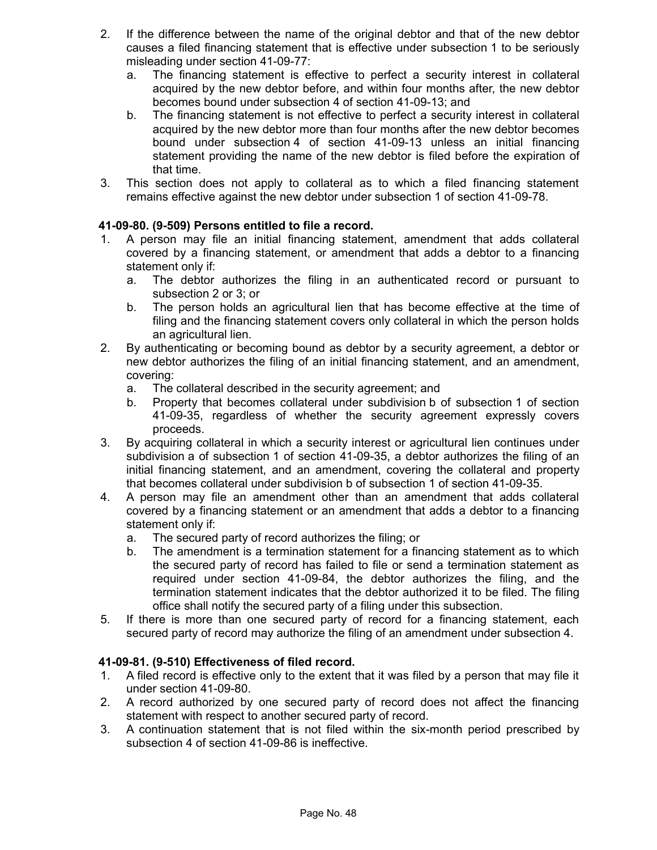- 2. If the difference between the name of the original debtor and that of the new debtor causes a filed financing statement that is effective under subsection 1 to be seriously misleading under section 41-09-77:
	- a. The financing statement is effective to perfect a security interest in collateral acquired by the new debtor before, and within four months after, the new debtor becomes bound under subsection 4 of section 41-09-13; and
	- b. The financing statement is not effective to perfect a security interest in collateral acquired by the new debtor more than four months after the new debtor becomes bound under subsection 4 of section 41-09-13 unless an initial financing statement providing the name of the new debtor is filed before the expiration of that time.
- 3. This section does not apply to collateral as to which a filed financing statement remains effective against the new debtor under subsection 1 of section 41-09-78.

# **41-09-80. (9-509) Persons entitled to file a record.**

- 1. A person may file an initial financing statement, amendment that adds collateral covered by a financing statement, or amendment that adds a debtor to a financing statement only if:
	- a. The debtor authorizes the filing in an authenticated record or pursuant to subsection 2 or 3; or
	- b. The person holds an agricultural lien that has become effective at the time of filing and the financing statement covers only collateral in which the person holds an agricultural lien.
- 2. By authenticating or becoming bound as debtor by a security agreement, a debtor or new debtor authorizes the filing of an initial financing statement, and an amendment, covering:
	- a. The collateral described in the security agreement; and
	- b. Property that becomes collateral under subdivision b of subsection 1 of section 41-09-35, regardless of whether the security agreement expressly covers proceeds.
- 3. By acquiring collateral in which a security interest or agricultural lien continues under subdivision a of subsection 1 of section 41-09-35, a debtor authorizes the filing of an initial financing statement, and an amendment, covering the collateral and property that becomes collateral under subdivision b of subsection 1 of section 41-09-35.
- 4. A person may file an amendment other than an amendment that adds collateral covered by a financing statement or an amendment that adds a debtor to a financing statement only if:
	- a. The secured party of record authorizes the filing; or
	- b. The amendment is a termination statement for a financing statement as to which the secured party of record has failed to file or send a termination statement as required under section 41-09-84, the debtor authorizes the filing, and the termination statement indicates that the debtor authorized it to be filed. The filing office shall notify the secured party of a filing under this subsection.
- 5. If there is more than one secured party of record for a financing statement, each secured party of record may authorize the filing of an amendment under subsection 4.

# **41-09-81. (9-510) Effectiveness of filed record.**

- 1. A filed record is effective only to the extent that it was filed by a person that may file it under section 41-09-80.
- 2. A record authorized by one secured party of record does not affect the financing statement with respect to another secured party of record.
- 3. A continuation statement that is not filed within the six-month period prescribed by subsection 4 of section 41-09-86 is ineffective.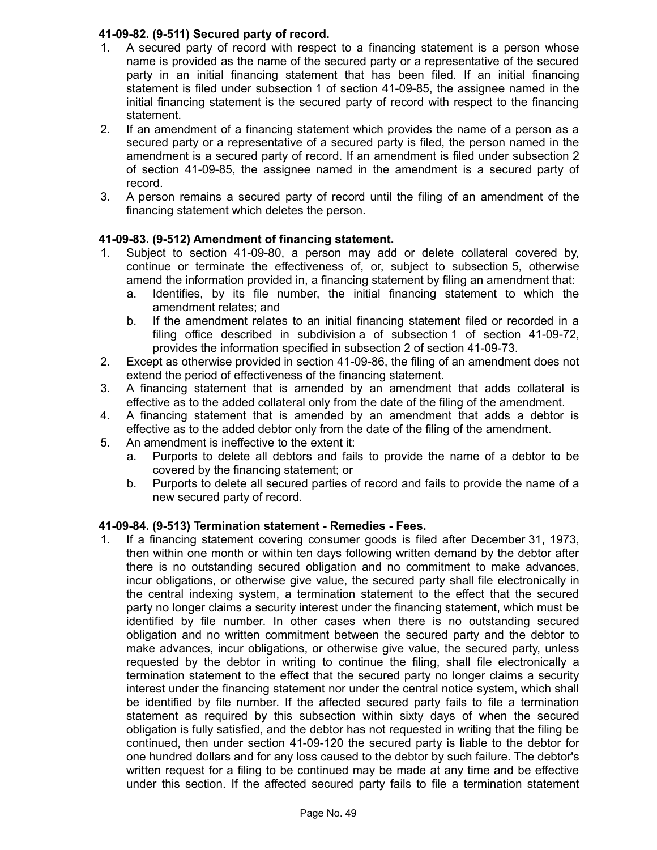## **41-09-82. (9-511) Secured party of record.**

- 1. A secured party of record with respect to a financing statement is a person whose name is provided as the name of the secured party or a representative of the secured party in an initial financing statement that has been filed. If an initial financing statement is filed under subsection 1 of section 41-09-85, the assignee named in the initial financing statement is the secured party of record with respect to the financing statement.
- 2. If an amendment of a financing statement which provides the name of a person as a secured party or a representative of a secured party is filed, the person named in the amendment is a secured party of record. If an amendment is filed under subsection 2 of section 41-09-85, the assignee named in the amendment is a secured party of record.
- 3. A person remains a secured party of record until the filing of an amendment of the financing statement which deletes the person.

## **41-09-83. (9-512) Amendment of financing statement.**

- 1. Subject to section 41-09-80, a person may add or delete collateral covered by, continue or terminate the effectiveness of, or, subject to subsection 5, otherwise amend the information provided in, a financing statement by filing an amendment that:
	- a. Identifies, by its file number, the initial financing statement to which the amendment relates; and
	- b. If the amendment relates to an initial financing statement filed or recorded in a filing office described in subdivision a of subsection 1 of section 41-09-72, provides the information specified in subsection 2 of section 41-09-73.
- 2. Except as otherwise provided in section 41-09-86, the filing of an amendment does not extend the period of effectiveness of the financing statement.
- 3. A financing statement that is amended by an amendment that adds collateral is effective as to the added collateral only from the date of the filing of the amendment.
- 4. A financing statement that is amended by an amendment that adds a debtor is effective as to the added debtor only from the date of the filing of the amendment.
- 5. An amendment is ineffective to the extent it:
	- a. Purports to delete all debtors and fails to provide the name of a debtor to be covered by the financing statement; or
	- b. Purports to delete all secured parties of record and fails to provide the name of a new secured party of record.

#### **41-09-84. (9-513) Termination statement - Remedies - Fees.**

1. If a financing statement covering consumer goods is filed after December 31, 1973, then within one month or within ten days following written demand by the debtor after there is no outstanding secured obligation and no commitment to make advances, incur obligations, or otherwise give value, the secured party shall file electronically in the central indexing system, a termination statement to the effect that the secured party no longer claims a security interest under the financing statement, which must be identified by file number. In other cases when there is no outstanding secured obligation and no written commitment between the secured party and the debtor to make advances, incur obligations, or otherwise give value, the secured party, unless requested by the debtor in writing to continue the filing, shall file electronically a termination statement to the effect that the secured party no longer claims a security interest under the financing statement nor under the central notice system, which shall be identified by file number. If the affected secured party fails to file a termination statement as required by this subsection within sixty days of when the secured obligation is fully satisfied, and the debtor has not requested in writing that the filing be continued, then under section 41-09-120 the secured party is liable to the debtor for one hundred dollars and for any loss caused to the debtor by such failure. The debtor's written request for a filing to be continued may be made at any time and be effective under this section. If the affected secured party fails to file a termination statement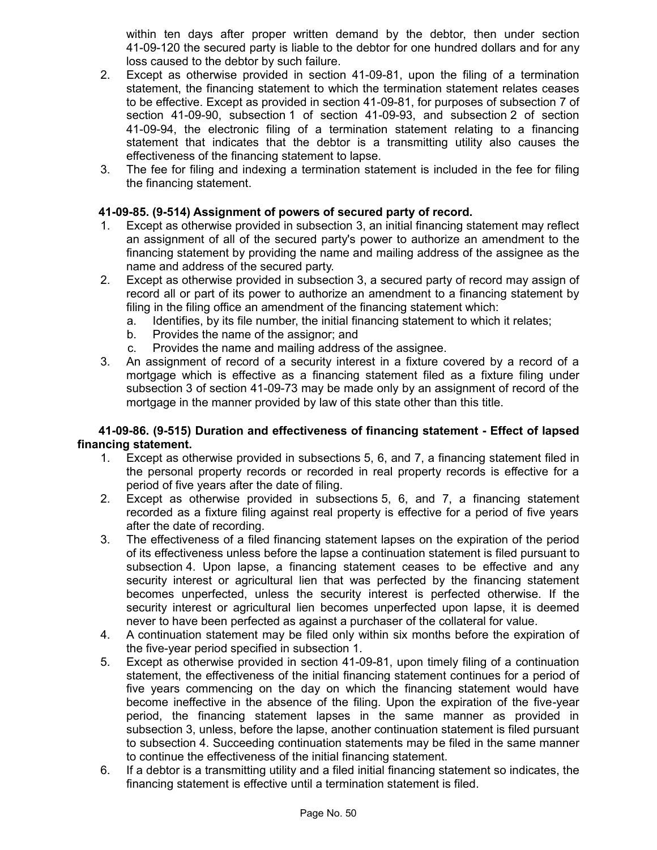within ten days after proper written demand by the debtor, then under section 41-09-120 the secured party is liable to the debtor for one hundred dollars and for any loss caused to the debtor by such failure.

- 2. Except as otherwise provided in section 41-09-81, upon the filing of a termination statement, the financing statement to which the termination statement relates ceases to be effective. Except as provided in section 41-09-81, for purposes of subsection 7 of section 41-09-90, subsection 1 of section 41-09-93, and subsection 2 of section 41-09-94, the electronic filing of a termination statement relating to a financing statement that indicates that the debtor is a transmitting utility also causes the effectiveness of the financing statement to lapse.
- 3. The fee for filing and indexing a termination statement is included in the fee for filing the financing statement.

### **41-09-85. (9-514) Assignment of powers of secured party of record.**

- 1. Except as otherwise provided in subsection 3, an initial financing statement may reflect an assignment of all of the secured party's power to authorize an amendment to the financing statement by providing the name and mailing address of the assignee as the name and address of the secured party.
- 2. Except as otherwise provided in subsection 3, a secured party of record may assign of record all or part of its power to authorize an amendment to a financing statement by filing in the filing office an amendment of the financing statement which:
	- a. Identifies, by its file number, the initial financing statement to which it relates;
	- b. Provides the name of the assignor; and
	- c. Provides the name and mailing address of the assignee.
- 3. An assignment of record of a security interest in a fixture covered by a record of a mortgage which is effective as a financing statement filed as a fixture filing under subsection 3 of section 41-09-73 may be made only by an assignment of record of the mortgage in the manner provided by law of this state other than this title.

### **41-09-86. (9-515) Duration and effectiveness of financing statement - Effect of lapsed financing statement.**

- 1. Except as otherwise provided in subsections 5, 6, and 7, a financing statement filed in the personal property records or recorded in real property records is effective for a period of five years after the date of filing.
- 2. Except as otherwise provided in subsections 5, 6, and 7, a financing statement recorded as a fixture filing against real property is effective for a period of five years after the date of recording.
- 3. The effectiveness of a filed financing statement lapses on the expiration of the period of its effectiveness unless before the lapse a continuation statement is filed pursuant to subsection 4. Upon lapse, a financing statement ceases to be effective and any security interest or agricultural lien that was perfected by the financing statement becomes unperfected, unless the security interest is perfected otherwise. If the security interest or agricultural lien becomes unperfected upon lapse, it is deemed never to have been perfected as against a purchaser of the collateral for value.
- 4. A continuation statement may be filed only within six months before the expiration of the five-year period specified in subsection 1.
- 5. Except as otherwise provided in section 41-09-81, upon timely filing of a continuation statement, the effectiveness of the initial financing statement continues for a period of five years commencing on the day on which the financing statement would have become ineffective in the absence of the filing. Upon the expiration of the five-year period, the financing statement lapses in the same manner as provided in subsection 3, unless, before the lapse, another continuation statement is filed pursuant to subsection 4. Succeeding continuation statements may be filed in the same manner to continue the effectiveness of the initial financing statement.
- 6. If a debtor is a transmitting utility and a filed initial financing statement so indicates, the financing statement is effective until a termination statement is filed.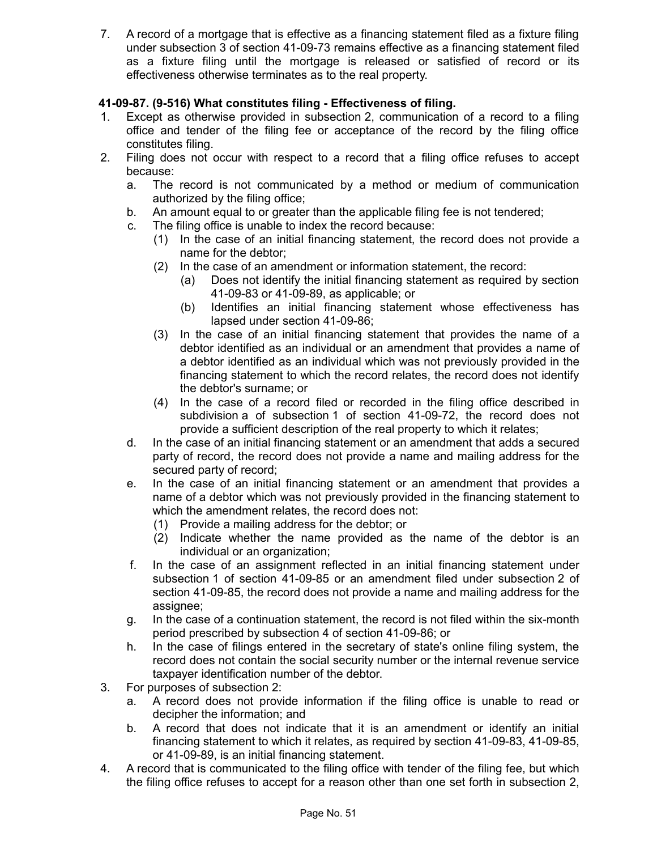7. A record of a mortgage that is effective as a financing statement filed as a fixture filing under subsection 3 of section 41-09-73 remains effective as a financing statement filed as a fixture filing until the mortgage is released or satisfied of record or its effectiveness otherwise terminates as to the real property.

# **41-09-87. (9-516) What constitutes filing - Effectiveness of filing.**

- 1. Except as otherwise provided in subsection 2, communication of a record to a filing office and tender of the filing fee or acceptance of the record by the filing office constitutes filing.
- 2. Filing does not occur with respect to a record that a filing office refuses to accept because:
	- a. The record is not communicated by a method or medium of communication authorized by the filing office;
	- b. An amount equal to or greater than the applicable filing fee is not tendered;
	- c. The filing office is unable to index the record because:
		- (1) In the case of an initial financing statement, the record does not provide a name for the debtor;
		- (2) In the case of an amendment or information statement, the record:
			- (a) Does not identify the initial financing statement as required by section 41-09-83 or 41-09-89, as applicable; or
			- (b) Identifies an initial financing statement whose effectiveness has lapsed under section 41-09-86;
		- (3) In the case of an initial financing statement that provides the name of a debtor identified as an individual or an amendment that provides a name of a debtor identified as an individual which was not previously provided in the financing statement to which the record relates, the record does not identify the debtor's surname; or
		- (4) In the case of a record filed or recorded in the filing office described in subdivision a of subsection 1 of section 41-09-72, the record does not provide a sufficient description of the real property to which it relates;
	- d. In the case of an initial financing statement or an amendment that adds a secured party of record, the record does not provide a name and mailing address for the secured party of record;
	- e. In the case of an initial financing statement or an amendment that provides a name of a debtor which was not previously provided in the financing statement to which the amendment relates, the record does not:
		- (1) Provide a mailing address for the debtor; or
		- (2) Indicate whether the name provided as the name of the debtor is an individual or an organization;
	- f. In the case of an assignment reflected in an initial financing statement under subsection 1 of section 41-09-85 or an amendment filed under subsection 2 of section 41-09-85, the record does not provide a name and mailing address for the assignee;
	- g. In the case of a continuation statement, the record is not filed within the six-month period prescribed by subsection 4 of section 41-09-86; or
	- h. In the case of filings entered in the secretary of state's online filing system, the record does not contain the social security number or the internal revenue service taxpayer identification number of the debtor.
- 3. For purposes of subsection 2:
	- a. A record does not provide information if the filing office is unable to read or decipher the information; and
	- b. A record that does not indicate that it is an amendment or identify an initial financing statement to which it relates, as required by section 41-09-83, 41-09-85, or 41-09-89, is an initial financing statement.
- 4. A record that is communicated to the filing office with tender of the filing fee, but which the filing office refuses to accept for a reason other than one set forth in subsection 2,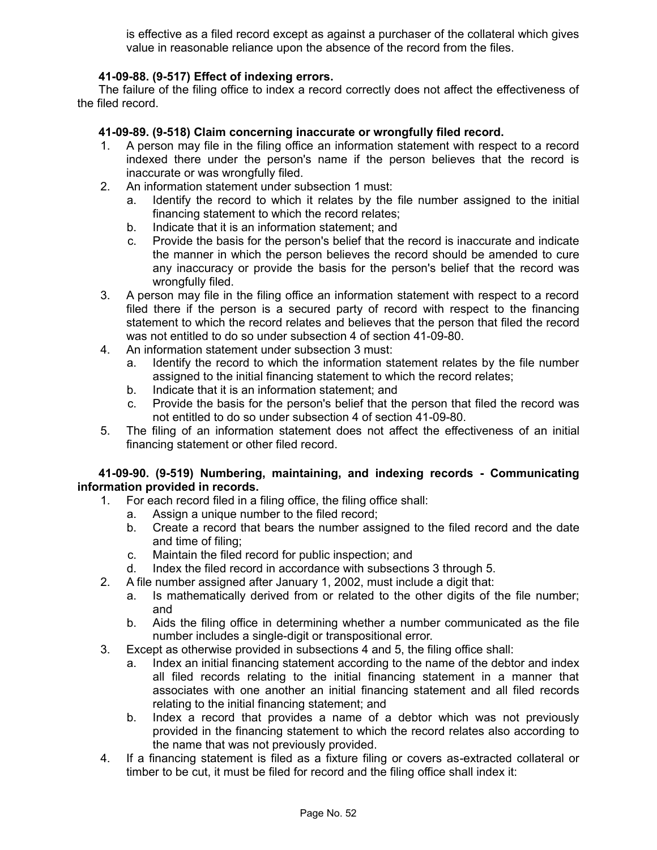is effective as a filed record except as against a purchaser of the collateral which gives value in reasonable reliance upon the absence of the record from the files.

# **41-09-88. (9-517) Effect of indexing errors.**

The failure of the filing office to index a record correctly does not affect the effectiveness of the filed record.

### **41-09-89. (9-518) Claim concerning inaccurate or wrongfully filed record.**

- 1. A person may file in the filing office an information statement with respect to a record indexed there under the person's name if the person believes that the record is inaccurate or was wrongfully filed.
- 2. An information statement under subsection 1 must:
	- a. Identify the record to which it relates by the file number assigned to the initial financing statement to which the record relates;
	- b. Indicate that it is an information statement; and
	- c. Provide the basis for the person's belief that the record is inaccurate and indicate the manner in which the person believes the record should be amended to cure any inaccuracy or provide the basis for the person's belief that the record was wrongfully filed.
- 3. A person may file in the filing office an information statement with respect to a record filed there if the person is a secured party of record with respect to the financing statement to which the record relates and believes that the person that filed the record was not entitled to do so under subsection 4 of section 41-09-80.
- 4. An information statement under subsection 3 must:
	- a. Identify the record to which the information statement relates by the file number assigned to the initial financing statement to which the record relates;
	- b. Indicate that it is an information statement; and
	- c. Provide the basis for the person's belief that the person that filed the record was not entitled to do so under subsection 4 of section 41-09-80.
- 5. The filing of an information statement does not affect the effectiveness of an initial financing statement or other filed record.

### **41-09-90. (9-519) Numbering, maintaining, and indexing records - Communicating information provided in records.**

- 1. For each record filed in a filing office, the filing office shall:
	- a. Assign a unique number to the filed record;
	- b. Create a record that bears the number assigned to the filed record and the date and time of filing;
	- c. Maintain the filed record for public inspection; and
	- d. Index the filed record in accordance with subsections 3 through 5.
- 2. A file number assigned after January 1, 2002, must include a digit that:
	- a. Is mathematically derived from or related to the other digits of the file number; and
	- b. Aids the filing office in determining whether a number communicated as the file number includes a single-digit or transpositional error.
- 3. Except as otherwise provided in subsections 4 and 5, the filing office shall:
	- a. Index an initial financing statement according to the name of the debtor and index all filed records relating to the initial financing statement in a manner that associates with one another an initial financing statement and all filed records relating to the initial financing statement; and
	- b. Index a record that provides a name of a debtor which was not previously provided in the financing statement to which the record relates also according to the name that was not previously provided.
- 4. If a financing statement is filed as a fixture filing or covers as-extracted collateral or timber to be cut, it must be filed for record and the filing office shall index it: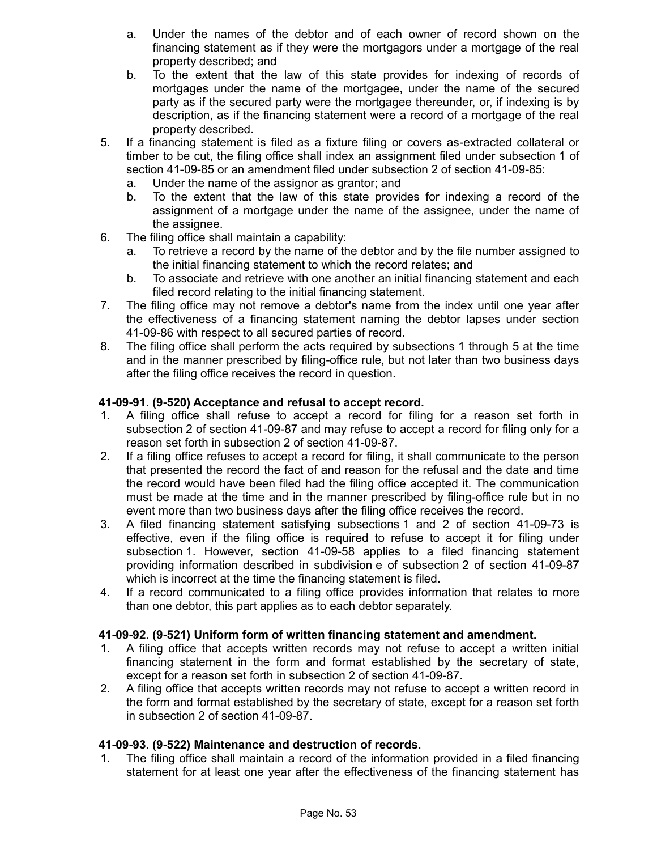- a. Under the names of the debtor and of each owner of record shown on the financing statement as if they were the mortgagors under a mortgage of the real property described; and
- b. To the extent that the law of this state provides for indexing of records of mortgages under the name of the mortgagee, under the name of the secured party as if the secured party were the mortgagee thereunder, or, if indexing is by description, as if the financing statement were a record of a mortgage of the real property described.
- 5. If a financing statement is filed as a fixture filing or covers as-extracted collateral or timber to be cut, the filing office shall index an assignment filed under subsection 1 of section 41-09-85 or an amendment filed under subsection 2 of section 41-09-85:
	- a. Under the name of the assignor as grantor; and
	- b. To the extent that the law of this state provides for indexing a record of the assignment of a mortgage under the name of the assignee, under the name of the assignee.
- 6. The filing office shall maintain a capability:
	- a. To retrieve a record by the name of the debtor and by the file number assigned to the initial financing statement to which the record relates; and
	- b. To associate and retrieve with one another an initial financing statement and each filed record relating to the initial financing statement.
- 7. The filing office may not remove a debtor's name from the index until one year after the effectiveness of a financing statement naming the debtor lapses under section 41-09-86 with respect to all secured parties of record.
- 8. The filing office shall perform the acts required by subsections 1 through 5 at the time and in the manner prescribed by filing-office rule, but not later than two business days after the filing office receives the record in question.

## **41-09-91. (9-520) Acceptance and refusal to accept record.**

- 1. A filing office shall refuse to accept a record for filing for a reason set forth in subsection 2 of section 41-09-87 and may refuse to accept a record for filing only for a reason set forth in subsection 2 of section 41-09-87.
- 2. If a filing office refuses to accept a record for filing, it shall communicate to the person that presented the record the fact of and reason for the refusal and the date and time the record would have been filed had the filing office accepted it. The communication must be made at the time and in the manner prescribed by filing-office rule but in no event more than two business days after the filing office receives the record.
- 3. A filed financing statement satisfying subsections 1 and 2 of section 41-09-73 is effective, even if the filing office is required to refuse to accept it for filing under subsection 1. However, section 41-09-58 applies to a filed financing statement providing information described in subdivision e of subsection 2 of section 41-09-87 which is incorrect at the time the financing statement is filed.
- 4. If a record communicated to a filing office provides information that relates to more than one debtor, this part applies as to each debtor separately.

## **41-09-92. (9-521) Uniform form of written financing statement and amendment.**

- 1. A filing office that accepts written records may not refuse to accept a written initial financing statement in the form and format established by the secretary of state, except for a reason set forth in subsection 2 of section 41-09-87.
- 2. A filing office that accepts written records may not refuse to accept a written record in the form and format established by the secretary of state, except for a reason set forth in subsection 2 of section 41-09-87.

## **41-09-93. (9-522) Maintenance and destruction of records.**

1. The filing office shall maintain a record of the information provided in a filed financing statement for at least one year after the effectiveness of the financing statement has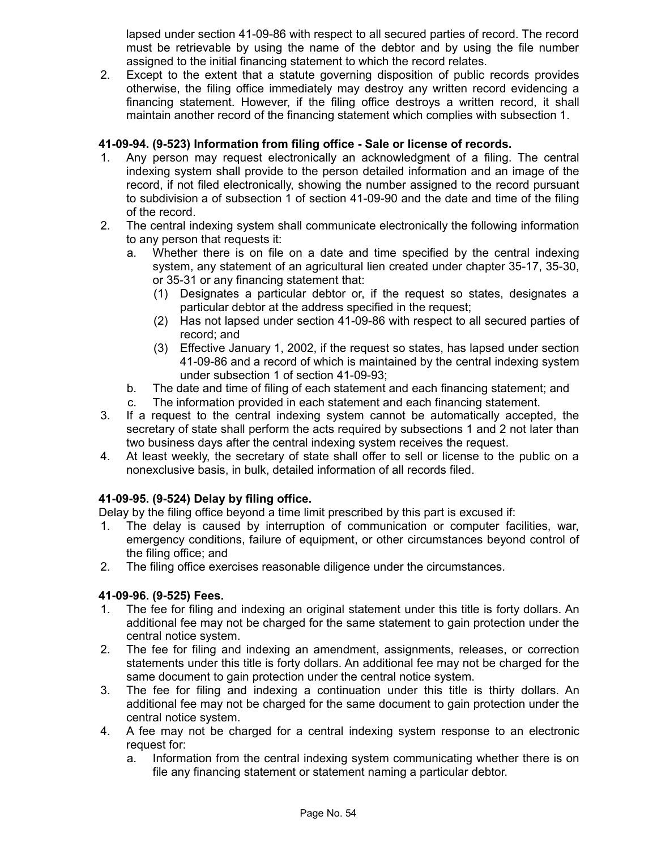lapsed under section 41-09-86 with respect to all secured parties of record. The record must be retrievable by using the name of the debtor and by using the file number assigned to the initial financing statement to which the record relates.

2. Except to the extent that a statute governing disposition of public records provides otherwise, the filing office immediately may destroy any written record evidencing a financing statement. However, if the filing office destroys a written record, it shall maintain another record of the financing statement which complies with subsection 1.

# **41-09-94. (9-523) Information from filing office - Sale or license of records.**

- 1. Any person may request electronically an acknowledgment of a filing. The central indexing system shall provide to the person detailed information and an image of the record, if not filed electronically, showing the number assigned to the record pursuant to subdivision a of subsection 1 of section 41-09-90 and the date and time of the filing of the record.
- 2. The central indexing system shall communicate electronically the following information to any person that requests it:
	- a. Whether there is on file on a date and time specified by the central indexing system, any statement of an agricultural lien created under chapter 35-17, 35-30, or 35-31 or any financing statement that:
		- (1) Designates a particular debtor or, if the request so states, designates a particular debtor at the address specified in the request;
		- (2) Has not lapsed under section 41-09-86 with respect to all secured parties of record; and
		- (3) Effective January 1, 2002, if the request so states, has lapsed under section 41-09-86 and a record of which is maintained by the central indexing system under subsection 1 of section 41-09-93;
	- b. The date and time of filing of each statement and each financing statement; and
	- c. The information provided in each statement and each financing statement.
- 3. If a request to the central indexing system cannot be automatically accepted, the secretary of state shall perform the acts required by subsections 1 and 2 not later than two business days after the central indexing system receives the request.
- 4. At least weekly, the secretary of state shall offer to sell or license to the public on a nonexclusive basis, in bulk, detailed information of all records filed.

# **41-09-95. (9-524) Delay by filing office.**

Delay by the filing office beyond a time limit prescribed by this part is excused if:

- 1. The delay is caused by interruption of communication or computer facilities, war, emergency conditions, failure of equipment, or other circumstances beyond control of the filing office; and
- 2. The filing office exercises reasonable diligence under the circumstances.

## **41-09-96. (9-525) Fees.**

- 1. The fee for filing and indexing an original statement under this title is forty dollars. An additional fee may not be charged for the same statement to gain protection under the central notice system.
- 2. The fee for filing and indexing an amendment, assignments, releases, or correction statements under this title is forty dollars. An additional fee may not be charged for the same document to gain protection under the central notice system.
- 3. The fee for filing and indexing a continuation under this title is thirty dollars. An additional fee may not be charged for the same document to gain protection under the central notice system.
- 4. A fee may not be charged for a central indexing system response to an electronic request for:
	- a. Information from the central indexing system communicating whether there is on file any financing statement or statement naming a particular debtor.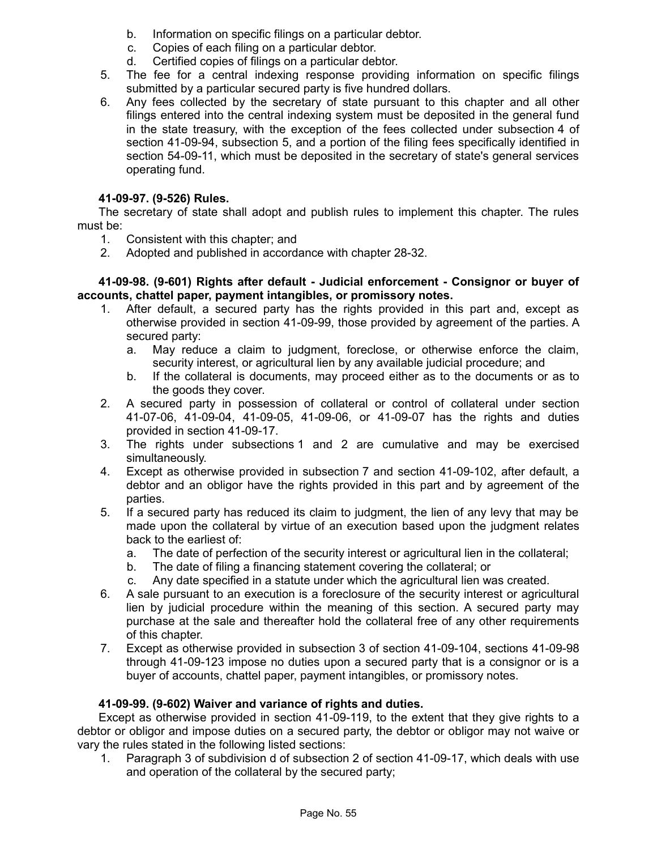- b. Information on specific filings on a particular debtor.
- c. Copies of each filing on a particular debtor.
- d. Certified copies of filings on a particular debtor.
- 5. The fee for a central indexing response providing information on specific filings submitted by a particular secured party is five hundred dollars.
- 6. Any fees collected by the secretary of state pursuant to this chapter and all other filings entered into the central indexing system must be deposited in the general fund in the state treasury, with the exception of the fees collected under subsection 4 of section 41-09-94, subsection 5, and a portion of the filing fees specifically identified in section 54-09-11, which must be deposited in the secretary of state's general services operating fund.

# **41-09-97. (9-526) Rules.**

The secretary of state shall adopt and publish rules to implement this chapter. The rules must be:

- 1. Consistent with this chapter; and
- 2. Adopted and published in accordance with chapter 28-32.

### **41-09-98. (9-601) Rights after default - Judicial enforcement - Consignor or buyer of accounts, chattel paper, payment intangibles, or promissory notes.**

- 1. After default, a secured party has the rights provided in this part and, except as otherwise provided in section 41-09-99, those provided by agreement of the parties. A secured party:
	- a. May reduce a claim to judgment, foreclose, or otherwise enforce the claim, security interest, or agricultural lien by any available judicial procedure; and
	- b. If the collateral is documents, may proceed either as to the documents or as to the goods they cover.
- 2. A secured party in possession of collateral or control of collateral under section 41-07-06, 41-09-04, 41-09-05, 41-09-06, or 41-09-07 has the rights and duties provided in section 41-09-17.
- 3. The rights under subsections 1 and 2 are cumulative and may be exercised simultaneously.
- 4. Except as otherwise provided in subsection 7 and section 41-09-102, after default, a debtor and an obligor have the rights provided in this part and by agreement of the parties.
- 5. If a secured party has reduced its claim to judgment, the lien of any levy that may be made upon the collateral by virtue of an execution based upon the judgment relates back to the earliest of:
	- a. The date of perfection of the security interest or agricultural lien in the collateral;
	- b. The date of filing a financing statement covering the collateral; or
	- c. Any date specified in a statute under which the agricultural lien was created.
- 6. A sale pursuant to an execution is a foreclosure of the security interest or agricultural lien by judicial procedure within the meaning of this section. A secured party may purchase at the sale and thereafter hold the collateral free of any other requirements of this chapter.
- 7. Except as otherwise provided in subsection 3 of section 41-09-104, sections 41-09-98 through 41-09-123 impose no duties upon a secured party that is a consignor or is a buyer of accounts, chattel paper, payment intangibles, or promissory notes.

## **41-09-99. (9-602) Waiver and variance of rights and duties.**

Except as otherwise provided in section 41-09-119, to the extent that they give rights to a debtor or obligor and impose duties on a secured party, the debtor or obligor may not waive or vary the rules stated in the following listed sections:

1. Paragraph 3 of subdivision d of subsection 2 of section 41-09-17, which deals with use and operation of the collateral by the secured party;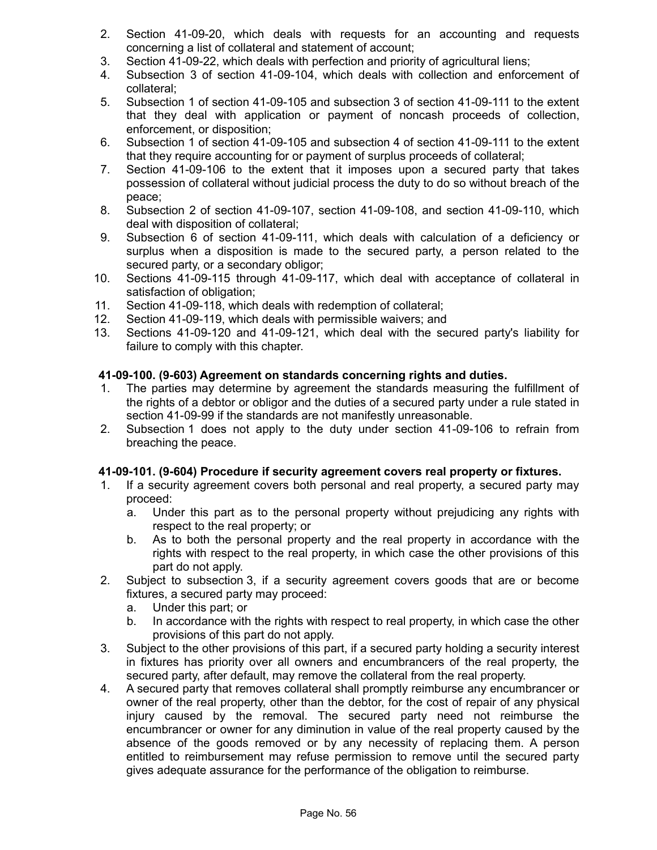- 2. Section 41-09-20, which deals with requests for an accounting and requests concerning a list of collateral and statement of account;
- 3. Section 41-09-22, which deals with perfection and priority of agricultural liens;
- 4. Subsection 3 of section 41-09-104, which deals with collection and enforcement of collateral;
- 5. Subsection 1 of section 41-09-105 and subsection 3 of section 41-09-111 to the extent that they deal with application or payment of noncash proceeds of collection, enforcement, or disposition;
- 6. Subsection 1 of section 41-09-105 and subsection 4 of section 41-09-111 to the extent that they require accounting for or payment of surplus proceeds of collateral;
- 7. Section 41-09-106 to the extent that it imposes upon a secured party that takes possession of collateral without judicial process the duty to do so without breach of the peace;
- 8. Subsection 2 of section 41-09-107, section 41-09-108, and section 41-09-110, which deal with disposition of collateral;
- 9. Subsection 6 of section 41-09-111, which deals with calculation of a deficiency or surplus when a disposition is made to the secured party, a person related to the secured party, or a secondary obligor;
- 10. Sections 41-09-115 through 41-09-117, which deal with acceptance of collateral in satisfaction of obligation;
- 11. Section 41-09-118, which deals with redemption of collateral;
- 12. Section 41-09-119, which deals with permissible waivers; and
- 13. Sections 41-09-120 and 41-09-121, which deal with the secured party's liability for failure to comply with this chapter.

## **41-09-100. (9-603) Agreement on standards concerning rights and duties.**

- 1. The parties may determine by agreement the standards measuring the fulfillment of the rights of a debtor or obligor and the duties of a secured party under a rule stated in section 41-09-99 if the standards are not manifestly unreasonable.
- 2. Subsection 1 does not apply to the duty under section 41-09-106 to refrain from breaching the peace.

## **41-09-101. (9-604) Procedure if security agreement covers real property or fixtures.**

- 1. If a security agreement covers both personal and real property, a secured party may proceed:
	- a. Under this part as to the personal property without prejudicing any rights with respect to the real property; or
	- b. As to both the personal property and the real property in accordance with the rights with respect to the real property, in which case the other provisions of this part do not apply.
- 2. Subject to subsection 3, if a security agreement covers goods that are or become fixtures, a secured party may proceed:
	- a. Under this part; or
	- b. In accordance with the rights with respect to real property, in which case the other provisions of this part do not apply.
- 3. Subject to the other provisions of this part, if a secured party holding a security interest in fixtures has priority over all owners and encumbrancers of the real property, the secured party, after default, may remove the collateral from the real property.
- 4. A secured party that removes collateral shall promptly reimburse any encumbrancer or owner of the real property, other than the debtor, for the cost of repair of any physical injury caused by the removal. The secured party need not reimburse the encumbrancer or owner for any diminution in value of the real property caused by the absence of the goods removed or by any necessity of replacing them. A person entitled to reimbursement may refuse permission to remove until the secured party gives adequate assurance for the performance of the obligation to reimburse.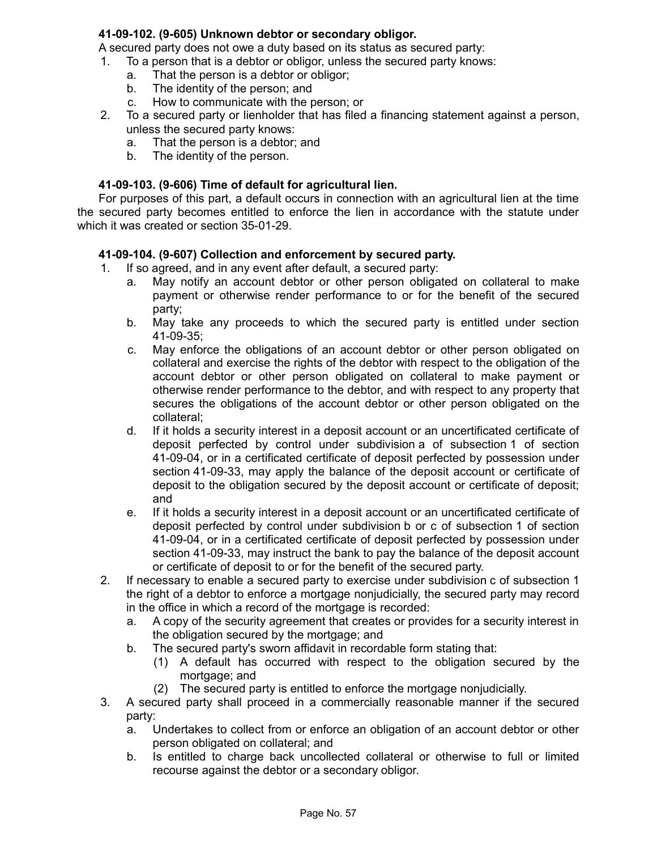## **41-09-102. (9-605) Unknown debtor or secondary obligor.**

A secured party does not owe a duty based on its status as secured party:

- 1. To a person that is a debtor or obligor, unless the secured party knows:
	- a. That the person is a debtor or obligor;
	- b. The identity of the person; and
	- c. How to communicate with the person; or
- 2. To a secured party or lienholder that has filed a financing statement against a person, unless the secured party knows:
	- a. That the person is a debtor; and
	- b. The identity of the person.

### **41-09-103. (9-606) Time of default for agricultural lien.**

For purposes of this part, a default occurs in connection with an agricultural lien at the time the secured party becomes entitled to enforce the lien in accordance with the statute under which it was created or section 35-01-29.

### **41-09-104. (9-607) Collection and enforcement by secured party.**

- 1. If so agreed, and in any event after default, a secured party:
	- a. May notify an account debtor or other person obligated on collateral to make payment or otherwise render performance to or for the benefit of the secured party;
	- b. May take any proceeds to which the secured party is entitled under section 41-09-35;
	- c. May enforce the obligations of an account debtor or other person obligated on collateral and exercise the rights of the debtor with respect to the obligation of the account debtor or other person obligated on collateral to make payment or otherwise render performance to the debtor, and with respect to any property that secures the obligations of the account debtor or other person obligated on the collateral;
	- d. If it holds a security interest in a deposit account or an uncertificated certificate of deposit perfected by control under subdivision a of subsection 1 of section 41-09-04, or in a certificated certificate of deposit perfected by possession under section 41-09-33, may apply the balance of the deposit account or certificate of deposit to the obligation secured by the deposit account or certificate of deposit; and
	- e. If it holds a security interest in a deposit account or an uncertificated certificate of deposit perfected by control under subdivision b or c of subsection 1 of section 41-09-04, or in a certificated certificate of deposit perfected by possession under section 41-09-33, may instruct the bank to pay the balance of the deposit account or certificate of deposit to or for the benefit of the secured party.
- 2. If necessary to enable a secured party to exercise under subdivision c of subsection 1 the right of a debtor to enforce a mortgage nonjudicially, the secured party may record in the office in which a record of the mortgage is recorded:
	- a. A copy of the security agreement that creates or provides for a security interest in the obligation secured by the mortgage; and
	- b. The secured party's sworn affidavit in recordable form stating that:
		- (1) A default has occurred with respect to the obligation secured by the mortgage; and
		- (2) The secured party is entitled to enforce the mortgage nonjudicially.
- 3. A secured party shall proceed in a commercially reasonable manner if the secured party:
	- a. Undertakes to collect from or enforce an obligation of an account debtor or other person obligated on collateral; and
	- b. Is entitled to charge back uncollected collateral or otherwise to full or limited recourse against the debtor or a secondary obligor.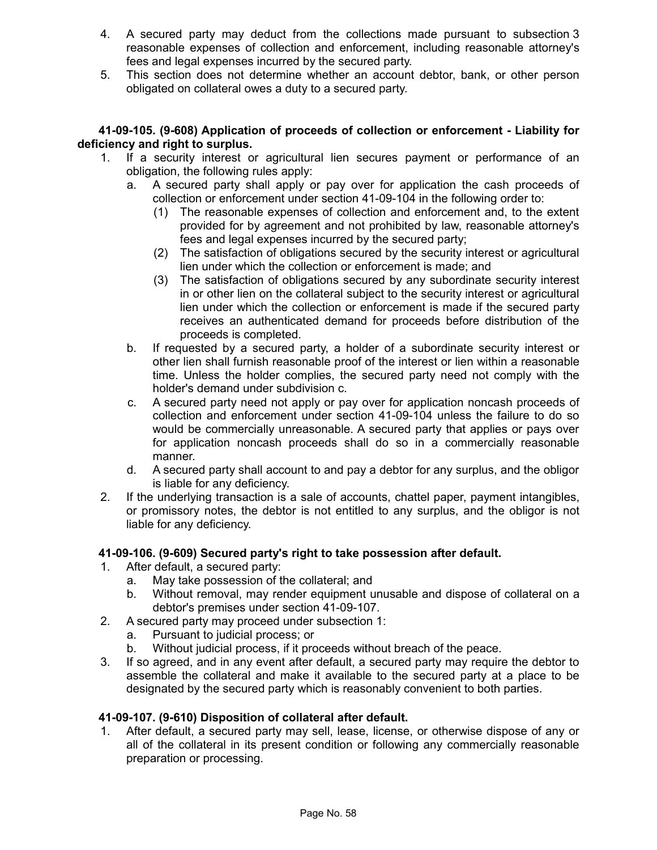- 4. A secured party may deduct from the collections made pursuant to subsection 3 reasonable expenses of collection and enforcement, including reasonable attorney's fees and legal expenses incurred by the secured party.
- 5. This section does not determine whether an account debtor, bank, or other person obligated on collateral owes a duty to a secured party.

### **41-09-105. (9-608) Application of proceeds of collection or enforcement - Liability for deficiency and right to surplus.**

- 1. If a security interest or agricultural lien secures payment or performance of an obligation, the following rules apply:
	- a. A secured party shall apply or pay over for application the cash proceeds of collection or enforcement under section 41-09-104 in the following order to:
		- (1) The reasonable expenses of collection and enforcement and, to the extent provided for by agreement and not prohibited by law, reasonable attorney's fees and legal expenses incurred by the secured party;
		- (2) The satisfaction of obligations secured by the security interest or agricultural lien under which the collection or enforcement is made; and
		- (3) The satisfaction of obligations secured by any subordinate security interest in or other lien on the collateral subject to the security interest or agricultural lien under which the collection or enforcement is made if the secured party receives an authenticated demand for proceeds before distribution of the proceeds is completed.
	- b. If requested by a secured party, a holder of a subordinate security interest or other lien shall furnish reasonable proof of the interest or lien within a reasonable time. Unless the holder complies, the secured party need not comply with the holder's demand under subdivision c.
	- c. A secured party need not apply or pay over for application noncash proceeds of collection and enforcement under section 41-09-104 unless the failure to do so would be commercially unreasonable. A secured party that applies or pays over for application noncash proceeds shall do so in a commercially reasonable manner.
	- d. A secured party shall account to and pay a debtor for any surplus, and the obligor is liable for any deficiency.
- 2. If the underlying transaction is a sale of accounts, chattel paper, payment intangibles, or promissory notes, the debtor is not entitled to any surplus, and the obligor is not liable for any deficiency.

## **41-09-106. (9-609) Secured party's right to take possession after default.**

- 1. After default, a secured party:
	- a. May take possession of the collateral; and
	- b. Without removal, may render equipment unusable and dispose of collateral on a debtor's premises under section 41-09-107.
- 2. A secured party may proceed under subsection 1:
	- a. Pursuant to judicial process; or
	- b. Without judicial process, if it proceeds without breach of the peace.
- 3. If so agreed, and in any event after default, a secured party may require the debtor to assemble the collateral and make it available to the secured party at a place to be designated by the secured party which is reasonably convenient to both parties.

## **41-09-107. (9-610) Disposition of collateral after default.**

1. After default, a secured party may sell, lease, license, or otherwise dispose of any or all of the collateral in its present condition or following any commercially reasonable preparation or processing.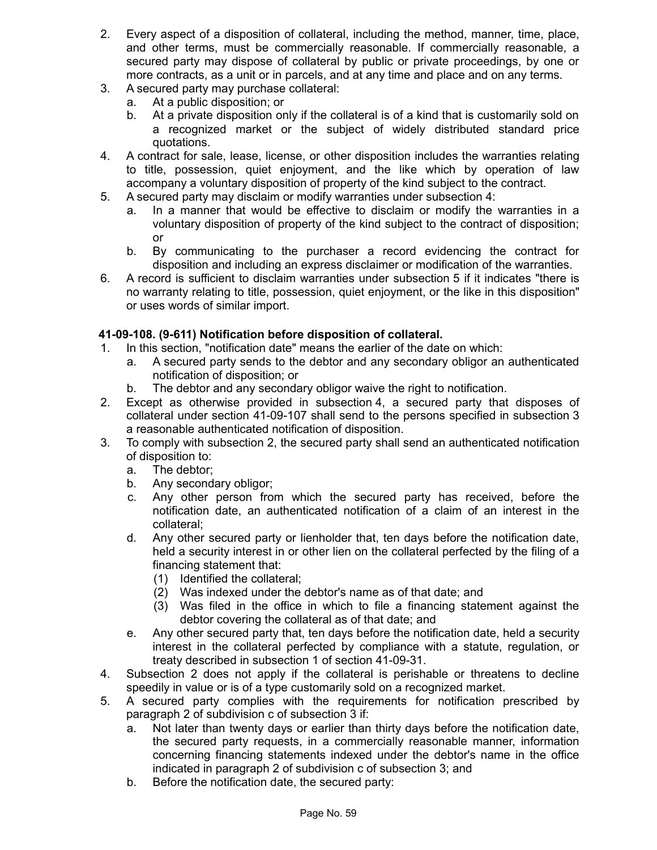- 2. Every aspect of a disposition of collateral, including the method, manner, time, place, and other terms, must be commercially reasonable. If commercially reasonable, a secured party may dispose of collateral by public or private proceedings, by one or more contracts, as a unit or in parcels, and at any time and place and on any terms.
- 3. A secured party may purchase collateral:
	- a. At a public disposition; or
	- b. At a private disposition only if the collateral is of a kind that is customarily sold on a recognized market or the subject of widely distributed standard price quotations.
- 4. A contract for sale, lease, license, or other disposition includes the warranties relating to title, possession, quiet enjoyment, and the like which by operation of law accompany a voluntary disposition of property of the kind subject to the contract.
- 5. A secured party may disclaim or modify warranties under subsection 4:
	- a. In a manner that would be effective to disclaim or modify the warranties in a voluntary disposition of property of the kind subject to the contract of disposition; or
	- b. By communicating to the purchaser a record evidencing the contract for disposition and including an express disclaimer or modification of the warranties.
- 6. A record is sufficient to disclaim warranties under subsection 5 if it indicates "there is no warranty relating to title, possession, quiet enjoyment, or the like in this disposition" or uses words of similar import.

# **41-09-108. (9-611) Notification before disposition of collateral.**

- 1. In this section, "notification date" means the earlier of the date on which:
	- a. A secured party sends to the debtor and any secondary obligor an authenticated notification of disposition; or
	- b. The debtor and any secondary obligor waive the right to notification.
- 2. Except as otherwise provided in subsection 4, a secured party that disposes of collateral under section 41-09-107 shall send to the persons specified in subsection 3 a reasonable authenticated notification of disposition.
- 3. To comply with subsection 2, the secured party shall send an authenticated notification of disposition to:
	- a. The debtor;
	- b. Any secondary obligor;
	- c. Any other person from which the secured party has received, before the notification date, an authenticated notification of a claim of an interest in the collateral;
	- d. Any other secured party or lienholder that, ten days before the notification date, held a security interest in or other lien on the collateral perfected by the filing of a financing statement that:
		- (1) Identified the collateral;
		- (2) Was indexed under the debtor's name as of that date; and
		- (3) Was filed in the office in which to file a financing statement against the debtor covering the collateral as of that date; and
	- e. Any other secured party that, ten days before the notification date, held a security interest in the collateral perfected by compliance with a statute, regulation, or treaty described in subsection 1 of section 41-09-31.
- 4. Subsection 2 does not apply if the collateral is perishable or threatens to decline speedily in value or is of a type customarily sold on a recognized market.
- 5. A secured party complies with the requirements for notification prescribed by paragraph 2 of subdivision c of subsection 3 if:
	- a. Not later than twenty days or earlier than thirty days before the notification date, the secured party requests, in a commercially reasonable manner, information concerning financing statements indexed under the debtor's name in the office indicated in paragraph 2 of subdivision c of subsection 3; and
	- b. Before the notification date, the secured party: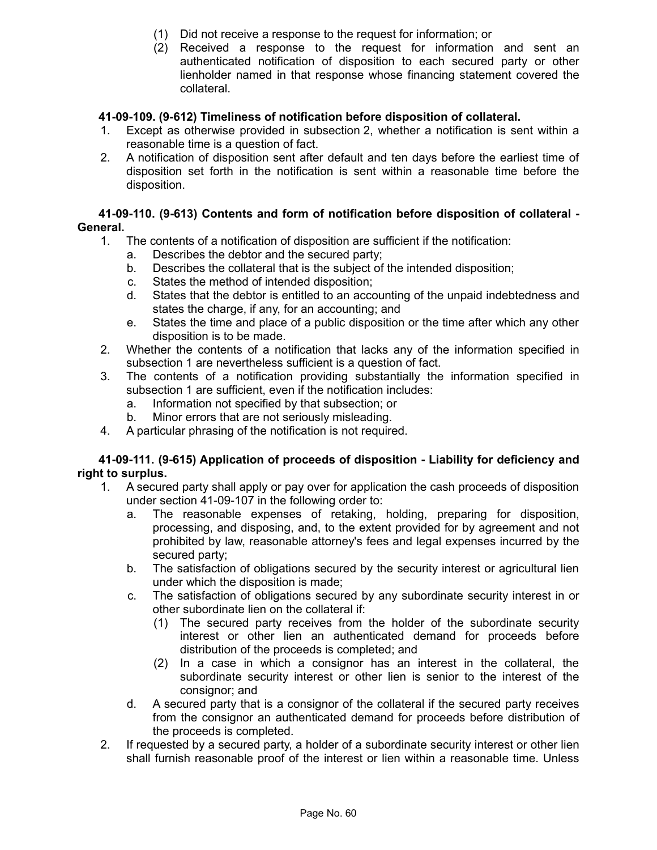- (1) Did not receive a response to the request for information; or
- (2) Received a response to the request for information and sent an authenticated notification of disposition to each secured party or other lienholder named in that response whose financing statement covered the collateral.

## **41-09-109. (9-612) Timeliness of notification before disposition of collateral.**

- 1. Except as otherwise provided in subsection 2, whether a notification is sent within a reasonable time is a question of fact.
- 2. A notification of disposition sent after default and ten days before the earliest time of disposition set forth in the notification is sent within a reasonable time before the disposition.

### **41-09-110. (9-613) Contents and form of notification before disposition of collateral - General.**

- 1. The contents of a notification of disposition are sufficient if the notification:
	- a. Describes the debtor and the secured party;
	- b. Describes the collateral that is the subject of the intended disposition;
	- c. States the method of intended disposition;
	- d. States that the debtor is entitled to an accounting of the unpaid indebtedness and states the charge, if any, for an accounting; and
	- e. States the time and place of a public disposition or the time after which any other disposition is to be made.
- 2. Whether the contents of a notification that lacks any of the information specified in subsection 1 are nevertheless sufficient is a question of fact.
- 3. The contents of a notification providing substantially the information specified in subsection 1 are sufficient, even if the notification includes:
	- a. Information not specified by that subsection; or
	- b. Minor errors that are not seriously misleading.
- 4. A particular phrasing of the notification is not required.

## **41-09-111. (9-615) Application of proceeds of disposition - Liability for deficiency and right to surplus.**

- 1. A secured party shall apply or pay over for application the cash proceeds of disposition under section 41-09-107 in the following order to:
	- a. The reasonable expenses of retaking, holding, preparing for disposition, processing, and disposing, and, to the extent provided for by agreement and not prohibited by law, reasonable attorney's fees and legal expenses incurred by the secured party;
	- b. The satisfaction of obligations secured by the security interest or agricultural lien under which the disposition is made;
	- c. The satisfaction of obligations secured by any subordinate security interest in or other subordinate lien on the collateral if:
		- (1) The secured party receives from the holder of the subordinate security interest or other lien an authenticated demand for proceeds before distribution of the proceeds is completed; and
		- (2) In a case in which a consignor has an interest in the collateral, the subordinate security interest or other lien is senior to the interest of the consignor; and
	- d. A secured party that is a consignor of the collateral if the secured party receives from the consignor an authenticated demand for proceeds before distribution of the proceeds is completed.
- 2. If requested by a secured party, a holder of a subordinate security interest or other lien shall furnish reasonable proof of the interest or lien within a reasonable time. Unless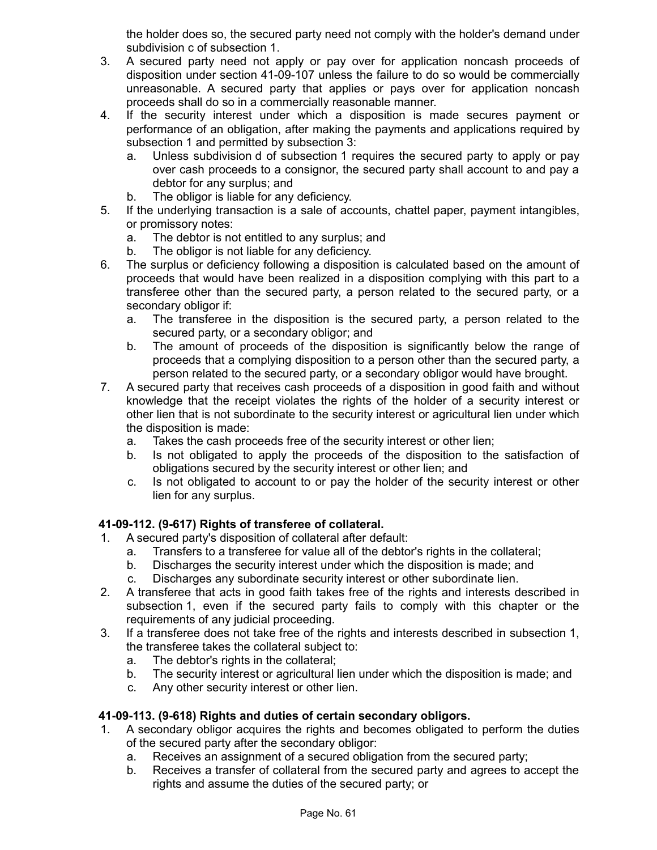the holder does so, the secured party need not comply with the holder's demand under subdivision c of subsection 1.

- 3. A secured party need not apply or pay over for application noncash proceeds of disposition under section 41-09-107 unless the failure to do so would be commercially unreasonable. A secured party that applies or pays over for application noncash proceeds shall do so in a commercially reasonable manner.
- 4. If the security interest under which a disposition is made secures payment or performance of an obligation, after making the payments and applications required by subsection 1 and permitted by subsection 3:
	- a. Unless subdivision d of subsection 1 requires the secured party to apply or pay over cash proceeds to a consignor, the secured party shall account to and pay a debtor for any surplus; and
	- b. The obligor is liable for any deficiency.
- 5. If the underlying transaction is a sale of accounts, chattel paper, payment intangibles, or promissory notes:
	- a. The debtor is not entitled to any surplus; and
	- b. The obligor is not liable for any deficiency.
- 6. The surplus or deficiency following a disposition is calculated based on the amount of proceeds that would have been realized in a disposition complying with this part to a transferee other than the secured party, a person related to the secured party, or a secondary obligor if:
	- a. The transferee in the disposition is the secured party, a person related to the secured party, or a secondary obligor; and
	- b. The amount of proceeds of the disposition is significantly below the range of proceeds that a complying disposition to a person other than the secured party, a person related to the secured party, or a secondary obligor would have brought.
- 7. A secured party that receives cash proceeds of a disposition in good faith and without knowledge that the receipt violates the rights of the holder of a security interest or other lien that is not subordinate to the security interest or agricultural lien under which the disposition is made:
	- a. Takes the cash proceeds free of the security interest or other lien;
	- b. Is not obligated to apply the proceeds of the disposition to the satisfaction of obligations secured by the security interest or other lien; and
	- c. Is not obligated to account to or pay the holder of the security interest or other lien for any surplus.

# **41-09-112. (9-617) Rights of transferee of collateral.**

- 1. A secured party's disposition of collateral after default:
	- a. Transfers to a transferee for value all of the debtor's rights in the collateral;
	- b. Discharges the security interest under which the disposition is made; and
	- c. Discharges any subordinate security interest or other subordinate lien.
- 2. A transferee that acts in good faith takes free of the rights and interests described in subsection 1, even if the secured party fails to comply with this chapter or the requirements of any judicial proceeding.
- 3. If a transferee does not take free of the rights and interests described in subsection 1, the transferee takes the collateral subject to:
	- a. The debtor's rights in the collateral;
	- b. The security interest or agricultural lien under which the disposition is made; and
	- c. Any other security interest or other lien.

# **41-09-113. (9-618) Rights and duties of certain secondary obligors.**

- 1. A secondary obligor acquires the rights and becomes obligated to perform the duties of the secured party after the secondary obligor:
	- a. Receives an assignment of a secured obligation from the secured party;
	- b. Receives a transfer of collateral from the secured party and agrees to accept the rights and assume the duties of the secured party; or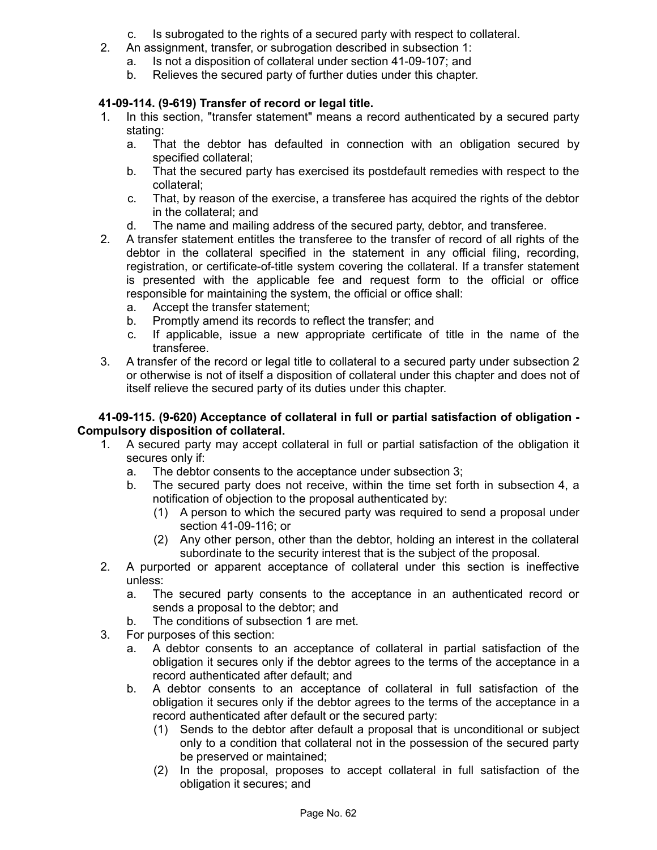- c. Is subrogated to the rights of a secured party with respect to collateral.
- 2. An assignment, transfer, or subrogation described in subsection 1:
	- a. Is not a disposition of collateral under section 41-09-107; and
	- b. Relieves the secured party of further duties under this chapter.

# **41-09-114. (9-619) Transfer of record or legal title.**

- 1. In this section, "transfer statement" means a record authenticated by a secured party stating:
	- a. That the debtor has defaulted in connection with an obligation secured by specified collateral;
	- b. That the secured party has exercised its postdefault remedies with respect to the collateral;
	- c. That, by reason of the exercise, a transferee has acquired the rights of the debtor in the collateral; and
	- d. The name and mailing address of the secured party, debtor, and transferee.
- 2. A transfer statement entitles the transferee to the transfer of record of all rights of the debtor in the collateral specified in the statement in any official filing, recording, registration, or certificate-of-title system covering the collateral. If a transfer statement is presented with the applicable fee and request form to the official or office responsible for maintaining the system, the official or office shall:
	- a. Accept the transfer statement;
	- b. Promptly amend its records to reflect the transfer; and
	- c. If applicable, issue a new appropriate certificate of title in the name of the transferee.
- 3. A transfer of the record or legal title to collateral to a secured party under subsection 2 or otherwise is not of itself a disposition of collateral under this chapter and does not of itself relieve the secured party of its duties under this chapter.

# **41-09-115. (9-620) Acceptance of collateral in full or partial satisfaction of obligation - Compulsory disposition of collateral.**

- 1. A secured party may accept collateral in full or partial satisfaction of the obligation it secures only if:
	- a. The debtor consents to the acceptance under subsection 3;
	- b. The secured party does not receive, within the time set forth in subsection 4, a notification of objection to the proposal authenticated by:
		- (1) A person to which the secured party was required to send a proposal under section 41-09-116; or
		- (2) Any other person, other than the debtor, holding an interest in the collateral subordinate to the security interest that is the subject of the proposal.
- 2. A purported or apparent acceptance of collateral under this section is ineffective unless:
	- a. The secured party consents to the acceptance in an authenticated record or sends a proposal to the debtor; and
	- b. The conditions of subsection 1 are met.
- 3. For purposes of this section:
	- a. A debtor consents to an acceptance of collateral in partial satisfaction of the obligation it secures only if the debtor agrees to the terms of the acceptance in a record authenticated after default; and
	- b. A debtor consents to an acceptance of collateral in full satisfaction of the obligation it secures only if the debtor agrees to the terms of the acceptance in a record authenticated after default or the secured party:
		- (1) Sends to the debtor after default a proposal that is unconditional or subject only to a condition that collateral not in the possession of the secured party be preserved or maintained;
		- (2) In the proposal, proposes to accept collateral in full satisfaction of the obligation it secures; and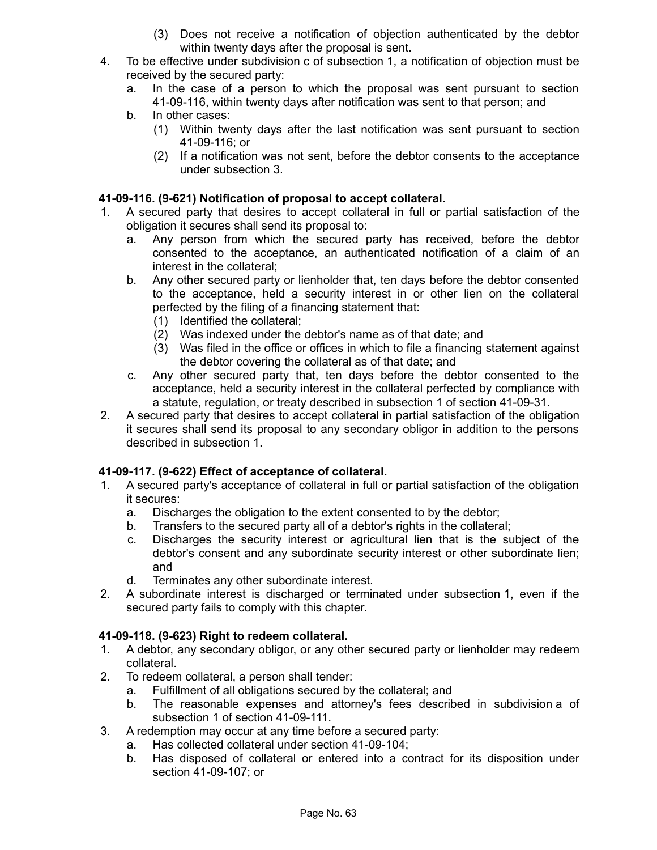- (3) Does not receive a notification of objection authenticated by the debtor within twenty days after the proposal is sent.
- 4. To be effective under subdivision c of subsection 1, a notification of objection must be received by the secured party:
	- a. In the case of a person to which the proposal was sent pursuant to section 41-09-116, within twenty days after notification was sent to that person; and
	- b. In other cases:
		- (1) Within twenty days after the last notification was sent pursuant to section 41-09-116; or
		- (2) If a notification was not sent, before the debtor consents to the acceptance under subsection 3.

## **41-09-116. (9-621) Notification of proposal to accept collateral.**

- 1. A secured party that desires to accept collateral in full or partial satisfaction of the obligation it secures shall send its proposal to:
	- a. Any person from which the secured party has received, before the debtor consented to the acceptance, an authenticated notification of a claim of an interest in the collateral;
	- b. Any other secured party or lienholder that, ten days before the debtor consented to the acceptance, held a security interest in or other lien on the collateral perfected by the filing of a financing statement that:
		- (1) Identified the collateral;
		- (2) Was indexed under the debtor's name as of that date; and
		- (3) Was filed in the office or offices in which to file a financing statement against the debtor covering the collateral as of that date; and
	- c. Any other secured party that, ten days before the debtor consented to the acceptance, held a security interest in the collateral perfected by compliance with a statute, regulation, or treaty described in subsection 1 of section 41-09-31.
- 2. A secured party that desires to accept collateral in partial satisfaction of the obligation it secures shall send its proposal to any secondary obligor in addition to the persons described in subsection 1.

## **41-09-117. (9-622) Effect of acceptance of collateral.**

- 1. A secured party's acceptance of collateral in full or partial satisfaction of the obligation it secures:
	- a. Discharges the obligation to the extent consented to by the debtor;
	- b. Transfers to the secured party all of a debtor's rights in the collateral;
	- c. Discharges the security interest or agricultural lien that is the subject of the debtor's consent and any subordinate security interest or other subordinate lien; and
	- d. Terminates any other subordinate interest.
- 2. A subordinate interest is discharged or terminated under subsection 1, even if the secured party fails to comply with this chapter.

## **41-09-118. (9-623) Right to redeem collateral.**

- 1. A debtor, any secondary obligor, or any other secured party or lienholder may redeem collateral.
- 2. To redeem collateral, a person shall tender:
	- a. Fulfillment of all obligations secured by the collateral; and
	- b. The reasonable expenses and attorney's fees described in subdivision a of subsection 1 of section 41-09-111.
- 3. A redemption may occur at any time before a secured party:
	- a. Has collected collateral under section 41-09-104;
	- b. Has disposed of collateral or entered into a contract for its disposition under section 41-09-107; or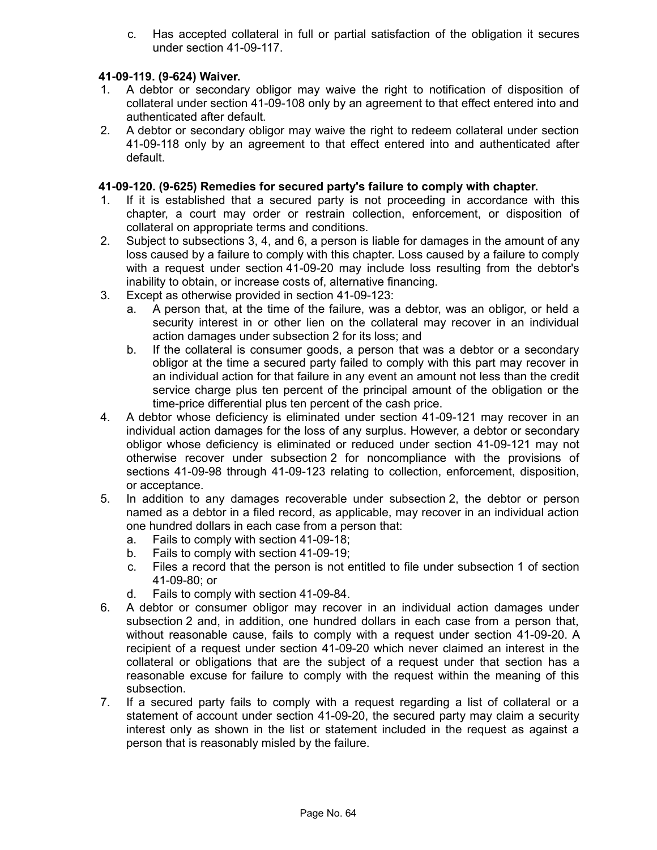c. Has accepted collateral in full or partial satisfaction of the obligation it secures under section 41-09-117.

# **41-09-119. (9-624) Waiver.**

- 1. A debtor or secondary obligor may waive the right to notification of disposition of collateral under section 41-09-108 only by an agreement to that effect entered into and authenticated after default.
- 2. A debtor or secondary obligor may waive the right to redeem collateral under section 41-09-118 only by an agreement to that effect entered into and authenticated after default.

## **41-09-120. (9-625) Remedies for secured party's failure to comply with chapter.**

- 1. If it is established that a secured party is not proceeding in accordance with this chapter, a court may order or restrain collection, enforcement, or disposition of collateral on appropriate terms and conditions.
- 2. Subject to subsections 3, 4, and 6, a person is liable for damages in the amount of any loss caused by a failure to comply with this chapter. Loss caused by a failure to comply with a request under section 41-09-20 may include loss resulting from the debtor's inability to obtain, or increase costs of, alternative financing.
- 3. Except as otherwise provided in section 41-09-123:
	- a. A person that, at the time of the failure, was a debtor, was an obligor, or held a security interest in or other lien on the collateral may recover in an individual action damages under subsection 2 for its loss; and
	- b. If the collateral is consumer goods, a person that was a debtor or a secondary obligor at the time a secured party failed to comply with this part may recover in an individual action for that failure in any event an amount not less than the credit service charge plus ten percent of the principal amount of the obligation or the time-price differential plus ten percent of the cash price.
- 4. A debtor whose deficiency is eliminated under section 41-09-121 may recover in an individual action damages for the loss of any surplus. However, a debtor or secondary obligor whose deficiency is eliminated or reduced under section 41-09-121 may not otherwise recover under subsection 2 for noncompliance with the provisions of sections 41-09-98 through 41-09-123 relating to collection, enforcement, disposition, or acceptance.
- 5. In addition to any damages recoverable under subsection 2, the debtor or person named as a debtor in a filed record, as applicable, may recover in an individual action one hundred dollars in each case from a person that:
	- a. Fails to comply with section 41-09-18;
	- b. Fails to comply with section 41-09-19;
	- c. Files a record that the person is not entitled to file under subsection 1 of section 41-09-80; or
	- d. Fails to comply with section 41-09-84.
- 6. A debtor or consumer obligor may recover in an individual action damages under subsection 2 and, in addition, one hundred dollars in each case from a person that, without reasonable cause, fails to comply with a request under section 41-09-20. A recipient of a request under section 41-09-20 which never claimed an interest in the collateral or obligations that are the subject of a request under that section has a reasonable excuse for failure to comply with the request within the meaning of this subsection.
- 7. If a secured party fails to comply with a request regarding a list of collateral or a statement of account under section 41-09-20, the secured party may claim a security interest only as shown in the list or statement included in the request as against a person that is reasonably misled by the failure.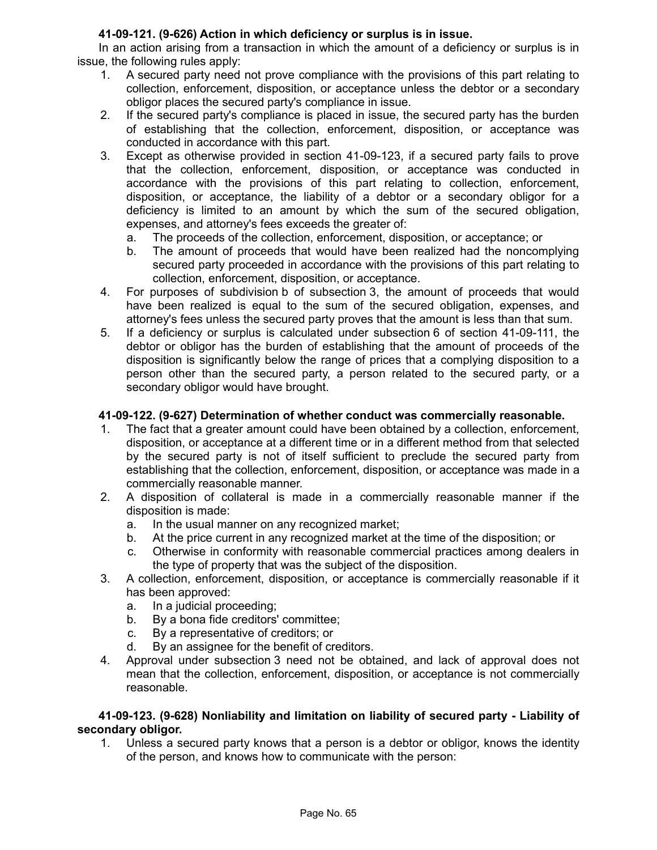# **41-09-121. (9-626) Action in which deficiency or surplus is in issue.**

In an action arising from a transaction in which the amount of a deficiency or surplus is in issue, the following rules apply:

- 1. A secured party need not prove compliance with the provisions of this part relating to collection, enforcement, disposition, or acceptance unless the debtor or a secondary obligor places the secured party's compliance in issue.
- 2. If the secured party's compliance is placed in issue, the secured party has the burden of establishing that the collection, enforcement, disposition, or acceptance was conducted in accordance with this part.
- 3. Except as otherwise provided in section 41-09-123, if a secured party fails to prove that the collection, enforcement, disposition, or acceptance was conducted in accordance with the provisions of this part relating to collection, enforcement, disposition, or acceptance, the liability of a debtor or a secondary obligor for a deficiency is limited to an amount by which the sum of the secured obligation, expenses, and attorney's fees exceeds the greater of:
	- a. The proceeds of the collection, enforcement, disposition, or acceptance; or
	- b. The amount of proceeds that would have been realized had the noncomplying secured party proceeded in accordance with the provisions of this part relating to collection, enforcement, disposition, or acceptance.
- 4. For purposes of subdivision b of subsection 3, the amount of proceeds that would have been realized is equal to the sum of the secured obligation, expenses, and attorney's fees unless the secured party proves that the amount is less than that sum.
- 5. If a deficiency or surplus is calculated under subsection 6 of section 41-09-111, the debtor or obligor has the burden of establishing that the amount of proceeds of the disposition is significantly below the range of prices that a complying disposition to a person other than the secured party, a person related to the secured party, or a secondary obligor would have brought.

# **41-09-122. (9-627) Determination of whether conduct was commercially reasonable.**

- 1. The fact that a greater amount could have been obtained by a collection, enforcement, disposition, or acceptance at a different time or in a different method from that selected by the secured party is not of itself sufficient to preclude the secured party from establishing that the collection, enforcement, disposition, or acceptance was made in a commercially reasonable manner.
- 2. A disposition of collateral is made in a commercially reasonable manner if the disposition is made:
	- a. In the usual manner on any recognized market;
	- b. At the price current in any recognized market at the time of the disposition; or
	- c. Otherwise in conformity with reasonable commercial practices among dealers in the type of property that was the subject of the disposition.
- 3. A collection, enforcement, disposition, or acceptance is commercially reasonable if it has been approved:
	- a. In a judicial proceeding;
	- b. By a bona fide creditors' committee;
	- c. By a representative of creditors; or
	- d. By an assignee for the benefit of creditors.
- 4. Approval under subsection 3 need not be obtained, and lack of approval does not mean that the collection, enforcement, disposition, or acceptance is not commercially reasonable.

### **41-09-123. (9-628) Nonliability and limitation on liability of secured party - Liability of secondary obligor.**

1. Unless a secured party knows that a person is a debtor or obligor, knows the identity of the person, and knows how to communicate with the person: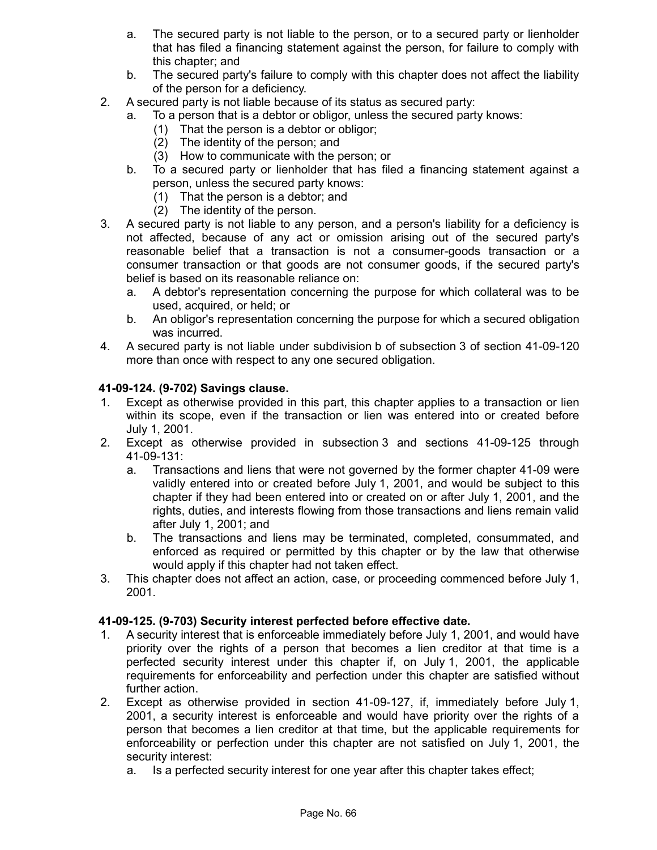- a. The secured party is not liable to the person, or to a secured party or lienholder that has filed a financing statement against the person, for failure to comply with this chapter; and
- b. The secured party's failure to comply with this chapter does not affect the liability of the person for a deficiency.
- 2. A secured party is not liable because of its status as secured party:
	- a. To a person that is a debtor or obligor, unless the secured party knows:
		- (1) That the person is a debtor or obligor;
		- (2) The identity of the person; and
		- (3) How to communicate with the person; or
		- b. To a secured party or lienholder that has filed a financing statement against a person, unless the secured party knows:
			- (1) That the person is a debtor; and
			- (2) The identity of the person.
- 3. A secured party is not liable to any person, and a person's liability for a deficiency is not affected, because of any act or omission arising out of the secured party's reasonable belief that a transaction is not a consumer-goods transaction or a consumer transaction or that goods are not consumer goods, if the secured party's belief is based on its reasonable reliance on:
	- a. A debtor's representation concerning the purpose for which collateral was to be used, acquired, or held; or
	- b. An obligor's representation concerning the purpose for which a secured obligation was incurred.
- 4. A secured party is not liable under subdivision b of subsection 3 of section 41-09-120 more than once with respect to any one secured obligation.

## **41-09-124. (9-702) Savings clause.**

- 1. Except as otherwise provided in this part, this chapter applies to a transaction or lien within its scope, even if the transaction or lien was entered into or created before July 1, 2001.
- 2. Except as otherwise provided in subsection 3 and sections 41-09-125 through 41-09-131:
	- a. Transactions and liens that were not governed by the former chapter 41-09 were validly entered into or created before July 1, 2001, and would be subject to this chapter if they had been entered into or created on or after July 1, 2001, and the rights, duties, and interests flowing from those transactions and liens remain valid after July 1, 2001; and
	- b. The transactions and liens may be terminated, completed, consummated, and enforced as required or permitted by this chapter or by the law that otherwise would apply if this chapter had not taken effect.
- 3. This chapter does not affect an action, case, or proceeding commenced before July 1, 2001.

## **41-09-125. (9-703) Security interest perfected before effective date.**

- 1. A security interest that is enforceable immediately before July 1, 2001, and would have priority over the rights of a person that becomes a lien creditor at that time is a perfected security interest under this chapter if, on July 1, 2001, the applicable requirements for enforceability and perfection under this chapter are satisfied without further action.
- 2. Except as otherwise provided in section 41-09-127, if, immediately before July 1, 2001, a security interest is enforceable and would have priority over the rights of a person that becomes a lien creditor at that time, but the applicable requirements for enforceability or perfection under this chapter are not satisfied on July 1, 2001, the security interest:
	- a. Is a perfected security interest for one year after this chapter takes effect;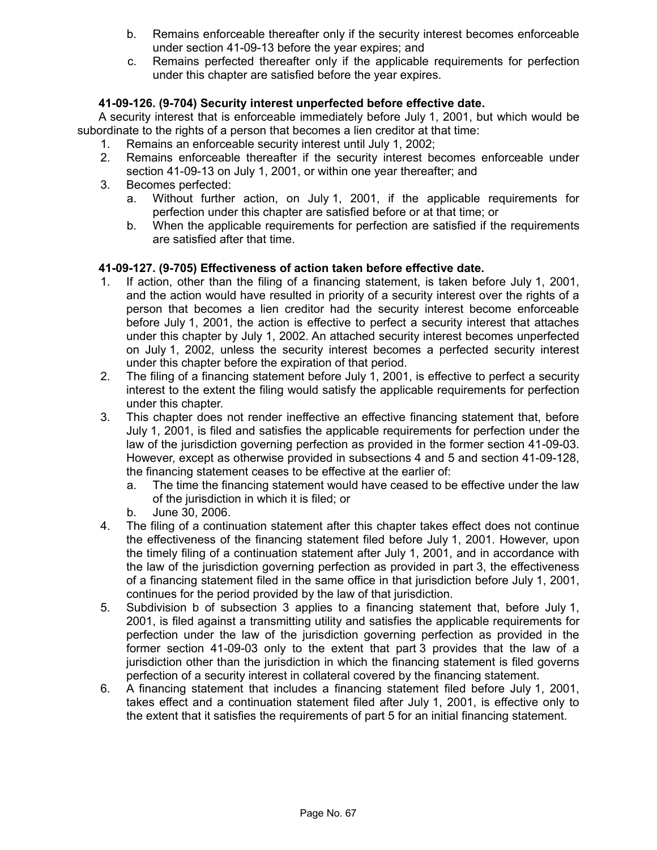- b. Remains enforceable thereafter only if the security interest becomes enforceable under section 41-09-13 before the year expires; and
- c. Remains perfected thereafter only if the applicable requirements for perfection under this chapter are satisfied before the year expires.

# **41-09-126. (9-704) Security interest unperfected before effective date.**

A security interest that is enforceable immediately before July 1, 2001, but which would be subordinate to the rights of a person that becomes a lien creditor at that time:

- 1. Remains an enforceable security interest until July 1, 2002;
- 2. Remains enforceable thereafter if the security interest becomes enforceable under section 41-09-13 on July 1, 2001, or within one year thereafter; and
- 3. Becomes perfected:
	- a. Without further action, on July 1, 2001, if the applicable requirements for perfection under this chapter are satisfied before or at that time; or
	- b. When the applicable requirements for perfection are satisfied if the requirements are satisfied after that time.

# **41-09-127. (9-705) Effectiveness of action taken before effective date.**

- 1. If action, other than the filing of a financing statement, is taken before July 1, 2001, and the action would have resulted in priority of a security interest over the rights of a person that becomes a lien creditor had the security interest become enforceable before July 1, 2001, the action is effective to perfect a security interest that attaches under this chapter by July 1, 2002. An attached security interest becomes unperfected on July 1, 2002, unless the security interest becomes a perfected security interest under this chapter before the expiration of that period.
- 2. The filing of a financing statement before July 1, 2001, is effective to perfect a security interest to the extent the filing would satisfy the applicable requirements for perfection under this chapter.
- 3. This chapter does not render ineffective an effective financing statement that, before July 1, 2001, is filed and satisfies the applicable requirements for perfection under the law of the jurisdiction governing perfection as provided in the former section 41-09-03. However, except as otherwise provided in subsections 4 and 5 and section 41-09-128, the financing statement ceases to be effective at the earlier of:
	- a. The time the financing statement would have ceased to be effective under the law of the jurisdiction in which it is filed; or
	- b. June 30, 2006.
- 4. The filing of a continuation statement after this chapter takes effect does not continue the effectiveness of the financing statement filed before July 1, 2001. However, upon the timely filing of a continuation statement after July 1, 2001, and in accordance with the law of the jurisdiction governing perfection as provided in part 3, the effectiveness of a financing statement filed in the same office in that jurisdiction before July 1, 2001, continues for the period provided by the law of that jurisdiction.
- 5. Subdivision b of subsection 3 applies to a financing statement that, before July 1, 2001, is filed against a transmitting utility and satisfies the applicable requirements for perfection under the law of the jurisdiction governing perfection as provided in the former section 41-09-03 only to the extent that part 3 provides that the law of a jurisdiction other than the jurisdiction in which the financing statement is filed governs perfection of a security interest in collateral covered by the financing statement.
- 6. A financing statement that includes a financing statement filed before July 1, 2001, takes effect and a continuation statement filed after July 1, 2001, is effective only to the extent that it satisfies the requirements of part 5 for an initial financing statement.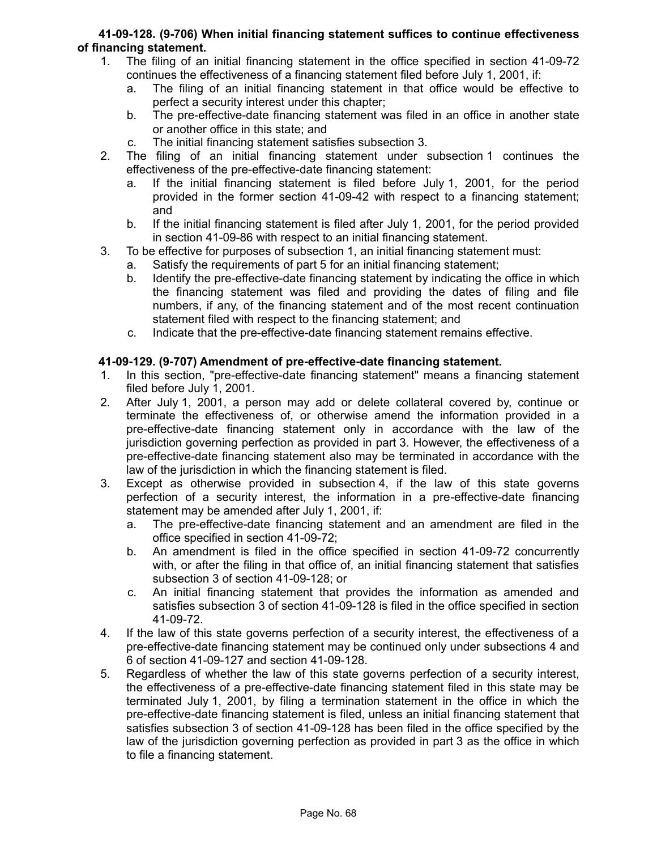### **41-09-128. (9-706) When initial financing statement suffices to continue effectiveness of financing statement.**

- 1. The filing of an initial financing statement in the office specified in section 41-09-72 continues the effectiveness of a financing statement filed before July 1, 2001, if:
	- a. The filing of an initial financing statement in that office would be effective to perfect a security interest under this chapter;
	- b. The pre-effective-date financing statement was filed in an office in another state or another office in this state; and
	- c. The initial financing statement satisfies subsection 3.
- 2. The filing of an initial financing statement under subsection 1 continues the effectiveness of the pre-effective-date financing statement:
	- a. If the initial financing statement is filed before July 1, 2001, for the period provided in the former section 41-09-42 with respect to a financing statement; and
	- b. If the initial financing statement is filed after July 1, 2001, for the period provided in section 41-09-86 with respect to an initial financing statement.
- 3. To be effective for purposes of subsection 1, an initial financing statement must:
	- a. Satisfy the requirements of part 5 for an initial financing statement;
	- b. Identify the pre-effective-date financing statement by indicating the office in which the financing statement was filed and providing the dates of filing and file numbers, if any, of the financing statement and of the most recent continuation statement filed with respect to the financing statement; and
	- c. Indicate that the pre-effective-date financing statement remains effective.

## **41-09-129. (9-707) Amendment of pre-effective-date financing statement.**

- 1. In this section, "pre-effective-date financing statement" means a financing statement filed before July 1, 2001.
- 2. After July 1, 2001, a person may add or delete collateral covered by, continue or terminate the effectiveness of, or otherwise amend the information provided in a pre-effective-date financing statement only in accordance with the law of the jurisdiction governing perfection as provided in part 3. However, the effectiveness of a pre-effective-date financing statement also may be terminated in accordance with the law of the jurisdiction in which the financing statement is filed.
- 3. Except as otherwise provided in subsection 4, if the law of this state governs perfection of a security interest, the information in a pre-effective-date financing statement may be amended after July 1, 2001, if:
	- a. The pre-effective-date financing statement and an amendment are filed in the office specified in section 41-09-72;
	- b. An amendment is filed in the office specified in section 41-09-72 concurrently with, or after the filing in that office of, an initial financing statement that satisfies subsection 3 of section 41-09-128; or
	- c. An initial financing statement that provides the information as amended and satisfies subsection 3 of section 41-09-128 is filed in the office specified in section 41-09-72.
- 4. If the law of this state governs perfection of a security interest, the effectiveness of a pre-effective-date financing statement may be continued only under subsections 4 and 6 of section 41-09-127 and section 41-09-128.
- 5. Regardless of whether the law of this state governs perfection of a security interest, the effectiveness of a pre-effective-date financing statement filed in this state may be terminated July 1, 2001, by filing a termination statement in the office in which the pre-effective-date financing statement is filed, unless an initial financing statement that satisfies subsection 3 of section 41-09-128 has been filed in the office specified by the law of the jurisdiction governing perfection as provided in part 3 as the office in which to file a financing statement.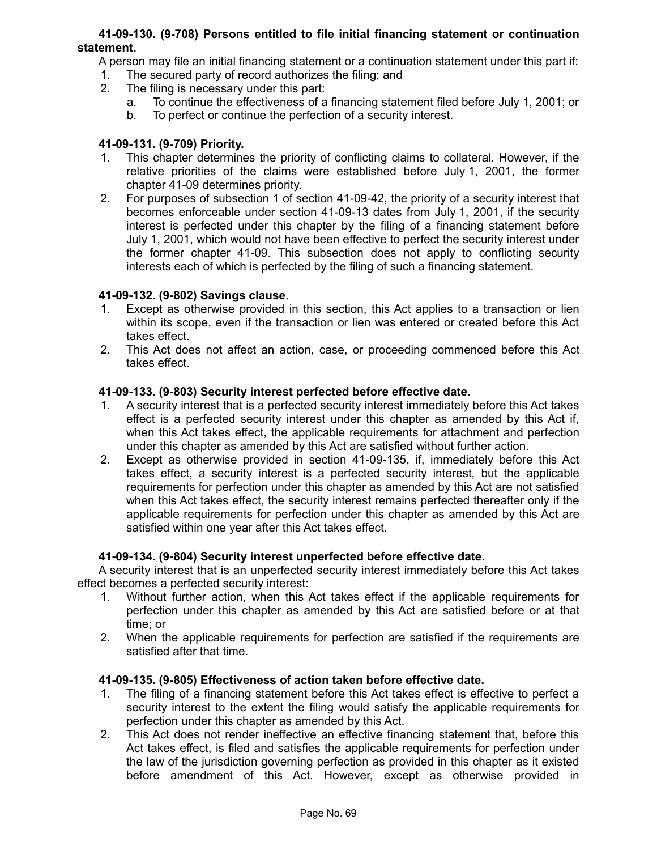### **41-09-130. (9-708) Persons entitled to file initial financing statement or continuation statement.**

A person may file an initial financing statement or a continuation statement under this part if:

- 1. The secured party of record authorizes the filing; and
- 2. The filing is necessary under this part:
	- a. To continue the effectiveness of a financing statement filed before July 1, 2001; or
	- b. To perfect or continue the perfection of a security interest.

## **41-09-131. (9-709) Priority.**

- 1. This chapter determines the priority of conflicting claims to collateral. However, if the relative priorities of the claims were established before July 1, 2001, the former chapter 41-09 determines priority.
- 2. For purposes of subsection 1 of section 41-09-42, the priority of a security interest that becomes enforceable under section 41-09-13 dates from July 1, 2001, if the security interest is perfected under this chapter by the filing of a financing statement before July 1, 2001, which would not have been effective to perfect the security interest under the former chapter 41-09. This subsection does not apply to conflicting security interests each of which is perfected by the filing of such a financing statement.

### **41-09-132. (9-802) Savings clause.**

- 1. Except as otherwise provided in this section, this Act applies to a transaction or lien within its scope, even if the transaction or lien was entered or created before this Act takes effect.
- 2. This Act does not affect an action, case, or proceeding commenced before this Act takes effect.

### **41-09-133. (9-803) Security interest perfected before effective date.**

- 1. A security interest that is a perfected security interest immediately before this Act takes effect is a perfected security interest under this chapter as amended by this Act if, when this Act takes effect, the applicable requirements for attachment and perfection under this chapter as amended by this Act are satisfied without further action.
- 2. Except as otherwise provided in section 41-09-135, if, immediately before this Act takes effect, a security interest is a perfected security interest, but the applicable requirements for perfection under this chapter as amended by this Act are not satisfied when this Act takes effect, the security interest remains perfected thereafter only if the applicable requirements for perfection under this chapter as amended by this Act are satisfied within one year after this Act takes effect.

#### **41-09-134. (9-804) Security interest unperfected before effective date.**

A security interest that is an unperfected security interest immediately before this Act takes effect becomes a perfected security interest:

- 1. Without further action, when this Act takes effect if the applicable requirements for perfection under this chapter as amended by this Act are satisfied before or at that time; or
- 2. When the applicable requirements for perfection are satisfied if the requirements are satisfied after that time.

#### **41-09-135. (9-805) Effectiveness of action taken before effective date.**

- 1. The filing of a financing statement before this Act takes effect is effective to perfect a security interest to the extent the filing would satisfy the applicable requirements for perfection under this chapter as amended by this Act.
- 2. This Act does not render ineffective an effective financing statement that, before this Act takes effect, is filed and satisfies the applicable requirements for perfection under the law of the jurisdiction governing perfection as provided in this chapter as it existed before amendment of this Act. However, except as otherwise provided in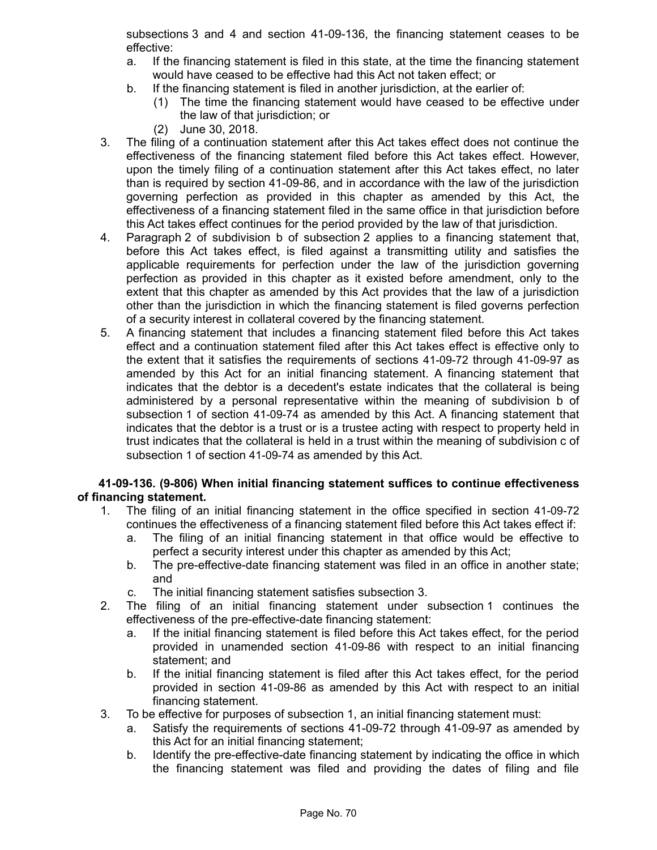subsections 3 and 4 and section 41-09-136, the financing statement ceases to be effective:

- a. If the financing statement is filed in this state, at the time the financing statement would have ceased to be effective had this Act not taken effect; or
- b. If the financing statement is filed in another jurisdiction, at the earlier of:
	- (1) The time the financing statement would have ceased to be effective under the law of that jurisdiction; or
	- (2) June 30, 2018.
- 3. The filing of a continuation statement after this Act takes effect does not continue the effectiveness of the financing statement filed before this Act takes effect. However, upon the timely filing of a continuation statement after this Act takes effect, no later than is required by section 41-09-86, and in accordance with the law of the jurisdiction governing perfection as provided in this chapter as amended by this Act, the effectiveness of a financing statement filed in the same office in that jurisdiction before this Act takes effect continues for the period provided by the law of that jurisdiction.
- 4. Paragraph 2 of subdivision b of subsection 2 applies to a financing statement that, before this Act takes effect, is filed against a transmitting utility and satisfies the applicable requirements for perfection under the law of the jurisdiction governing perfection as provided in this chapter as it existed before amendment, only to the extent that this chapter as amended by this Act provides that the law of a jurisdiction other than the jurisdiction in which the financing statement is filed governs perfection of a security interest in collateral covered by the financing statement.
- 5. A financing statement that includes a financing statement filed before this Act takes effect and a continuation statement filed after this Act takes effect is effective only to the extent that it satisfies the requirements of sections 41-09-72 through 41-09-97 as amended by this Act for an initial financing statement. A financing statement that indicates that the debtor is a decedent's estate indicates that the collateral is being administered by a personal representative within the meaning of subdivision b of subsection 1 of section 41-09-74 as amended by this Act. A financing statement that indicates that the debtor is a trust or is a trustee acting with respect to property held in trust indicates that the collateral is held in a trust within the meaning of subdivision c of subsection 1 of section 41-09-74 as amended by this Act.

## **41-09-136. (9-806) When initial financing statement suffices to continue effectiveness of financing statement.**

- 1. The filing of an initial financing statement in the office specified in section 41-09-72 continues the effectiveness of a financing statement filed before this Act takes effect if:
	- a. The filing of an initial financing statement in that office would be effective to perfect a security interest under this chapter as amended by this Act;
	- b. The pre-effective-date financing statement was filed in an office in another state; and
	- c. The initial financing statement satisfies subsection 3.
- 2. The filing of an initial financing statement under subsection 1 continues the effectiveness of the pre-effective-date financing statement:
	- a. If the initial financing statement is filed before this Act takes effect, for the period provided in unamended section 41-09-86 with respect to an initial financing statement; and
	- b. If the initial financing statement is filed after this Act takes effect, for the period provided in section 41-09-86 as amended by this Act with respect to an initial financing statement.
- 3. To be effective for purposes of subsection 1, an initial financing statement must:
	- a. Satisfy the requirements of sections 41-09-72 through 41-09-97 as amended by this Act for an initial financing statement;
	- b. Identify the pre-effective-date financing statement by indicating the office in which the financing statement was filed and providing the dates of filing and file